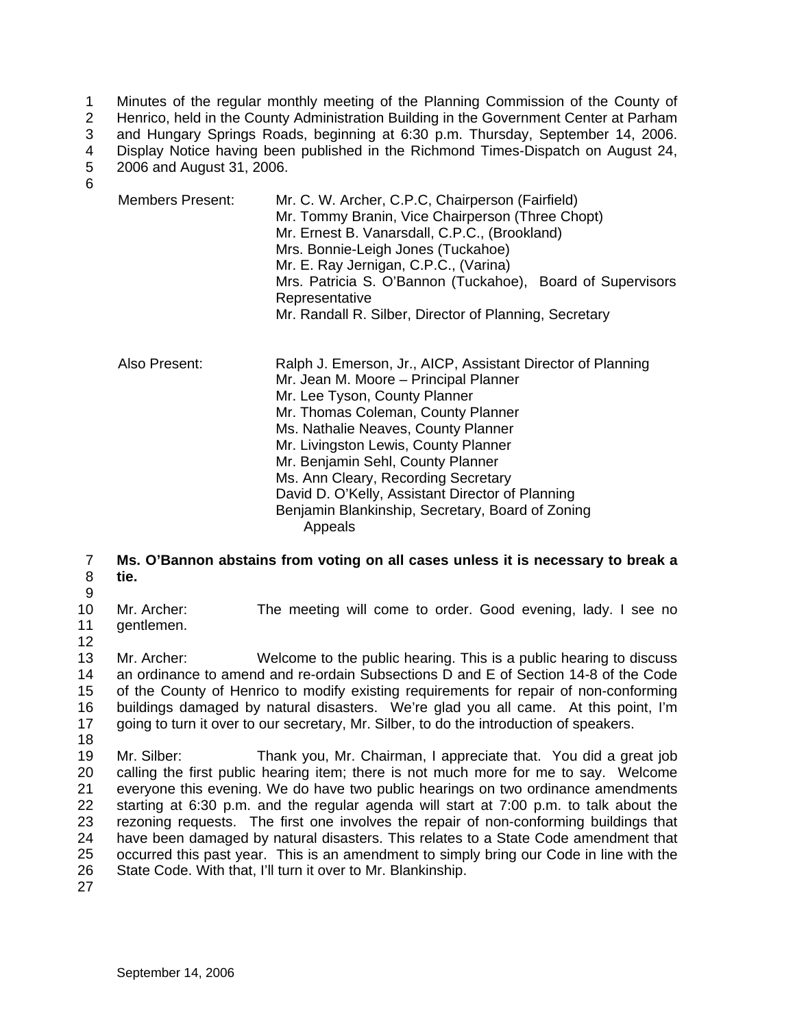1 Minutes of the regular monthly meeting of the Planning Commission of the County of

2 Henrico, held in the County Administration Building in the Government Center at Parham

3 and Hungary Springs Roads, beginning at 6:30 p.m. Thursday, September 14, 2006.

4 Display Notice having been published in the Richmond Times-Dispatch on August 24, 2006 and August 31, 2006.

5 6

| Members Present: | Mr. C. W. Archer, C.P.C, Chairperson (Fairfield)<br>Mr. Tommy Branin, Vice Chairperson (Three Chopt)<br>Mr. Ernest B. Vanarsdall, C.P.C., (Brookland)<br>Mrs. Bonnie-Leigh Jones (Tuckahoe)<br>Mr. E. Ray Jernigan, C.P.C., (Varina)<br>Mrs. Patricia S. O'Bannon (Tuckahoe), Board of Supervisors<br>Representative<br>Mr. Randall R. Silber, Director of Planning, Secretary             |
|------------------|--------------------------------------------------------------------------------------------------------------------------------------------------------------------------------------------------------------------------------------------------------------------------------------------------------------------------------------------------------------------------------------------|
| Also Present:    | Ralph J. Emerson, Jr., AICP, Assistant Director of Planning<br>Mr. Jean M. Moore – Principal Planner<br>Mr. Lee Tyson, County Planner<br>Mr. Thomas Coleman, County Planner<br>Ms. Nathalie Neaves, County Planner<br>Mr. Livingston Lewis, County Planner<br>Mr. Benjamin Sehl, County Planner<br>Ms. Ann Cleary, Recording Secretary<br>David D. O'Kelly, Assistant Director of Planning |

Benjamin Blankinship, Secretary, Board of Zoning

Appeals

#### 7 8 **Ms. O'Bannon abstains from voting on all cases unless it is necessary to break a tie.**

9

10 11 Mr. Archer: The meeting will come to order. Good evening, lady. I see no gentlemen.

12

13 14 15 16 17 Mr. Archer: Welcome to the public hearing. This is a public hearing to discuss an ordinance to amend and re-ordain Subsections D and E of Section 14-8 of the Code of the County of Henrico to modify existing requirements for repair of non-conforming buildings damaged by natural disasters. We're glad you all came. At this point, I'm going to turn it over to our secretary, Mr. Silber, to do the introduction of speakers.

18

19 20 21 22 23 24 25 26 Mr. Silber: Thank you, Mr. Chairman, I appreciate that. You did a great job calling the first public hearing item; there is not much more for me to say. Welcome everyone this evening. We do have two public hearings on two ordinance amendments starting at 6:30 p.m. and the regular agenda will start at 7:00 p.m. to talk about the rezoning requests. The first one involves the repair of non-conforming buildings that have been damaged by natural disasters. This relates to a State Code amendment that occurred this past year. This is an amendment to simply bring our Code in line with the State Code. With that, I'll turn it over to Mr. Blankinship.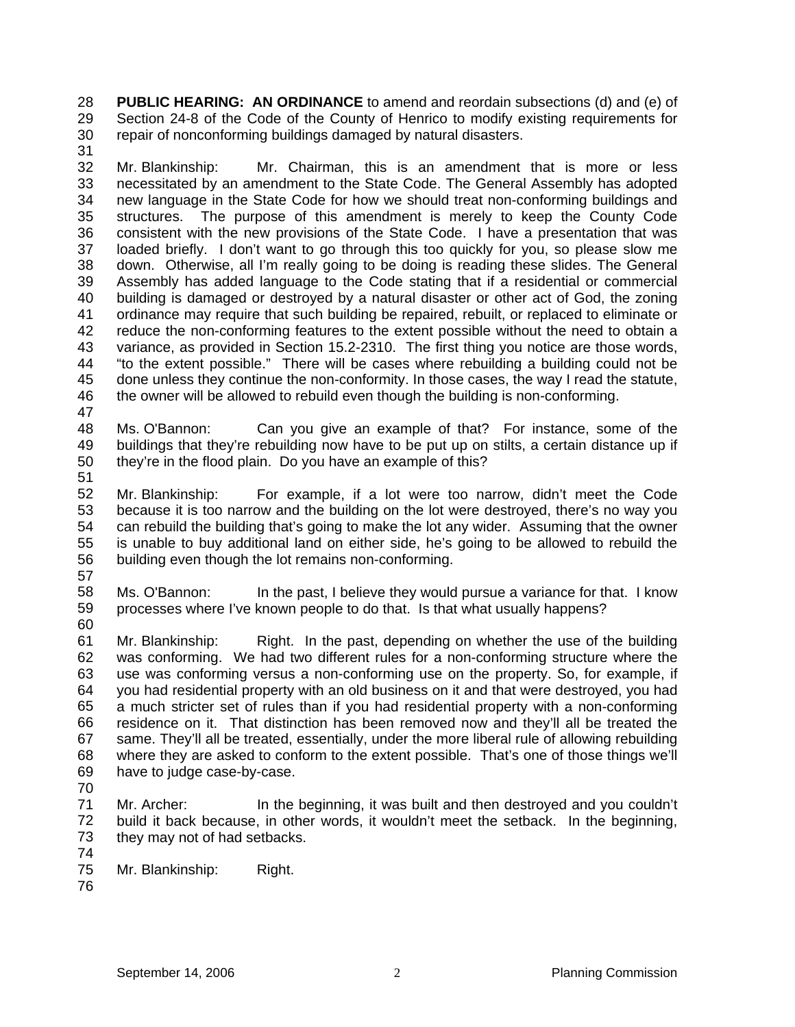**PUBLIC HEARING: AN ORDINANCE** to amend and reordain subsections (d) and (e) of Section 24-8 of the Code of the County of Henrico to modify existing requirements for repair of nonconforming buildings damaged by natural disasters. 28 29 30 31

- 32 33 34 35 36 37 38 39 40 41 42 43 44 45 46 Mr. Blankinship: Mr. Chairman, this is an amendment that is more or less necessitated by an amendment to the State Code. The General Assembly has adopted new language in the State Code for how we should treat non-conforming buildings and structures. The purpose of this amendment is merely to keep the County Code consistent with the new provisions of the State Code. I have a presentation that was loaded briefly. I don't want to go through this too quickly for you, so please slow me down. Otherwise, all I'm really going to be doing is reading these slides. The General Assembly has added language to the Code stating that if a residential or commercial building is damaged or destroyed by a natural disaster or other act of God, the zoning ordinance may require that such building be repaired, rebuilt, or replaced to eliminate or reduce the non-conforming features to the extent possible without the need to obtain a variance, as provided in Section 15.2-2310. The first thing you notice are those words, "to the extent possible." There will be cases where rebuilding a building could not be done unless they continue the non-conformity. In those cases, the way I read the statute, the owner will be allowed to rebuild even though the building is non-conforming.
- 47 48 49 50 Ms. O'Bannon: Can you give an example of that? For instance, some of the buildings that they're rebuilding now have to be put up on stilts, a certain distance up if they're in the flood plain. Do you have an example of this?
- 51
- 52 53 54 55 56 Mr. Blankinship: For example, if a lot were too narrow, didn't meet the Code because it is too narrow and the building on the lot were destroyed, there's no way you can rebuild the building that's going to make the lot any wider. Assuming that the owner is unable to buy additional land on either side, he's going to be allowed to rebuild the building even though the lot remains non-conforming.
- 57
- 58 59 60 Ms. O'Bannon: In the past, I believe they would pursue a variance for that. I know processes where I've known people to do that. Is that what usually happens?
- 61 62 63 64 65 66 67 68 69 Mr. Blankinship: Right. In the past, depending on whether the use of the building was conforming. We had two different rules for a non-conforming structure where the use was conforming versus a non-conforming use on the property. So, for example, if you had residential property with an old business on it and that were destroyed, you had a much stricter set of rules than if you had residential property with a non-conforming residence on it. That distinction has been removed now and they'll all be treated the same. They'll all be treated, essentially, under the more liberal rule of allowing rebuilding where they are asked to conform to the extent possible. That's one of those things we'll have to judge case-by-case.
- 70
- 71 72 73 74 Mr. Archer: In the beginning, it was built and then destroyed and you couldn't build it back because, in other words, it wouldn't meet the setback. In the beginning, they may not of had setbacks.
- 75 Mr. Blankinship: Right.
- 76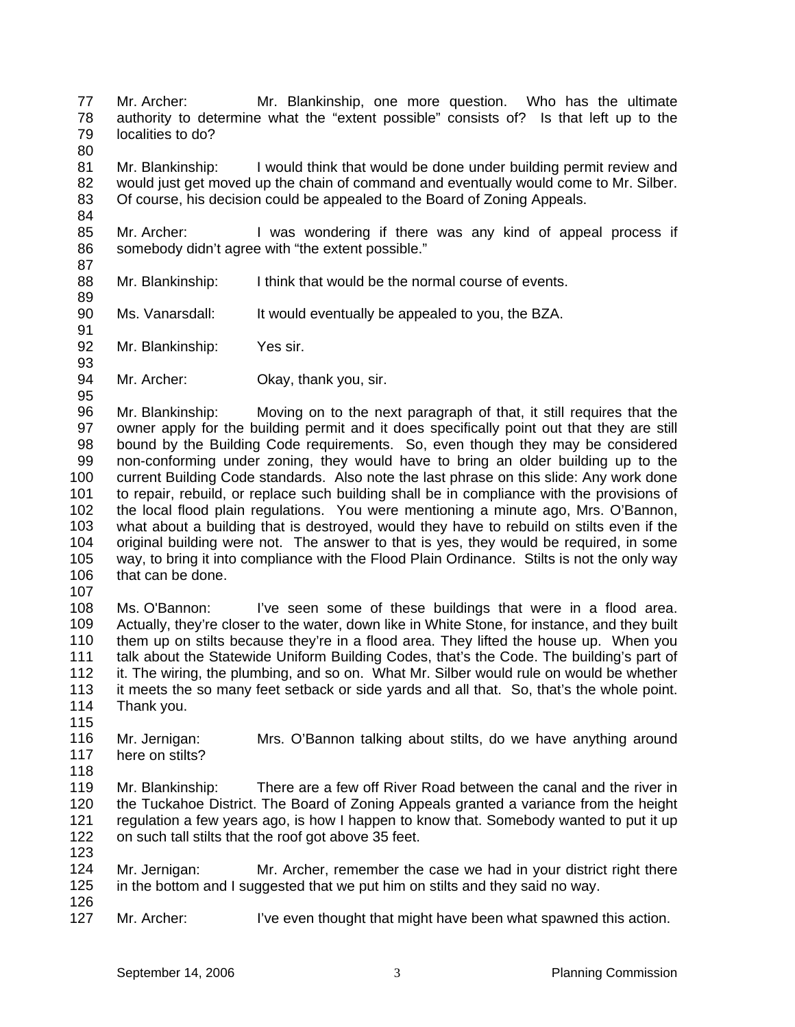77 78 79 Mr. Archer: Mr. Blankinship, one more question. Who has the ultimate authority to determine what the "extent possible" consists of? Is that left up to the localities to do?

80

84

89

91

95

81 82 83 Mr. Blankinship: I would think that would be done under building permit review and would just get moved up the chain of command and eventually would come to Mr. Silber. Of course, his decision could be appealed to the Board of Zoning Appeals.

85 86 87 Mr. Archer: I was wondering if there was any kind of appeal process if somebody didn't agree with "the extent possible."

- 88 Mr. Blankinship: I think that would be the normal course of events.
- 90 Ms. Vanarsdall: It would eventually be appealed to you, the BZA.

92 93 Mr. Blankinship: Yes sir.

94 Mr. Archer: Okay, thank you, sir.

96 97 98 99 100 101 102 103 104 105 106 Mr. Blankinship: Moving on to the next paragraph of that, it still requires that the owner apply for the building permit and it does specifically point out that they are still bound by the Building Code requirements. So, even though they may be considered non-conforming under zoning, they would have to bring an older building up to the current Building Code standards. Also note the last phrase on this slide: Any work done to repair, rebuild, or replace such building shall be in compliance with the provisions of the local flood plain regulations. You were mentioning a minute ago, Mrs. O'Bannon, what about a building that is destroyed, would they have to rebuild on stilts even if the original building were not. The answer to that is yes, they would be required, in some way, to bring it into compliance with the Flood Plain Ordinance. Stilts is not the only way that can be done.

107

108 109 110 111 112 113 114 Ms. O'Bannon: I've seen some of these buildings that were in a flood area. Actually, they're closer to the water, down like in White Stone, for instance, and they built them up on stilts because they're in a flood area. They lifted the house up. When you talk about the Statewide Uniform Building Codes, that's the Code. The building's part of it. The wiring, the plumbing, and so on. What Mr. Silber would rule on would be whether it meets the so many feet setback or side yards and all that. So, that's the whole point. Thank you.

- 115 116 117 Mr. Jernigan: Mrs. O'Bannon talking about stilts, do we have anything around here on stilts?
- 118
- 119 120 121 122 123 Mr. Blankinship: There are a few off River Road between the canal and the river in the Tuckahoe District. The Board of Zoning Appeals granted a variance from the height regulation a few years ago, is how I happen to know that. Somebody wanted to put it up on such tall stilts that the roof got above 35 feet.
- 124 125 Mr. Jernigan: Mr. Archer, remember the case we had in your district right there in the bottom and I suggested that we put him on stilts and they said no way.
- 126 127

Mr. Archer: I've even thought that might have been what spawned this action.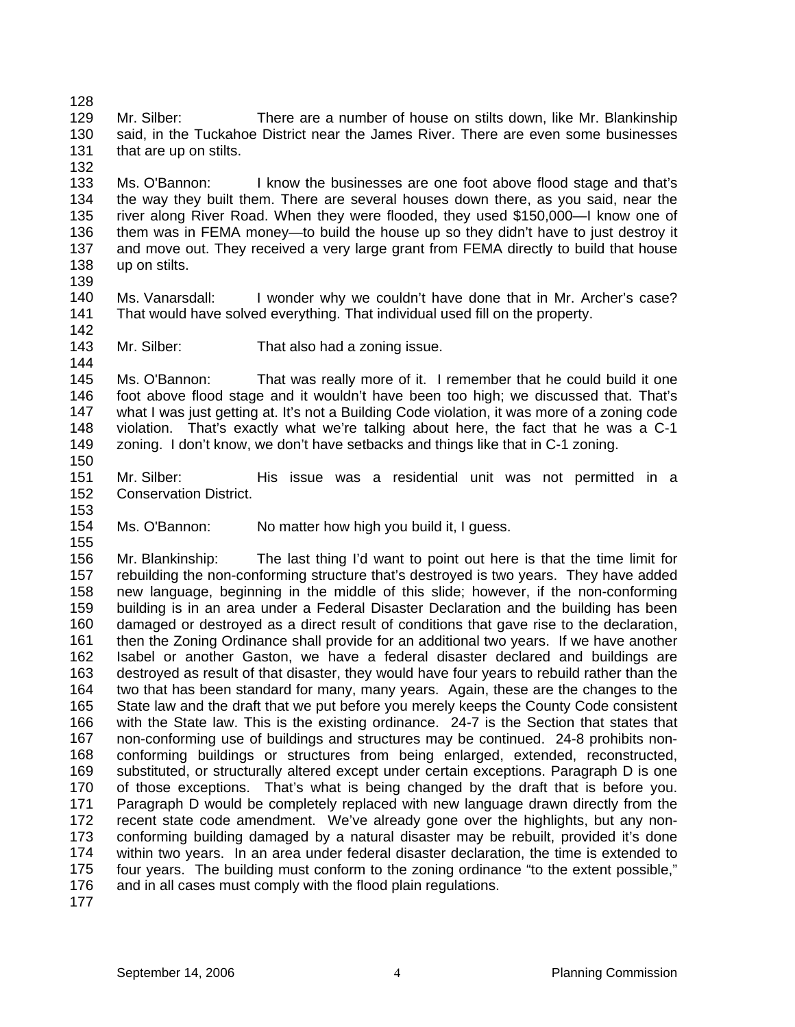128 129 130 131 Mr. Silber: There are a number of house on stilts down, like Mr. Blankinship said, in the Tuckahoe District near the James River. There are even some businesses that are up on stilts.

132

133 134 135 136 137 138 Ms. O'Bannon: I know the businesses are one foot above flood stage and that's the way they built them. There are several houses down there, as you said, near the river along River Road. When they were flooded, they used \$150,000—I know one of them was in FEMA money—to build the house up so they didn't have to just destroy it and move out. They received a very large grant from FEMA directly to build that house up on stilts.

139

144

140 141 142 Ms. Vanarsdall: I wonder why we couldn't have done that in Mr. Archer's case? That would have solved everything. That individual used fill on the property.

143 Mr. Silber: That also had a zoning issue.

145 146 147 148 149 150 Ms. O'Bannon: That was really more of it. I remember that he could build it one foot above flood stage and it wouldn't have been too high; we discussed that. That's what I was just getting at. It's not a Building Code violation, it was more of a zoning code violation. That's exactly what we're talking about here, the fact that he was a C-1 zoning. I don't know, we don't have setbacks and things like that in C-1 zoning.

- 151 152 153 Mr. Silber: His issue was a residential unit was not permitted in a Conservation District.
- 154 Ms. O'Bannon: No matter how high you build it, I guess.
- 155

156 157 158 159 160 161 162 163 164 165 166 167 168 169 170 171 172 173 174 175 176 Mr. Blankinship: The last thing I'd want to point out here is that the time limit for rebuilding the non-conforming structure that's destroyed is two years. They have added new language, beginning in the middle of this slide; however, if the non-conforming building is in an area under a Federal Disaster Declaration and the building has been damaged or destroyed as a direct result of conditions that gave rise to the declaration, then the Zoning Ordinance shall provide for an additional two years. If we have another Isabel or another Gaston, we have a federal disaster declared and buildings are destroyed as result of that disaster, they would have four years to rebuild rather than the two that has been standard for many, many years. Again, these are the changes to the State law and the draft that we put before you merely keeps the County Code consistent with the State law. This is the existing ordinance. 24-7 is the Section that states that non-conforming use of buildings and structures may be continued. 24-8 prohibits nonconforming buildings or structures from being enlarged, extended, reconstructed, substituted, or structurally altered except under certain exceptions. Paragraph D is one of those exceptions. That's what is being changed by the draft that is before you. Paragraph D would be completely replaced with new language drawn directly from the recent state code amendment. We've already gone over the highlights, but any nonconforming building damaged by a natural disaster may be rebuilt, provided it's done within two years. In an area under federal disaster declaration, the time is extended to four years. The building must conform to the zoning ordinance "to the extent possible," and in all cases must comply with the flood plain regulations.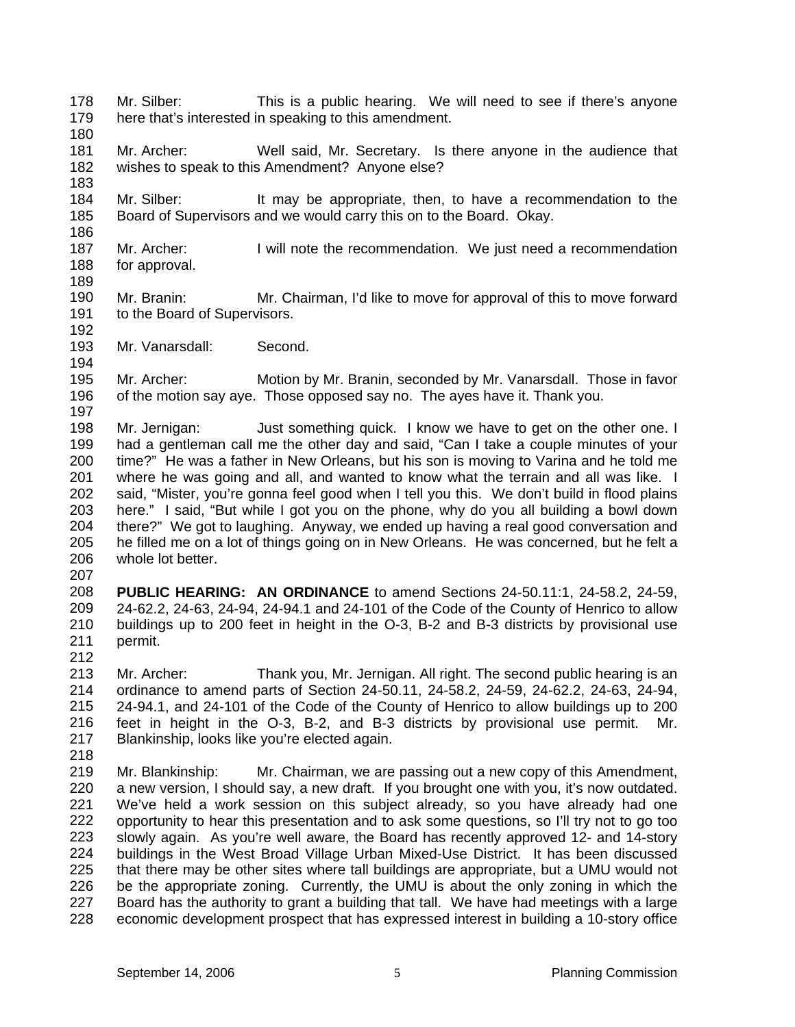- 178 179 Mr. Silber: This is a public hearing. We will need to see if there's anyone here that's interested in speaking to this amendment.
- 180

183

186

- 181 182 Mr. Archer: Well said, Mr. Secretary. Is there anyone in the audience that wishes to speak to this Amendment? Anyone else?
- 184 185 Mr. Silber: It may be appropriate, then, to have a recommendation to the Board of Supervisors and we would carry this on to the Board. Okay.
- 187 188 Mr. Archer: I will note the recommendation. We just need a recommendation for approval.
- 189
- 190 191 192 Mr. Branin: Mr. Chairman, I'd like to move for approval of this to move forward to the Board of Supervisors.
- 193 194 Mr. Vanarsdall: Second.

195 196 197 Mr. Archer: Motion by Mr. Branin, seconded by Mr. Vanarsdall. Those in favor of the motion say aye. Those opposed say no. The ayes have it. Thank you.

- 198 199 200 201 202 203 204 205 206 Mr. Jernigan: Just something quick. I know we have to get on the other one. I had a gentleman call me the other day and said, "Can I take a couple minutes of your time?" He was a father in New Orleans, but his son is moving to Varina and he told me where he was going and all, and wanted to know what the terrain and all was like. I said, "Mister, you're gonna feel good when I tell you this. We don't build in flood plains here." I said, "But while I got you on the phone, why do you all building a bowl down there?" We got to laughing. Anyway, we ended up having a real good conversation and he filled me on a lot of things going on in New Orleans. He was concerned, but he felt a whole lot better.
- 207
- 208 209 210 211 212 **PUBLIC HEARING: AN ORDINANCE** to amend Sections 24-50.11:1, 24-58.2, 24-59, 24-62.2, 24-63, 24-94, 24-94.1 and 24-101 of the Code of the County of Henrico to allow buildings up to 200 feet in height in the O-3, B-2 and B-3 districts by provisional use permit.
- 213 214 215 216 217 Mr. Archer: Thank you, Mr. Jernigan. All right. The second public hearing is an ordinance to amend parts of Section 24-50.11, 24-58.2, 24-59, 24-62.2, 24-63, 24-94, 24-94.1, and 24-101 of the Code of the County of Henrico to allow buildings up to 200 feet in height in the O-3, B-2, and B-3 districts by provisional use permit. Mr. Blankinship, looks like you're elected again.
- 218

219 220 221 222 223 224 225 226 227 228 Mr. Blankinship: Mr. Chairman, we are passing out a new copy of this Amendment, a new version, I should say, a new draft. If you brought one with you, it's now outdated. We've held a work session on this subject already, so you have already had one opportunity to hear this presentation and to ask some questions, so I'll try not to go too slowly again. As you're well aware, the Board has recently approved 12- and 14-story buildings in the West Broad Village Urban Mixed-Use District. It has been discussed that there may be other sites where tall buildings are appropriate, but a UMU would not be the appropriate zoning. Currently, the UMU is about the only zoning in which the Board has the authority to grant a building that tall. We have had meetings with a large economic development prospect that has expressed interest in building a 10-story office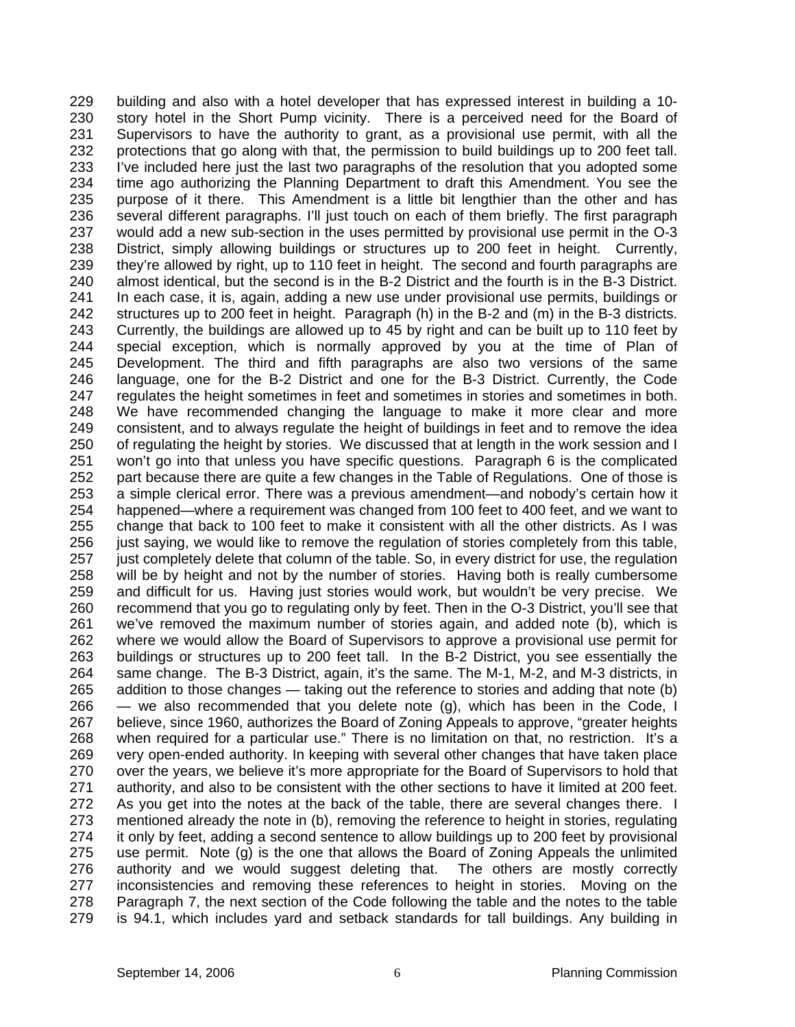229 230 231 232 233 234 235 236 237 238 239 240 241 242 243 244 245 246 247 248 249 250 251 252 253 254 255 256 257 258 259 260 261 262 263 264 265 266 267 268 269 270 271 272 273 274 275 276 277 278 279 building and also with a hotel developer that has expressed interest in building a 10 story hotel in the Short Pump vicinity. There is a perceived need for the Board of Supervisors to have the authority to grant, as a provisional use permit, with all the protections that go along with that, the permission to build buildings up to 200 feet tall. I've included here just the last two paragraphs of the resolution that you adopted some time ago authorizing the Planning Department to draft this Amendment. You see the purpose of it there. This Amendment is a little bit lengthier than the other and has several different paragraphs. I'll just touch on each of them briefly. The first paragraph would add a new sub-section in the uses permitted by provisional use permit in the O-3 District, simply allowing buildings or structures up to 200 feet in height. Currently, they're allowed by right, up to 110 feet in height. The second and fourth paragraphs are almost identical, but the second is in the B-2 District and the fourth is in the B-3 District. In each case, it is, again, adding a new use under provisional use permits, buildings or structures up to 200 feet in height. Paragraph (h) in the B-2 and (m) in the B-3 districts. Currently, the buildings are allowed up to 45 by right and can be built up to 110 feet by special exception, which is normally approved by you at the time of Plan of Development. The third and fifth paragraphs are also two versions of the same language, one for the B-2 District and one for the B-3 District. Currently, the Code regulates the height sometimes in feet and sometimes in stories and sometimes in both. We have recommended changing the language to make it more clear and more consistent, and to always regulate the height of buildings in feet and to remove the idea of regulating the height by stories. We discussed that at length in the work session and I won't go into that unless you have specific questions. Paragraph 6 is the complicated part because there are quite a few changes in the Table of Regulations. One of those is a simple clerical error. There was a previous amendment—and nobody's certain how it happened—where a requirement was changed from 100 feet to 400 feet, and we want to change that back to 100 feet to make it consistent with all the other districts. As I was just saying, we would like to remove the regulation of stories completely from this table, just completely delete that column of the table. So, in every district for use, the regulation will be by height and not by the number of stories. Having both is really cumbersome and difficult for us. Having just stories would work, but wouldn't be very precise. We recommend that you go to regulating only by feet. Then in the O-3 District, you'll see that we've removed the maximum number of stories again, and added note (b), which is where we would allow the Board of Supervisors to approve a provisional use permit for buildings or structures up to 200 feet tall. In the B-2 District, you see essentially the same change. The B-3 District, again, it's the same. The M-1, M-2, and M-3 districts, in addition to those changes — taking out the reference to stories and adding that note (b) — we also recommended that you delete note (g), which has been in the Code, I believe, since 1960, authorizes the Board of Zoning Appeals to approve, "greater heights when required for a particular use." There is no limitation on that, no restriction. It's a very open-ended authority. In keeping with several other changes that have taken place over the years, we believe it's more appropriate for the Board of Supervisors to hold that authority, and also to be consistent with the other sections to have it limited at 200 feet. As you get into the notes at the back of the table, there are several changes there. I mentioned already the note in (b), removing the reference to height in stories, regulating it only by feet, adding a second sentence to allow buildings up to 200 feet by provisional use permit. Note (g) is the one that allows the Board of Zoning Appeals the unlimited authority and we would suggest deleting that. The others are mostly correctly inconsistencies and removing these references to height in stories. Moving on the Paragraph 7, the next section of the Code following the table and the notes to the table is 94.1, which includes yard and setback standards for tall buildings. Any building in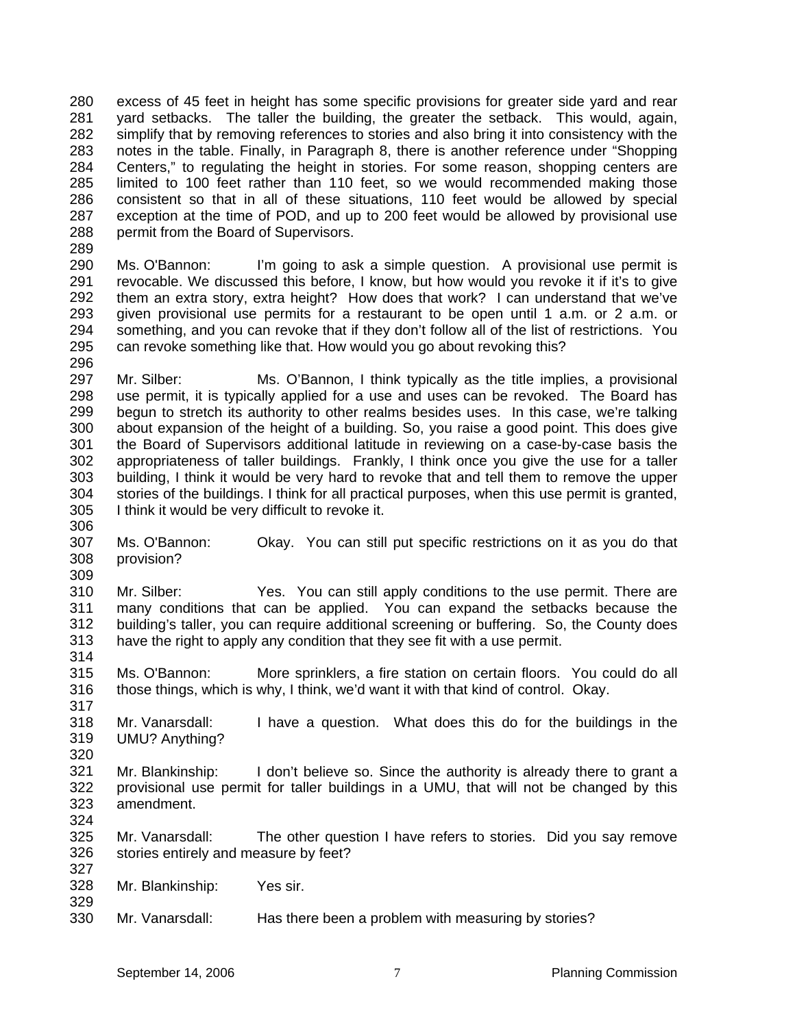280 281 282 283 284 285 286 287 288 excess of 45 feet in height has some specific provisions for greater side yard and rear yard setbacks. The taller the building, the greater the setback. This would, again, simplify that by removing references to stories and also bring it into consistency with the notes in the table. Finally, in Paragraph 8, there is another reference under "Shopping Centers," to regulating the height in stories. For some reason, shopping centers are limited to 100 feet rather than 110 feet, so we would recommended making those consistent so that in all of these situations, 110 feet would be allowed by special exception at the time of POD, and up to 200 feet would be allowed by provisional use permit from the Board of Supervisors.

290 291 292 293 294 295 296 Ms. O'Bannon: I'm going to ask a simple question. A provisional use permit is revocable. We discussed this before, I know, but how would you revoke it if it's to give them an extra story, extra height? How does that work? I can understand that we've given provisional use permits for a restaurant to be open until 1 a.m. or 2 a.m. or something, and you can revoke that if they don't follow all of the list of restrictions. You can revoke something like that. How would you go about revoking this?

297 298 299 300 301 302 303 304 305 Mr. Silber: Ms. O'Bannon, I think typically as the title implies, a provisional use permit, it is typically applied for a use and uses can be revoked. The Board has begun to stretch its authority to other realms besides uses. In this case, we're talking about expansion of the height of a building. So, you raise a good point. This does give the Board of Supervisors additional latitude in reviewing on a case-by-case basis the appropriateness of taller buildings. Frankly, I think once you give the use for a taller building, I think it would be very hard to revoke that and tell them to remove the upper stories of the buildings. I think for all practical purposes, when this use permit is granted, I think it would be very difficult to revoke it.

307 308 Ms. O'Bannon: Okay. You can still put specific restrictions on it as you do that provision?

310 311 312 313 314 Mr. Silber: Yes. You can still apply conditions to the use permit. There are many conditions that can be applied. You can expand the setbacks because the building's taller, you can require additional screening or buffering. So, the County does have the right to apply any condition that they see fit with a use permit.

315 316 Ms. O'Bannon: More sprinklers, a fire station on certain floors. You could do all those things, which is why, I think, we'd want it with that kind of control. Okay.

318 319 320 Mr. Vanarsdall: I have a question. What does this do for the buildings in the UMU? Anything?

321 322 323 324 Mr. Blankinship: I don't believe so. Since the authority is already there to grant a provisional use permit for taller buildings in a UMU, that will not be changed by this amendment.

325 326 327 Mr. Vanarsdall: The other question I have refers to stories. Did you say remove stories entirely and measure by feet?

328 Mr. Blankinship: Yes sir.

289

306

309

317

329

330 Mr. Vanarsdall: Has there been a problem with measuring by stories?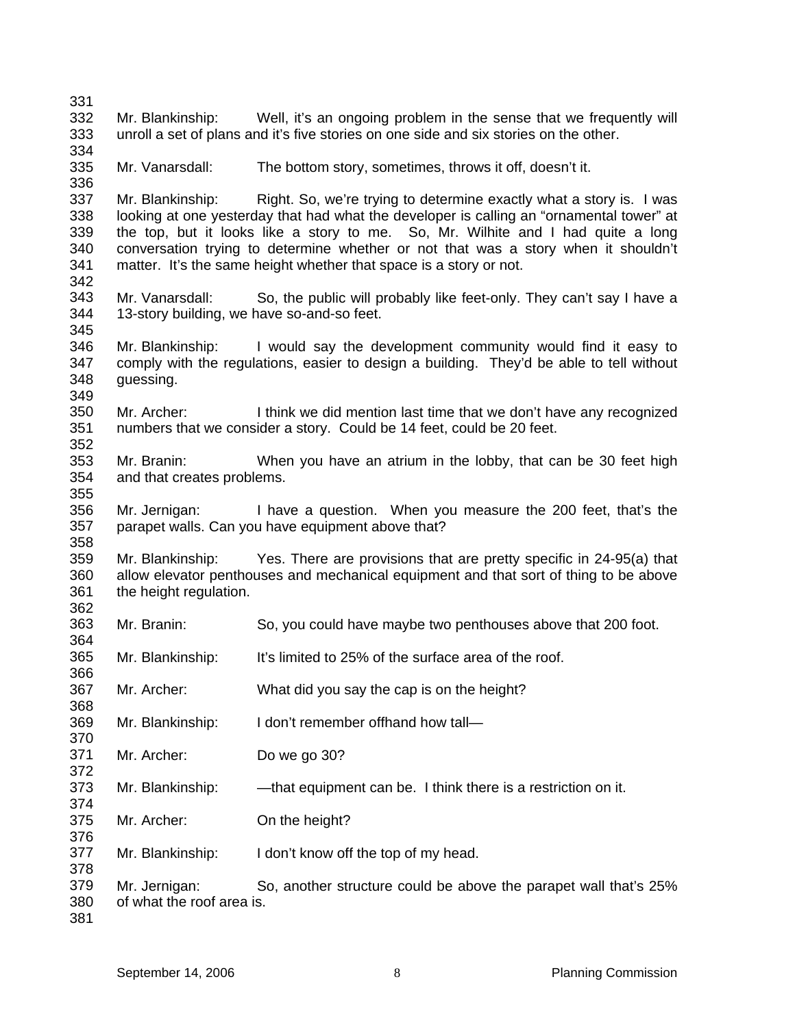| 331                                    |                                            |                                                                                                                                                                                                                                                                                                                                                                                                                                  |
|----------------------------------------|--------------------------------------------|----------------------------------------------------------------------------------------------------------------------------------------------------------------------------------------------------------------------------------------------------------------------------------------------------------------------------------------------------------------------------------------------------------------------------------|
| 332<br>333                             |                                            | Mr. Blankinship: Well, it's an ongoing problem in the sense that we frequently will<br>unroll a set of plans and it's five stories on one side and six stories on the other.                                                                                                                                                                                                                                                     |
| 334<br>335<br>336                      | Mr. Vanarsdall:                            | The bottom story, sometimes, throws it off, doesn't it.                                                                                                                                                                                                                                                                                                                                                                          |
| 337<br>338<br>339<br>340<br>341<br>342 |                                            | Mr. Blankinship: Right. So, we're trying to determine exactly what a story is. I was<br>looking at one yesterday that had what the developer is calling an "ornamental tower" at<br>the top, but it looks like a story to me. So, Mr. Wilhite and I had quite a long<br>conversation trying to determine whether or not that was a story when it shouldn't<br>matter. It's the same height whether that space is a story or not. |
| 343<br>344<br>345                      | 13-story building, we have so-and-so feet. | Mr. Vanarsdall: So, the public will probably like feet-only. They can't say I have a                                                                                                                                                                                                                                                                                                                                             |
| 346<br>347<br>348<br>349               | guessing.                                  | Mr. Blankinship: I would say the development community would find it easy to<br>comply with the regulations, easier to design a building. They'd be able to tell without                                                                                                                                                                                                                                                         |
| 350<br>351<br>352                      | Mr. Archer:                                | I think we did mention last time that we don't have any recognized<br>numbers that we consider a story. Could be 14 feet, could be 20 feet.                                                                                                                                                                                                                                                                                      |
| 353<br>354<br>355                      | and that creates problems.                 | Mr. Branin: When you have an atrium in the lobby, that can be 30 feet high                                                                                                                                                                                                                                                                                                                                                       |
| 356<br>357                             |                                            | Mr. Jernigan: I have a question. When you measure the 200 feet, that's the<br>parapet walls. Can you have equipment above that?                                                                                                                                                                                                                                                                                                  |
| 358<br>359<br>360<br>361<br>362        | the height regulation.                     | Mr. Blankinship: Yes. There are provisions that are pretty specific in 24-95(a) that<br>allow elevator penthouses and mechanical equipment and that sort of thing to be above                                                                                                                                                                                                                                                    |
| 363<br>364                             | Mr. Branin:                                | So, you could have maybe two penthouses above that 200 foot.                                                                                                                                                                                                                                                                                                                                                                     |
| 365<br>366                             | Mr. Blankinship:                           | It's limited to 25% of the surface area of the roof.                                                                                                                                                                                                                                                                                                                                                                             |
| 367<br>368                             | Mr. Archer:                                | What did you say the cap is on the height?                                                                                                                                                                                                                                                                                                                                                                                       |
| 369<br>370                             | Mr. Blankinship:                           | I don't remember offhand how tall-                                                                                                                                                                                                                                                                                                                                                                                               |
| 371<br>372                             | Mr. Archer:                                | Do we go 30?                                                                                                                                                                                                                                                                                                                                                                                                                     |
| 373<br>374                             | Mr. Blankinship:                           | —that equipment can be. I think there is a restriction on it.                                                                                                                                                                                                                                                                                                                                                                    |
| 375<br>376                             | Mr. Archer:                                | On the height?                                                                                                                                                                                                                                                                                                                                                                                                                   |
| 377<br>378                             | Mr. Blankinship:                           | I don't know off the top of my head.                                                                                                                                                                                                                                                                                                                                                                                             |
| 379<br>380<br>381                      | Mr. Jernigan:<br>of what the roof area is. | So, another structure could be above the parapet wall that's 25%                                                                                                                                                                                                                                                                                                                                                                 |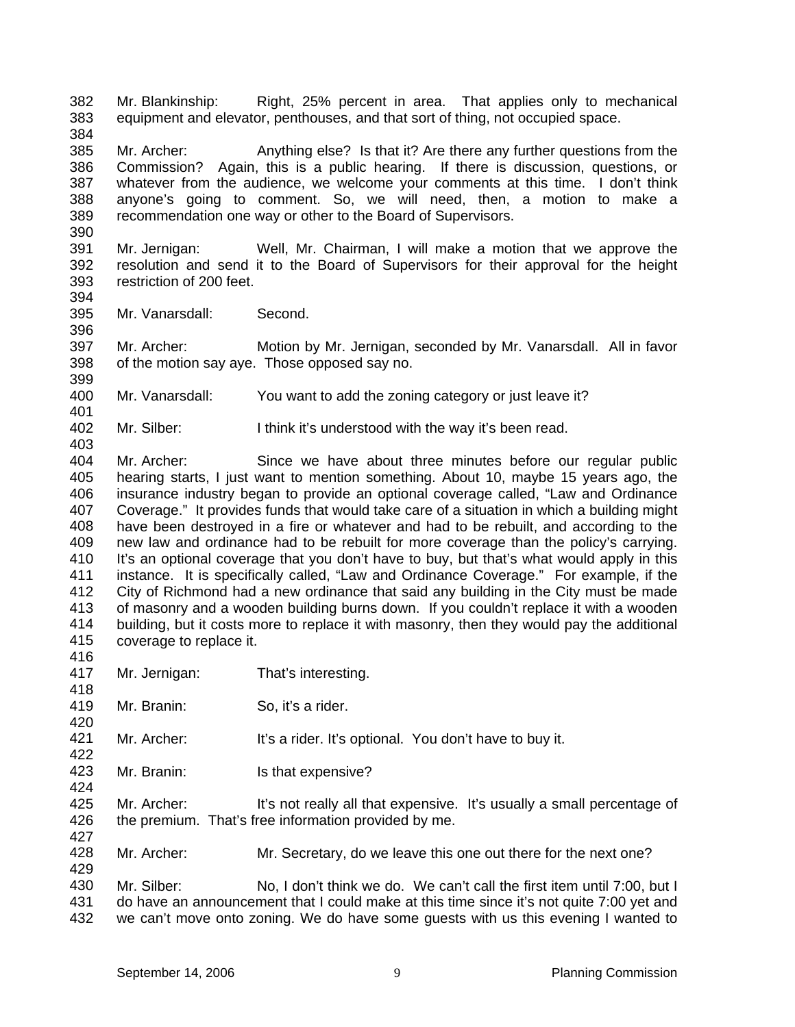382 383 Mr. Blankinship: Right, 25% percent in area. That applies only to mechanical equipment and elevator, penthouses, and that sort of thing, not occupied space.

385 386 387 388 389 390 Mr. Archer: Anything else? Is that it? Are there any further questions from the Commission? Again, this is a public hearing. If there is discussion, questions, or whatever from the audience, we welcome your comments at this time. I don't think anyone's going to comment. So, we will need, then, a motion to make a recommendation one way or other to the Board of Supervisors.

- 391 392 393 394 Mr. Jernigan: Well, Mr. Chairman, I will make a motion that we approve the resolution and send it to the Board of Supervisors for their approval for the height restriction of 200 feet.
- 395 Mr. Vanarsdall: Second.

397 398 Mr. Archer: Motion by Mr. Jernigan, seconded by Mr. Vanarsdall. All in favor of the motion say aye. Those opposed say no.

- 400 Mr. Vanarsdall: You want to add the zoning category or just leave it?
- 402 Mr. Silber: I think it's understood with the way it's been read.

404 405 406 407 408 409 410 411 412 413 414 415 Mr. Archer: Since we have about three minutes before our regular public hearing starts, I just want to mention something. About 10, maybe 15 years ago, the insurance industry began to provide an optional coverage called, "Law and Ordinance Coverage." It provides funds that would take care of a situation in which a building might have been destroyed in a fire or whatever and had to be rebuilt, and according to the new law and ordinance had to be rebuilt for more coverage than the policy's carrying. It's an optional coverage that you don't have to buy, but that's what would apply in this instance. It is specifically called, "Law and Ordinance Coverage." For example, if the City of Richmond had a new ordinance that said any building in the City must be made of masonry and a wooden building burns down. If you couldn't replace it with a wooden building, but it costs more to replace it with masonry, then they would pay the additional coverage to replace it.

416

420

422

424

429

384

396

399

401

403

- 417 418 Mr. Jernigan: That's interesting.
- 419 Mr. Branin: So, it's a rider.
- 421 Mr. Archer: It's a rider. It's optional. You don't have to buy it.
- 423 Mr. Branin: Is that expensive?

425 426 427 Mr. Archer: It's not really all that expensive. It's usually a small percentage of the premium. That's free information provided by me.

428 Mr. Archer: Mr. Secretary, do we leave this one out there for the next one?

430 431 432 Mr. Silber: No, I don't think we do. We can't call the first item until 7:00, but I do have an announcement that I could make at this time since it's not quite 7:00 yet and we can't move onto zoning. We do have some guests with us this evening I wanted to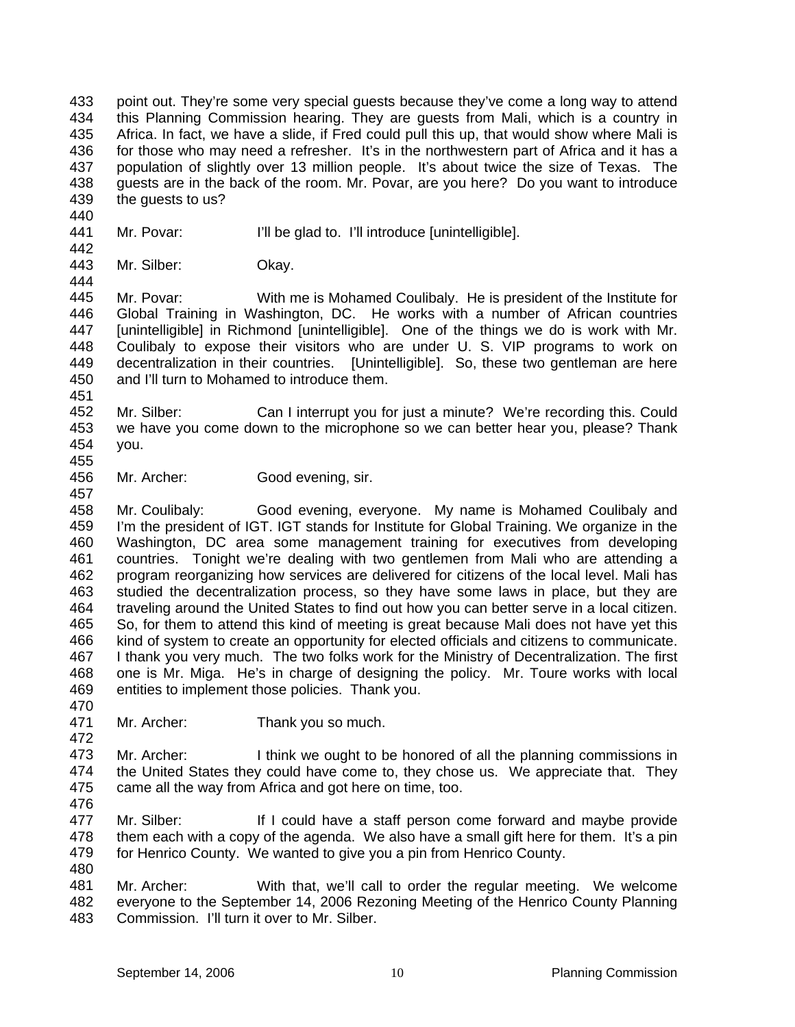433 434 435 436 437 438 439 point out. They're some very special guests because they've come a long way to attend this Planning Commission hearing. They are guests from Mali, which is a country in Africa. In fact, we have a slide, if Fred could pull this up, that would show where Mali is for those who may need a refresher. It's in the northwestern part of Africa and it has a population of slightly over 13 million people. It's about twice the size of Texas. The guests are in the back of the room. Mr. Povar, are you here? Do you want to introduce the guests to us?

- 441 Mr. Povar: I'll be glad to. I'll introduce [unintelligible].
- 443 444 Mr. Silber: Okay.

445 446 447 448 449 450 Mr. Povar: With me is Mohamed Coulibaly. He is president of the Institute for Global Training in Washington, DC. He works with a number of African countries [unintelligible] in Richmond [unintelligible]. One of the things we do is work with Mr. Coulibaly to expose their visitors who are under U. S. VIP programs to work on decentralization in their countries. [Unintelligible]. So, these two gentleman are here and I'll turn to Mohamed to introduce them.

451

440

442

452 453 454 Mr. Silber: Can I interrupt you for just a minute? We're recording this. Could we have you come down to the microphone so we can better hear you, please? Thank you.

- 455
- 456 457 Mr. Archer: Good evening, sir.

458 459 460 461 462 463 464 465 466 467 468 469 470 Mr. Coulibaly: Good evening, everyone. My name is Mohamed Coulibaly and I'm the president of IGT. IGT stands for Institute for Global Training. We organize in the Washington, DC area some management training for executives from developing countries. Tonight we're dealing with two gentlemen from Mali who are attending a program reorganizing how services are delivered for citizens of the local level. Mali has studied the decentralization process, so they have some laws in place, but they are traveling around the United States to find out how you can better serve in a local citizen. So, for them to attend this kind of meeting is great because Mali does not have yet this kind of system to create an opportunity for elected officials and citizens to communicate. I thank you very much. The two folks work for the Ministry of Decentralization. The first one is Mr. Miga. He's in charge of designing the policy. Mr. Toure works with local entities to implement those policies. Thank you.

471 472 Mr. Archer: Thank you so much.

473 474 475 476 Mr. Archer: I think we ought to be honored of all the planning commissions in the United States they could have come to, they chose us. We appreciate that. They came all the way from Africa and got here on time, too.

- 477 478 479 Mr. Silber: If I could have a staff person come forward and maybe provide them each with a copy of the agenda. We also have a small gift here for them. It's a pin for Henrico County. We wanted to give you a pin from Henrico County.
- 480

481 482 483 Mr. Archer: With that, we'll call to order the regular meeting. We welcome everyone to the September 14, 2006 Rezoning Meeting of the Henrico County Planning Commission. I'll turn it over to Mr. Silber.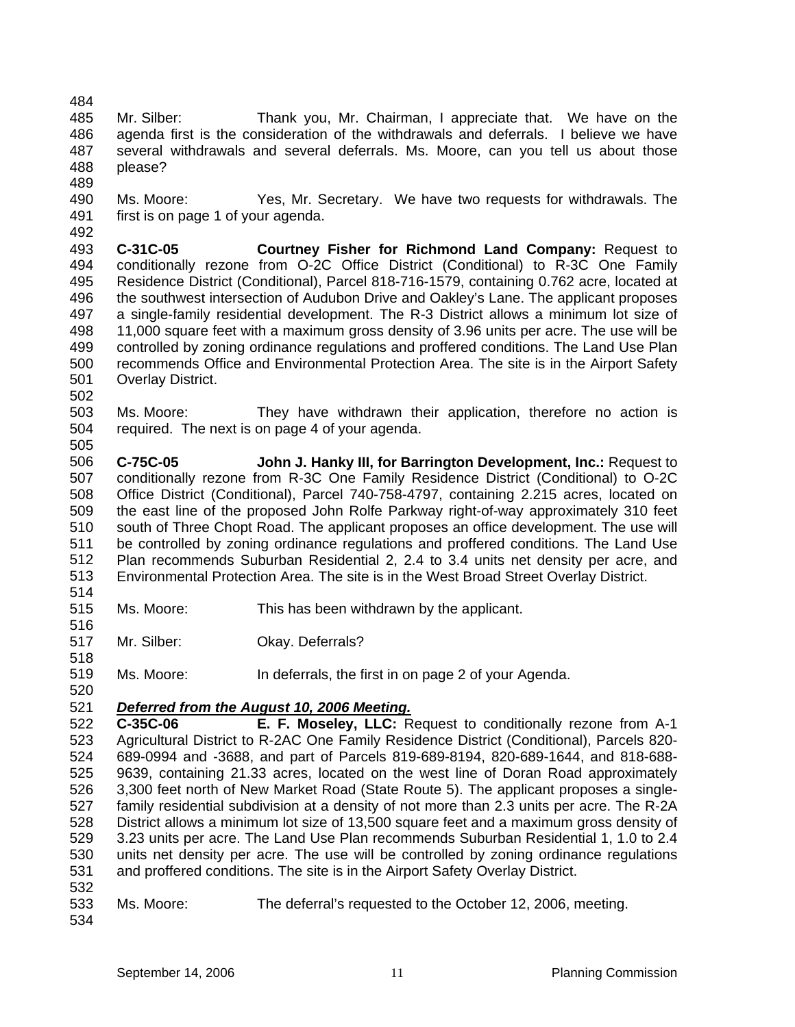- 484 485 486 487 488 Mr. Silber: Thank you, Mr. Chairman, I appreciate that. We have on the agenda first is the consideration of the withdrawals and deferrals. I believe we have several withdrawals and several deferrals. Ms. Moore, can you tell us about those please?
- 490 491 Ms. Moore: Yes, Mr. Secretary. We have two requests for withdrawals. The first is on page 1 of your agenda.
- 493 494 495 496 497 498 499 500 501 502 **C-31C-05 Courtney Fisher for Richmond Land Company:** Request to conditionally rezone from O-2C Office District (Conditional) to R-3C One Family Residence District (Conditional), Parcel 818-716-1579, containing 0.762 acre, located at the southwest intersection of Audubon Drive and Oakley's Lane. The applicant proposes a single-family residential development. The R-3 District allows a minimum lot size of 11,000 square feet with a maximum gross density of 3.96 units per acre. The use will be controlled by zoning ordinance regulations and proffered conditions. The Land Use Plan recommends Office and Environmental Protection Area. The site is in the Airport Safety Overlay District.
- 503 504 505 Ms. Moore: They have withdrawn their application, therefore no action is required. The next is on page 4 of your agenda.
- 506 507 508 509 510 511 512 513 514 **C-75C-05 John J. Hanky III, for Barrington Development, Inc.:** Request to conditionally rezone from R-3C One Family Residence District (Conditional) to O-2C Office District (Conditional), Parcel 740-758-4797, containing 2.215 acres, located on the east line of the proposed John Rolfe Parkway right-of-way approximately 310 feet south of Three Chopt Road. The applicant proposes an office development. The use will be controlled by zoning ordinance regulations and proffered conditions. The Land Use Plan recommends Suburban Residential 2, 2.4 to 3.4 units net density per acre, and Environmental Protection Area. The site is in the West Broad Street Overlay District.
- 515 Ms. Moore: This has been withdrawn by the applicant.
- 516 517 Mr. Silber: Okay. Deferrals?
- 519 520 Ms. Moore: In deferrals, the first in on page 2 of your Agenda.

### 521 *Deferred from the August 10, 2006 Meeting.*

- 522 523 524 525 526 527 528 529 530 531 **C-35C-06 E. F. Moseley, LLC:** Request to conditionally rezone from A-1 Agricultural District to R-2AC One Family Residence District (Conditional), Parcels 820- 689-0994 and -3688, and part of Parcels 819-689-8194, 820-689-1644, and 818-688- 9639, containing 21.33 acres, located on the west line of Doran Road approximately 3,300 feet north of New Market Road (State Route 5). The applicant proposes a singlefamily residential subdivision at a density of not more than 2.3 units per acre. The R-2A District allows a minimum lot size of 13,500 square feet and a maximum gross density of 3.23 units per acre. The Land Use Plan recommends Suburban Residential 1, 1.0 to 2.4 units net density per acre. The use will be controlled by zoning ordinance regulations and proffered conditions. The site is in the Airport Safety Overlay District.
- 532

518

489

- 533 Ms. Moore: The deferral's requested to the October 12, 2006, meeting.
- 534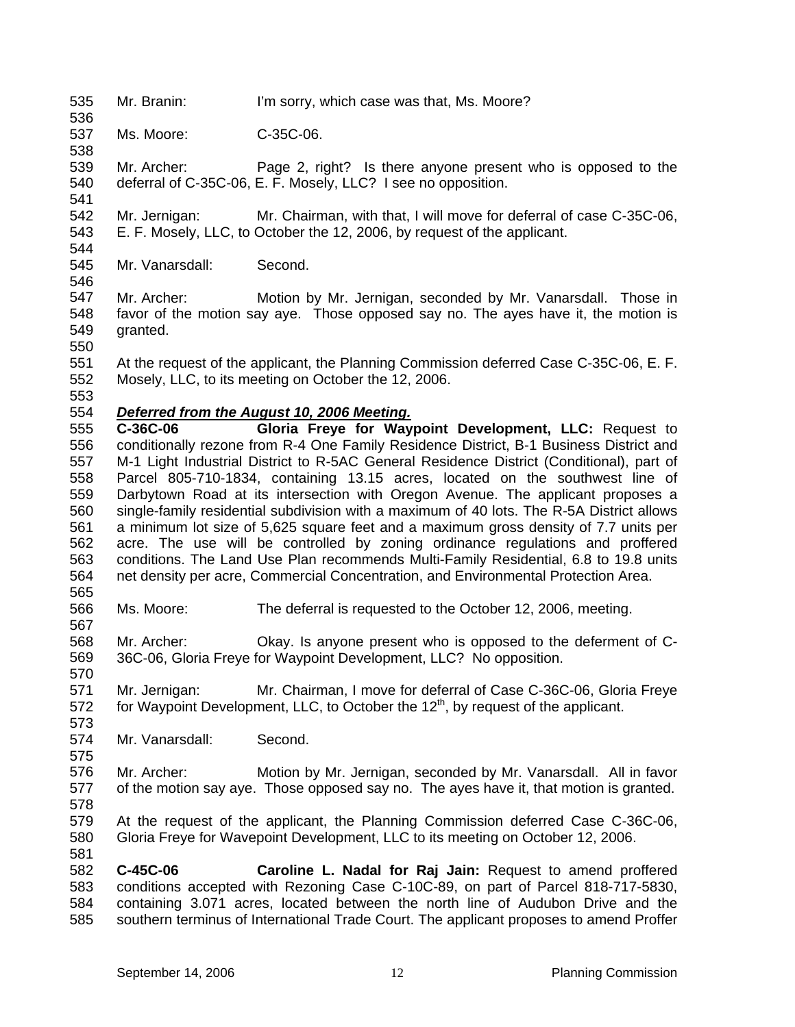535 Mr. Branin: I'm sorry, which case was that, Ms. Moore?

537 Ms. Moore: C-35C-06.

539 540 541 Mr. Archer: Page 2, right? Is there anyone present who is opposed to the deferral of C-35C-06, E. F. Mosely, LLC? I see no opposition.

542 543 544 Mr. Jernigan: Mr. Chairman, with that, I will move for deferral of case C-35C-06, E. F. Mosely, LLC, to October the 12, 2006, by request of the applicant.

545 Mr. Vanarsdall: Second.

547 548 549 550 Mr. Archer: Motion by Mr. Jernigan, seconded by Mr. Vanarsdall. Those in favor of the motion say aye. Those opposed say no. The ayes have it, the motion is granted.

551 552 At the request of the applicant, the Planning Commission deferred Case C-35C-06, E. F. Mosely, LLC, to its meeting on October the 12, 2006.

553

565

567

570

573

575

581

546

536

538

554 *Deferred from the August 10, 2006 Meeting.*

555 556 557 558 559 560 561 562 563 564 **C-36C-06 Gloria Freye for Waypoint Development, LLC:** Request to conditionally rezone from R-4 One Family Residence District, B-1 Business District and M-1 Light Industrial District to R-5AC General Residence District (Conditional), part of Parcel 805-710-1834, containing 13.15 acres, located on the southwest line of Darbytown Road at its intersection with Oregon Avenue. The applicant proposes a single-family residential subdivision with a maximum of 40 lots. The R-5A District allows a minimum lot size of 5,625 square feet and a maximum gross density of 7.7 units per acre. The use will be controlled by zoning ordinance regulations and proffered conditions. The Land Use Plan recommends Multi-Family Residential, 6.8 to 19.8 units net density per acre, Commercial Concentration, and Environmental Protection Area.

566 Ms. Moore: The deferral is requested to the October 12, 2006, meeting.

568 569 Mr. Archer: Okay. Is anyone present who is opposed to the deferment of C-36C-06, Gloria Freye for Waypoint Development, LLC? No opposition.

571 572 Mr. Jernigan: Mr. Chairman, I move for deferral of Case C-36C-06, Gloria Freye for Waypoint Development, LLC, to October the 12<sup>th</sup>, by request of the applicant.

574 Mr. Vanarsdall: Second.

576 577 578 Mr. Archer: Motion by Mr. Jernigan, seconded by Mr. Vanarsdall. All in favor of the motion say aye. Those opposed say no. The ayes have it, that motion is granted.

579 580 At the request of the applicant, the Planning Commission deferred Case C-36C-06, Gloria Freye for Wavepoint Development, LLC to its meeting on October 12, 2006.

582 583 584 585 **C-45C-06 Caroline L. Nadal for Raj Jain:** Request to amend proffered conditions accepted with Rezoning Case C-10C-89, on part of Parcel 818-717-5830, containing 3.071 acres, located between the north line of Audubon Drive and the southern terminus of International Trade Court. The applicant proposes to amend Proffer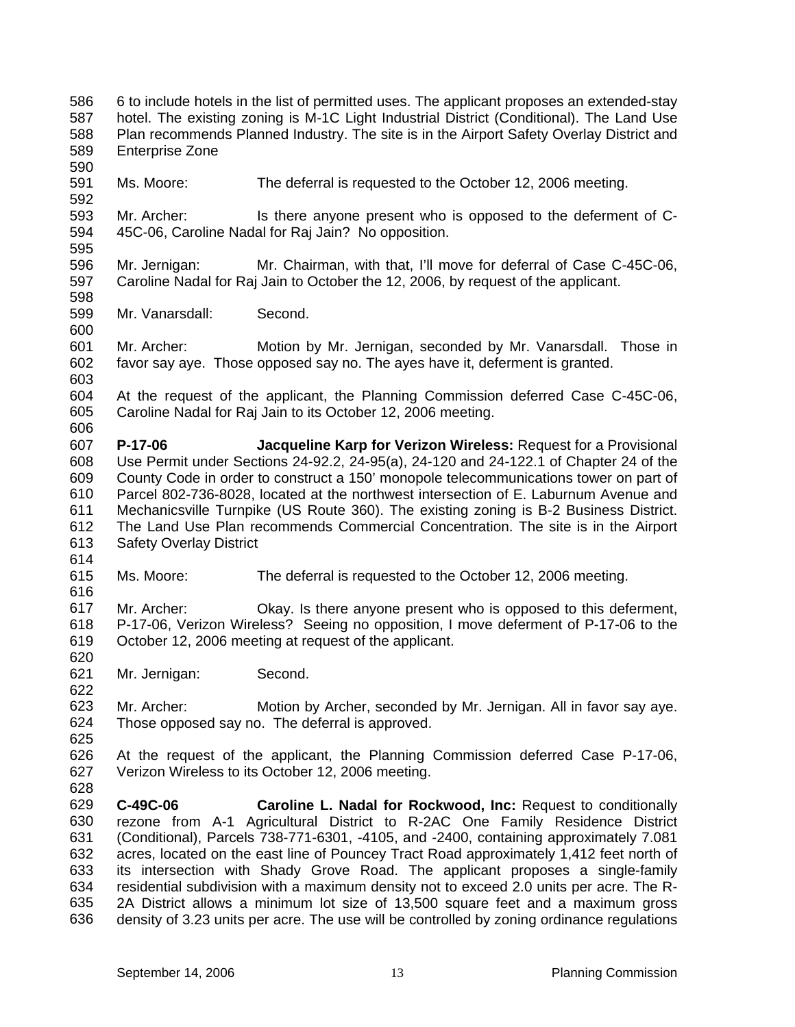586 587 588 589 590 591 592 593 594 595 596 597 598 599 600 6 to include hotels in the list of permitted uses. The applicant proposes an extended-stay hotel. The existing zoning is M-1C Light Industrial District (Conditional). The Land Use Plan recommends Planned Industry. The site is in the Airport Safety Overlay District and Enterprise Zone Ms. Moore: The deferral is requested to the October 12, 2006 meeting. Mr. Archer: Is there anyone present who is opposed to the deferment of C-45C-06, Caroline Nadal for Raj Jain? No opposition. Mr. Jernigan: Mr. Chairman, with that, I'll move for deferral of Case C-45C-06, Caroline Nadal for Raj Jain to October the 12, 2006, by request of the applicant. Mr. Vanarsdall: Second.

- 601 602 603 Mr. Archer: Motion by Mr. Jernigan, seconded by Mr. Vanarsdall. Those in favor say aye. Those opposed say no. The ayes have it, deferment is granted.
- 604 605 606 At the request of the applicant, the Planning Commission deferred Case C-45C-06, Caroline Nadal for Raj Jain to its October 12, 2006 meeting.
- 607 608 609 610 611 612 613 **P-17-06 Jacqueline Karp for Verizon Wireless:** Request for a Provisional Use Permit under Sections 24-92.2, 24-95(a), 24-120 and 24-122.1 of Chapter 24 of the County Code in order to construct a 150' monopole telecommunications tower on part of Parcel 802-736-8028, located at the northwest intersection of E. Laburnum Avenue and Mechanicsville Turnpike (US Route 360). The existing zoning is B-2 Business District. The Land Use Plan recommends Commercial Concentration. The site is in the Airport Safety Overlay District
- 614

622

625

- 615 616 Ms. Moore: The deferral is requested to the October 12, 2006 meeting.
- 617 618 619 620 Mr. Archer: Okay. Is there anyone present who is opposed to this deferment, P-17-06, Verizon Wireless? Seeing no opposition, I move deferment of P-17-06 to the October 12, 2006 meeting at request of the applicant.
- 621 Mr. Jernigan: Second.
- 623 624 Mr. Archer: Motion by Archer, seconded by Mr. Jernigan. All in favor say aye. Those opposed say no. The deferral is approved.
- 626 627 At the request of the applicant, the Planning Commission deferred Case P-17-06, Verizon Wireless to its October 12, 2006 meeting.
- 629 630 631 632 633 634 635 636 **C-49C-06 Caroline L. Nadal for Rockwood, Inc:** Request to conditionally rezone from A-1 Agricultural District to R-2AC One Family Residence District (Conditional), Parcels 738-771-6301, -4105, and -2400, containing approximately 7.081 acres, located on the east line of Pouncey Tract Road approximately 1,412 feet north of its intersection with Shady Grove Road. The applicant proposes a single-family residential subdivision with a maximum density not to exceed 2.0 units per acre. The R-2A District allows a minimum lot size of 13,500 square feet and a maximum gross density of 3.23 units per acre. The use will be controlled by zoning ordinance regulations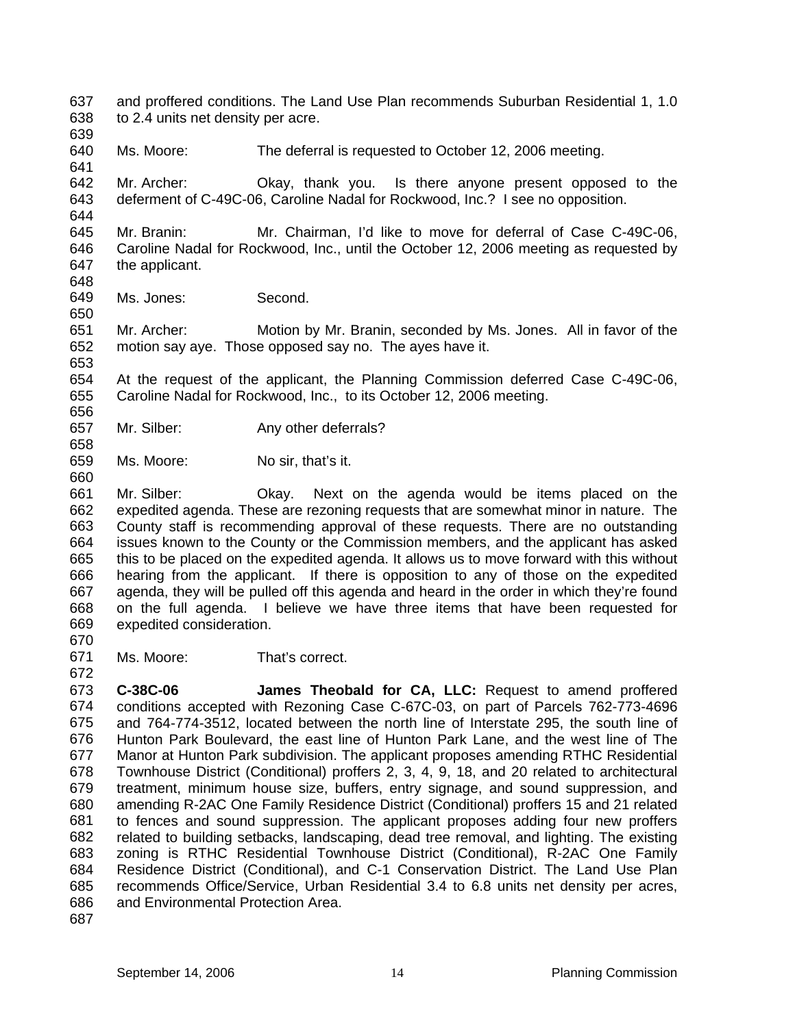- 637 638 and proffered conditions. The Land Use Plan recommends Suburban Residential 1, 1.0 to 2.4 units net density per acre.
- 639 640

641

644

650

656

658

660

670

Ms. Moore: The deferral is requested to October 12, 2006 meeting.

642 643 Mr. Archer: Okay, thank you. Is there anyone present opposed to the deferment of C-49C-06, Caroline Nadal for Rockwood, Inc.? I see no opposition.

645 646 647 648 Mr. Branin: Mr. Chairman, I'd like to move for deferral of Case C-49C-06, Caroline Nadal for Rockwood, Inc., until the October 12, 2006 meeting as requested by the applicant.

649 Ms. Jones: Second.

651 652 653 Mr. Archer: Motion by Mr. Branin, seconded by Ms. Jones. All in favor of the motion say aye. Those opposed say no. The ayes have it.

654 655 At the request of the applicant, the Planning Commission deferred Case C-49C-06, Caroline Nadal for Rockwood, Inc., to its October 12, 2006 meeting.

657 Mr. Silber: Any other deferrals?

659 Ms. Moore: No sir, that's it.

661 662 663 664 665 666 667 668 669 Mr. Silber: Okay. Next on the agenda would be items placed on the expedited agenda. These are rezoning requests that are somewhat minor in nature. The County staff is recommending approval of these requests. There are no outstanding issues known to the County or the Commission members, and the applicant has asked this to be placed on the expedited agenda. It allows us to move forward with this without hearing from the applicant. If there is opposition to any of those on the expedited agenda, they will be pulled off this agenda and heard in the order in which they're found on the full agenda. I believe we have three items that have been requested for expedited consideration.

671 672 Ms. Moore: That's correct.

673 674 675 676 677 678 679 680 681 682 683 684 685 686 687 **C-38C-06 James Theobald for CA, LLC:** Request to amend proffered conditions accepted with Rezoning Case C-67C-03, on part of Parcels 762-773-4696 and 764-774-3512, located between the north line of Interstate 295, the south line of Hunton Park Boulevard, the east line of Hunton Park Lane, and the west line of The Manor at Hunton Park subdivision. The applicant proposes amending RTHC Residential Townhouse District (Conditional) proffers 2, 3, 4, 9, 18, and 20 related to architectural treatment, minimum house size, buffers, entry signage, and sound suppression, and amending R-2AC One Family Residence District (Conditional) proffers 15 and 21 related to fences and sound suppression. The applicant proposes adding four new proffers related to building setbacks, landscaping, dead tree removal, and lighting. The existing zoning is RTHC Residential Townhouse District (Conditional), R-2AC One Family Residence District (Conditional), and C-1 Conservation District. The Land Use Plan recommends Office/Service, Urban Residential 3.4 to 6.8 units net density per acres, and Environmental Protection Area.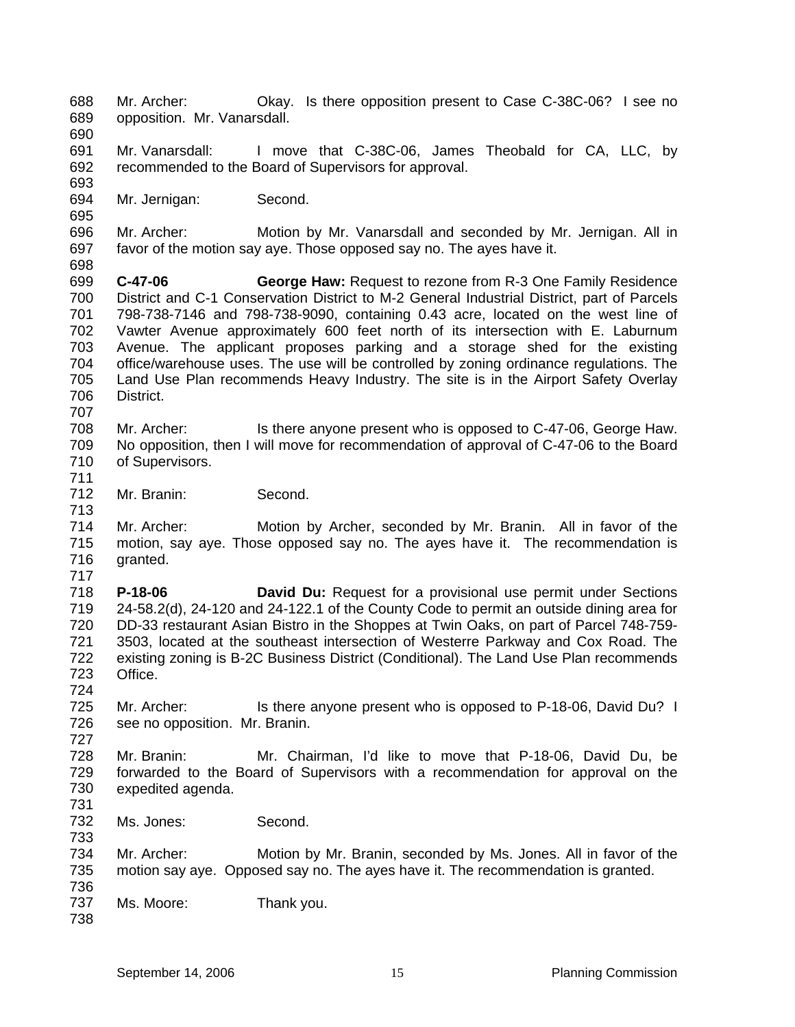688 689 690 691 692 693 694 695 696 697 698 699 700 701 702 703 704 705 706 707 708 709 710 711 712 713 714 715 716 717 718 719 720 721 722 723 724 725 726 727 728 729 730 731 732 733 734 735 736 737 738 Mr. Archer: Okay. Is there opposition present to Case C-38C-06? I see no opposition. Mr. Vanarsdall. Mr. Vanarsdall: I move that C-38C-06, James Theobald for CA, LLC, by recommended to the Board of Supervisors for approval. Mr. Jernigan: Second. Mr. Archer: Motion by Mr. Vanarsdall and seconded by Mr. Jernigan. All in favor of the motion say aye. Those opposed say no. The ayes have it. **C-47-06 George Haw:** Request to rezone from R-3 One Family Residence District and C-1 Conservation District to M-2 General Industrial District, part of Parcels 798-738-7146 and 798-738-9090, containing 0.43 acre, located on the west line of Vawter Avenue approximately 600 feet north of its intersection with E. Laburnum Avenue. The applicant proposes parking and a storage shed for the existing office/warehouse uses. The use will be controlled by zoning ordinance regulations. The Land Use Plan recommends Heavy Industry. The site is in the Airport Safety Overlay District. Mr. Archer: Is there anyone present who is opposed to C-47-06, George Haw. No opposition, then I will move for recommendation of approval of C-47-06 to the Board of Supervisors. Mr. Branin: Second. Mr. Archer: Motion by Archer, seconded by Mr. Branin. All in favor of the motion, say aye. Those opposed say no. The ayes have it. The recommendation is granted. **P-18-06 David Du:** Request for a provisional use permit under Sections 24-58.2(d), 24-120 and 24-122.1 of the County Code to permit an outside dining area for DD-33 restaurant Asian Bistro in the Shoppes at Twin Oaks, on part of Parcel 748-759- 3503, located at the southeast intersection of Westerre Parkway and Cox Road. The existing zoning is B-2C Business District (Conditional). The Land Use Plan recommends Office. Mr. Archer: Is there anyone present who is opposed to P-18-06, David Du? I see no opposition. Mr. Branin. Mr. Branin: Mr. Chairman, I'd like to move that P-18-06, David Du, be forwarded to the Board of Supervisors with a recommendation for approval on the expedited agenda. Ms. Jones: Second. Mr. Archer: Motion by Mr. Branin, seconded by Ms. Jones. All in favor of the motion say aye. Opposed say no. The ayes have it. The recommendation is granted. Ms. Moore: Thank you.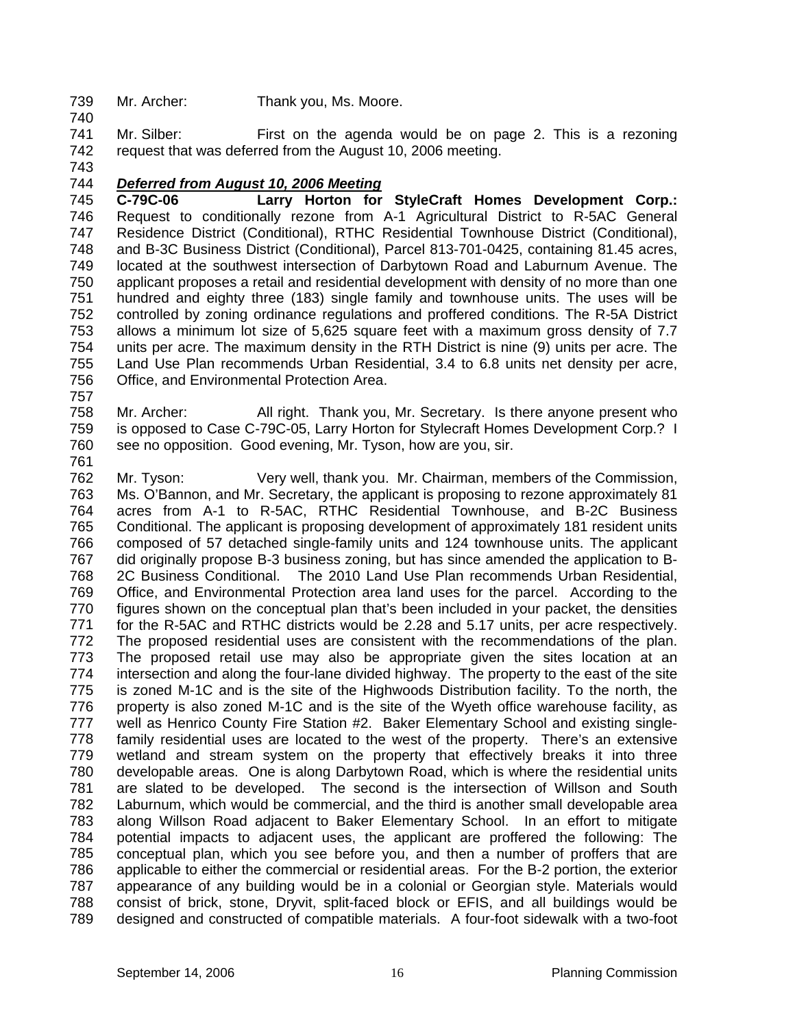- 739 Mr. Archer: Thank you, Ms. Moore.
- 741 742 Mr. Silber: First on the agenda would be on page 2. This is a rezoning request that was deferred from the August 10, 2006 meeting.
- 743

740

#### 744 *Deferred from August 10, 2006 Meeting*

745 746 747 748 749 750 751 752 753 754 755 756 **C-79C-06 Larry Horton for StyleCraft Homes Development Corp.:**  Request to conditionally rezone from A-1 Agricultural District to R-5AC General Residence District (Conditional), RTHC Residential Townhouse District (Conditional), and B-3C Business District (Conditional), Parcel 813-701-0425, containing 81.45 acres, located at the southwest intersection of Darbytown Road and Laburnum Avenue. The applicant proposes a retail and residential development with density of no more than one hundred and eighty three (183) single family and townhouse units. The uses will be controlled by zoning ordinance regulations and proffered conditions. The R-5A District allows a minimum lot size of 5,625 square feet with a maximum gross density of 7.7 units per acre. The maximum density in the RTH District is nine (9) units per acre. The Land Use Plan recommends Urban Residential, 3.4 to 6.8 units net density per acre, Office, and Environmental Protection Area.

757

758 759 760 Mr. Archer: All right. Thank you, Mr. Secretary. Is there anyone present who is opposed to Case C-79C-05, Larry Horton for Stylecraft Homes Development Corp.? I see no opposition. Good evening, Mr. Tyson, how are you, sir.

761

762 763 764 765 766 767 768 769 770 771 772 773 774 775 776 777 778 779 780 781 782 783 784 785 786 787 788 789 Mr. Tyson: Very well, thank you. Mr. Chairman, members of the Commission, Ms. O'Bannon, and Mr. Secretary, the applicant is proposing to rezone approximately 81 acres from A-1 to R-5AC, RTHC Residential Townhouse, and B-2C Business Conditional. The applicant is proposing development of approximately 181 resident units composed of 57 detached single-family units and 124 townhouse units. The applicant did originally propose B-3 business zoning, but has since amended the application to B-2C Business Conditional. The 2010 Land Use Plan recommends Urban Residential, Office, and Environmental Protection area land uses for the parcel. According to the figures shown on the conceptual plan that's been included in your packet, the densities for the R-5AC and RTHC districts would be 2.28 and 5.17 units, per acre respectively. The proposed residential uses are consistent with the recommendations of the plan. The proposed retail use may also be appropriate given the sites location at an intersection and along the four-lane divided highway. The property to the east of the site is zoned M-1C and is the site of the Highwoods Distribution facility. To the north, the property is also zoned M-1C and is the site of the Wyeth office warehouse facility, as well as Henrico County Fire Station #2. Baker Elementary School and existing singlefamily residential uses are located to the west of the property. There's an extensive wetland and stream system on the property that effectively breaks it into three developable areas. One is along Darbytown Road, which is where the residential units are slated to be developed. The second is the intersection of Willson and South Laburnum, which would be commercial, and the third is another small developable area along Willson Road adjacent to Baker Elementary School. In an effort to mitigate potential impacts to adjacent uses, the applicant are proffered the following: The conceptual plan, which you see before you, and then a number of proffers that are applicable to either the commercial or residential areas. For the B-2 portion, the exterior appearance of any building would be in a colonial or Georgian style. Materials would consist of brick, stone, Dryvit, split-faced block or EFIS, and all buildings would be designed and constructed of compatible materials. A four-foot sidewalk with a two-foot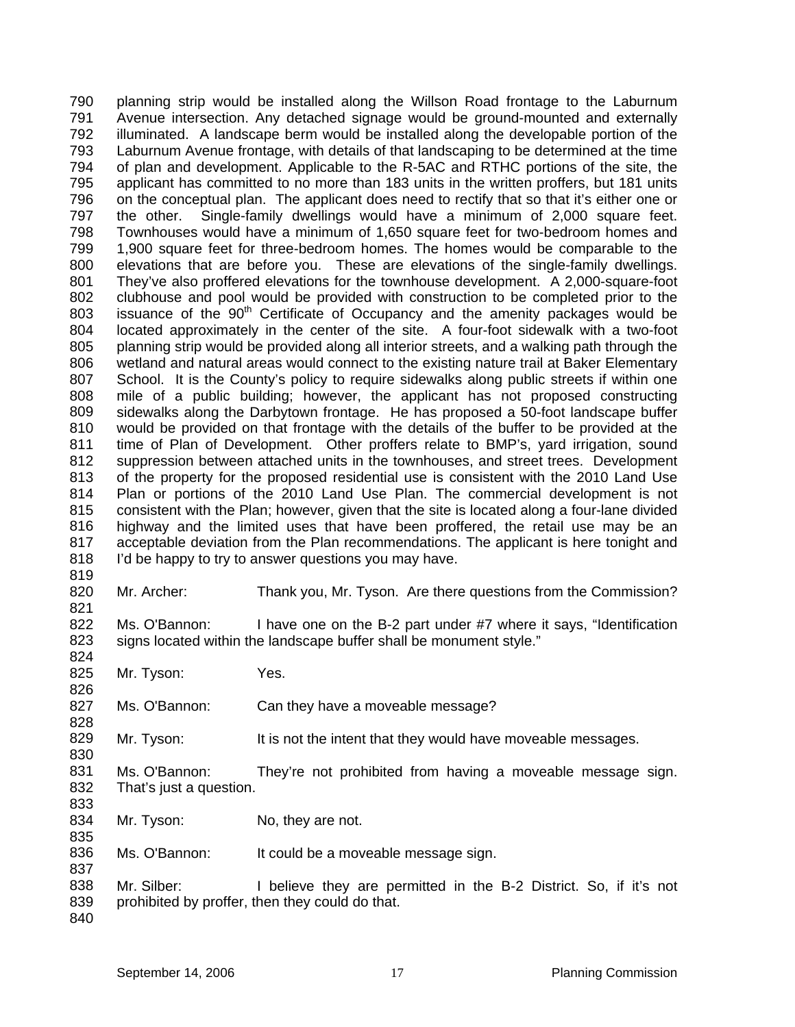planning strip would be installed along the Willson Road frontage to the Laburnum Avenue intersection. Any detached signage would be ground-mounted and externally illuminated. A landscape berm would be installed along the developable portion of the Laburnum Avenue frontage, with details of that landscaping to be determined at the time of plan and development. Applicable to the R-5AC and RTHC portions of the site, the applicant has committed to no more than 183 units in the written proffers, but 181 units on the conceptual plan. The applicant does need to rectify that so that it's either one or the other. Single-family dwellings would have a minimum of 2,000 square feet. Townhouses would have a minimum of 1,650 square feet for two-bedroom homes and 1,900 square feet for three-bedroom homes. The homes would be comparable to the elevations that are before you. These are elevations of the single-family dwellings. They've also proffered elevations for the townhouse development. A 2,000-square-foot clubhouse and pool would be provided with construction to be completed prior to the issuance of the 90<sup>th</sup> Certificate of Occupancy and the amenity packages would be 790 791 792 793 794 795 796 797 798 799 800 801 802 803 804 805 806 807 808 809 810 811 812 813 814 815 816 817 818 819 located approximately in the center of the site. A four-foot sidewalk with a two-foot planning strip would be provided along all interior streets, and a walking path through the wetland and natural areas would connect to the existing nature trail at Baker Elementary School. It is the County's policy to require sidewalks along public streets if within one mile of a public building; however, the applicant has not proposed constructing sidewalks along the Darbytown frontage. He has proposed a 50-foot landscape buffer would be provided on that frontage with the details of the buffer to be provided at the time of Plan of Development. Other proffers relate to BMP's, yard irrigation, sound suppression between attached units in the townhouses, and street trees. Development of the property for the proposed residential use is consistent with the 2010 Land Use Plan or portions of the 2010 Land Use Plan. The commercial development is not consistent with the Plan; however, given that the site is located along a four-lane divided highway and the limited uses that have been proffered, the retail use may be an acceptable deviation from the Plan recommendations. The applicant is here tonight and I'd be happy to try to answer questions you may have.

820 821 Mr. Archer: Thank you, Mr. Tyson. Are there questions from the Commission?

822 823 824 Ms. O'Bannon: I have one on the B-2 part under #7 where it says, "Identification signs located within the landscape buffer shall be monument style."

825 826 Mr. Tyson: Yes.

827 Ms. O'Bannon: Can they have a moveable message?

829 Mr. Tyson: It is not the intent that they would have moveable messages.

- 831 832 Ms. O'Bannon: They're not prohibited from having a moveable message sign. That's just a question.
- 834 835 Mr. Tyson: No, they are not.

836 Ms. O'Bannon: It could be a moveable message sign.

838 839 Mr. Silber: I believe they are permitted in the B-2 District. So, if it's not prohibited by proffer, then they could do that.

837

828

830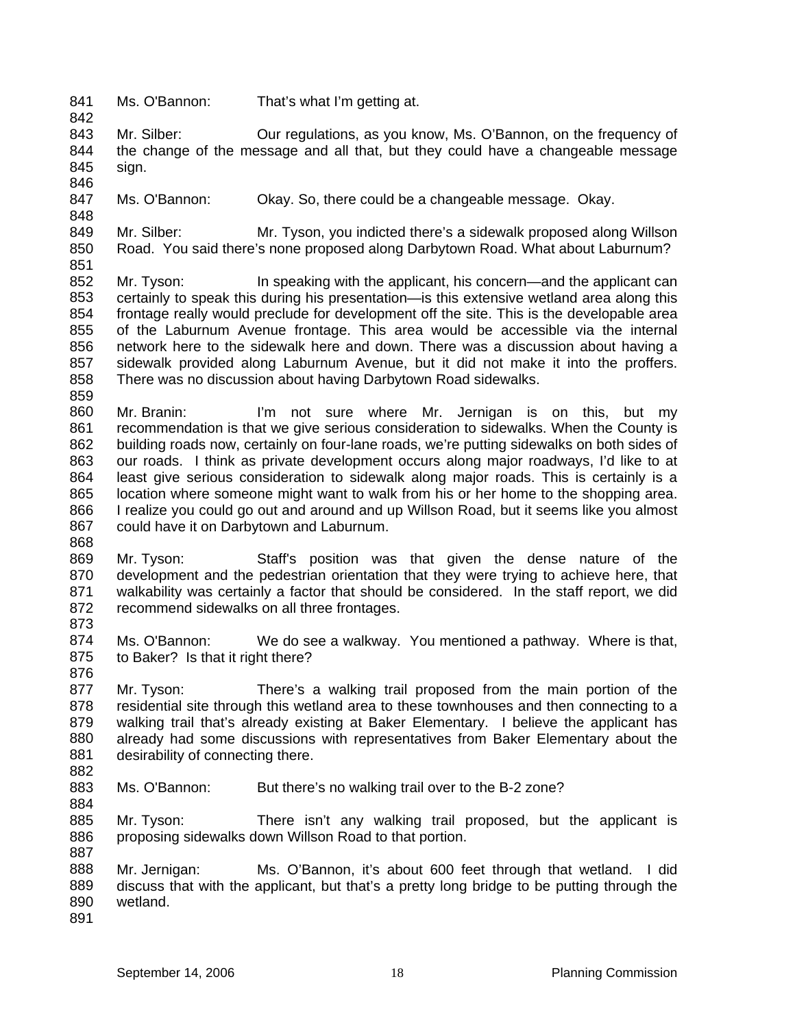841 842 Ms. O'Bannon: That's what I'm getting at.

843 844 845 Mr. Silber: **Our regulations, as you know, Ms. O'Bannon, on the frequency of** the change of the message and all that, but they could have a changeable message sign.

846 847 Ms. O'Bannon: Okay. So, there could be a changeable message. Okay.

849 850 851 Mr. Silber: Mr. Tyson, you indicted there's a sidewalk proposed along Willson Road. You said there's none proposed along Darbytown Road. What about Laburnum?

- 852 853 854 855 856 857 858 Mr. Tyson: In speaking with the applicant, his concern—and the applicant can certainly to speak this during his presentation—is this extensive wetland area along this frontage really would preclude for development off the site. This is the developable area of the Laburnum Avenue frontage. This area would be accessible via the internal network here to the sidewalk here and down. There was a discussion about having a sidewalk provided along Laburnum Avenue, but it did not make it into the proffers. There was no discussion about having Darbytown Road sidewalks.
- 859

848

860 861 862 863 864 865 866 867 Mr. Branin: I'm not sure where Mr. Jernigan is on this, but my recommendation is that we give serious consideration to sidewalks. When the County is building roads now, certainly on four-lane roads, we're putting sidewalks on both sides of our roads. I think as private development occurs along major roadways, I'd like to at least give serious consideration to sidewalk along major roads. This is certainly is a location where someone might want to walk from his or her home to the shopping area. I realize you could go out and around and up Willson Road, but it seems like you almost could have it on Darbytown and Laburnum.

868

869 870 871 872 Mr. Tyson: Staff's position was that given the dense nature of the development and the pedestrian orientation that they were trying to achieve here, that walkability was certainly a factor that should be considered. In the staff report, we did recommend sidewalks on all three frontages.

873

874 875 876 Ms. O'Bannon: We do see a walkway. You mentioned a pathway. Where is that, to Baker? Is that it right there?

877 878 879 880 881 Mr. Tyson: There's a walking trail proposed from the main portion of the residential site through this wetland area to these townhouses and then connecting to a walking trail that's already existing at Baker Elementary. I believe the applicant has already had some discussions with representatives from Baker Elementary about the desirability of connecting there.

882 883

884

- Ms. O'Bannon: But there's no walking trail over to the B-2 zone?
- 885 886 887 Mr. Tyson: There isn't any walking trail proposed, but the applicant is proposing sidewalks down Willson Road to that portion.

888 889 890 891 Mr. Jernigan: Ms. O'Bannon, it's about 600 feet through that wetland. I did discuss that with the applicant, but that's a pretty long bridge to be putting through the wetland.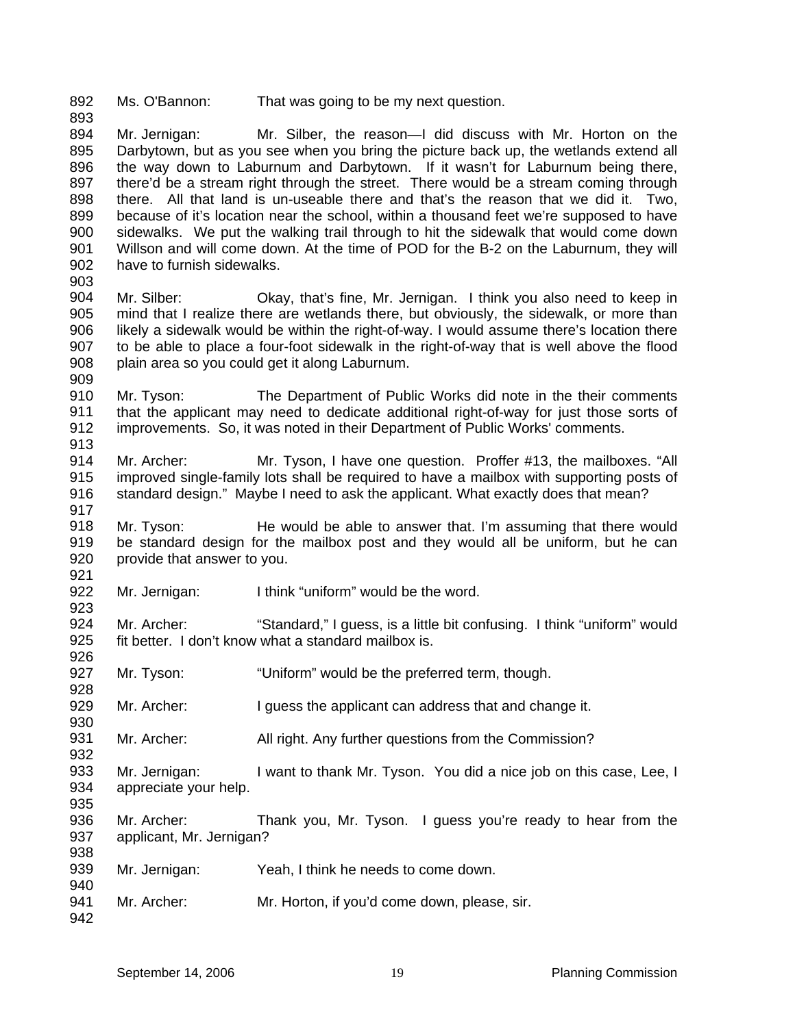892 893 Ms. O'Bannon: That was going to be my next question.

894 895 896 897 898 899 900 901 902 903 Mr. Jernigan: Mr. Silber, the reason—I did discuss with Mr. Horton on the Darbytown, but as you see when you bring the picture back up, the wetlands extend all the way down to Laburnum and Darbytown. If it wasn't for Laburnum being there, there'd be a stream right through the street. There would be a stream coming through there. All that land is un-useable there and that's the reason that we did it. Two, because of it's location near the school, within a thousand feet we're supposed to have sidewalks. We put the walking trail through to hit the sidewalk that would come down Willson and will come down. At the time of POD for the B-2 on the Laburnum, they will have to furnish sidewalks.

- 904 905 906 907 908 909 Mr. Silber: Okay, that's fine, Mr. Jernigan. I think you also need to keep in mind that I realize there are wetlands there, but obviously, the sidewalk, or more than likely a sidewalk would be within the right-of-way. I would assume there's location there to be able to place a four-foot sidewalk in the right-of-way that is well above the flood plain area so you could get it along Laburnum.
- 910 911 912 913 Mr. Tyson: The Department of Public Works did note in the their comments that the applicant may need to dedicate additional right-of-way for just those sorts of improvements. So, it was noted in their Department of Public Works' comments.
- 914 915 916 Mr. Archer: Mr. Tyson, I have one question. Proffer #13, the mailboxes. "All improved single-family lots shall be required to have a mailbox with supporting posts of standard design." Maybe I need to ask the applicant. What exactly does that mean?
- 918 919 920 Mr. Tyson: He would be able to answer that. I'm assuming that there would be standard design for the mailbox post and they would all be uniform, but he can provide that answer to you.
- 922 923 Mr. Jernigan: I think "uniform" would be the word.
- 924 925 926 Mr. Archer: "Standard," I guess, is a little bit confusing. I think "uniform" would fit better. I don't know what a standard mailbox is.
- 927 928 Mr. Tyson: "Uniform" would be the preferred term, though.
- 929 Mr. Archer: I guess the applicant can address that and change it.
- 931 Mr. Archer: All right. Any further questions from the Commission?
- 933 934 935 Mr. Jernigan: I want to thank Mr. Tyson. You did a nice job on this case, Lee, I appreciate your help.
- 936 937 938 Mr. Archer: Thank you, Mr. Tyson. I guess you're ready to hear from the applicant, Mr. Jernigan?
- 939 940 Mr. Jernigan: Yeah, I think he needs to come down.
- 941 942 Mr. Archer: Mr. Horton, if you'd come down, please, sir.

917

921

930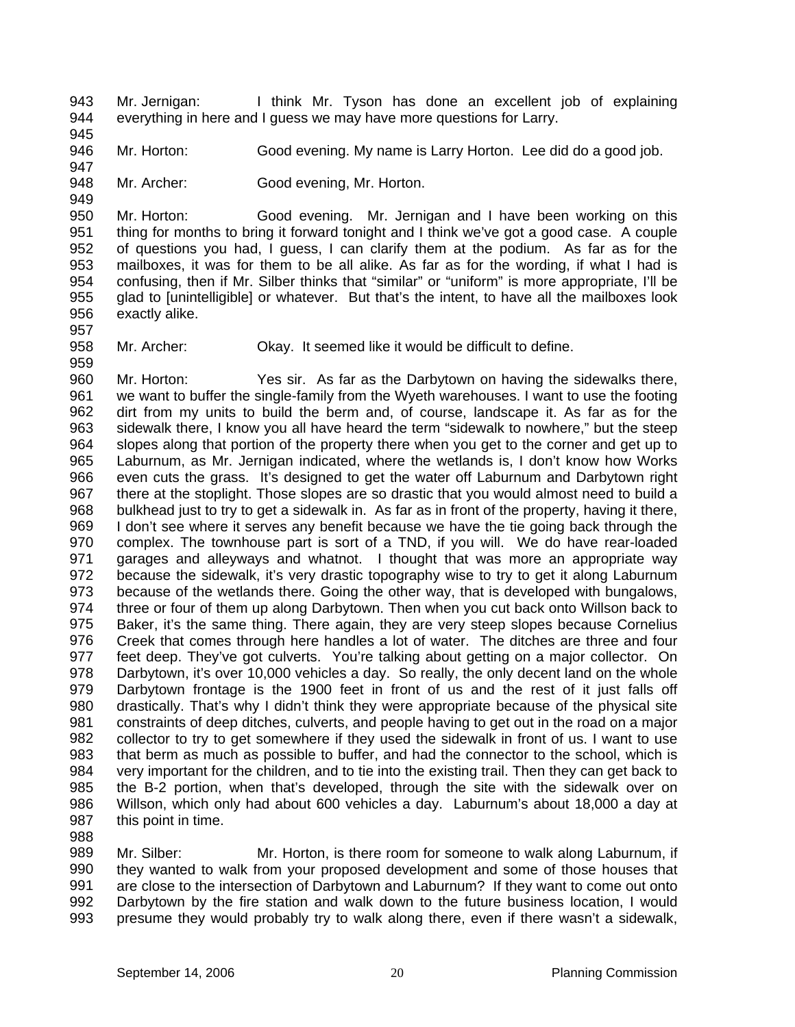943 944 Mr. Jernigan: I think Mr. Tyson has done an excellent job of explaining everything in here and I guess we may have more questions for Larry.

945 946

947

949

957

988

Mr. Horton: Good evening. My name is Larry Horton. Lee did do a good job.

948 Mr. Archer: Good evening, Mr. Horton.

950 951 952 953 954 955 956 Mr. Horton: Good evening. Mr. Jernigan and I have been working on this thing for months to bring it forward tonight and I think we've got a good case. A couple of questions you had, I guess, I can clarify them at the podium. As far as for the mailboxes, it was for them to be all alike. As far as for the wording, if what I had is confusing, then if Mr. Silber thinks that "similar" or "uniform" is more appropriate, I'll be glad to [unintelligible] or whatever. But that's the intent, to have all the mailboxes look exactly alike.

958 959 Mr. Archer: Okay. It seemed like it would be difficult to define.

960 961 962 963 964 965 966 967 968 969 970 971 972 973 974 975 976 977 978 979 980 981 982 983 984 985 986 987 Mr. Horton: Yes sir. As far as the Darbytown on having the sidewalks there, we want to buffer the single-family from the Wyeth warehouses. I want to use the footing dirt from my units to build the berm and, of course, landscape it. As far as for the sidewalk there, I know you all have heard the term "sidewalk to nowhere," but the steep slopes along that portion of the property there when you get to the corner and get up to Laburnum, as Mr. Jernigan indicated, where the wetlands is, I don't know how Works even cuts the grass. It's designed to get the water off Laburnum and Darbytown right there at the stoplight. Those slopes are so drastic that you would almost need to build a bulkhead just to try to get a sidewalk in. As far as in front of the property, having it there, I don't see where it serves any benefit because we have the tie going back through the complex. The townhouse part is sort of a TND, if you will. We do have rear-loaded garages and alleyways and whatnot. I thought that was more an appropriate way because the sidewalk, it's very drastic topography wise to try to get it along Laburnum because of the wetlands there. Going the other way, that is developed with bungalows, three or four of them up along Darbytown. Then when you cut back onto Willson back to Baker, it's the same thing. There again, they are very steep slopes because Cornelius Creek that comes through here handles a lot of water. The ditches are three and four feet deep. They've got culverts. You're talking about getting on a major collector. On Darbytown, it's over 10,000 vehicles a day. So really, the only decent land on the whole Darbytown frontage is the 1900 feet in front of us and the rest of it just falls off drastically. That's why I didn't think they were appropriate because of the physical site constraints of deep ditches, culverts, and people having to get out in the road on a major collector to try to get somewhere if they used the sidewalk in front of us. I want to use that berm as much as possible to buffer, and had the connector to the school, which is very important for the children, and to tie into the existing trail. Then they can get back to the B-2 portion, when that's developed, through the site with the sidewalk over on Willson, which only had about 600 vehicles a day. Laburnum's about 18,000 a day at this point in time.

989 990 991 992 993 Mr. Silber: Mr. Horton, is there room for someone to walk along Laburnum, if they wanted to walk from your proposed development and some of those houses that are close to the intersection of Darbytown and Laburnum? If they want to come out onto Darbytown by the fire station and walk down to the future business location, I would presume they would probably try to walk along there, even if there wasn't a sidewalk,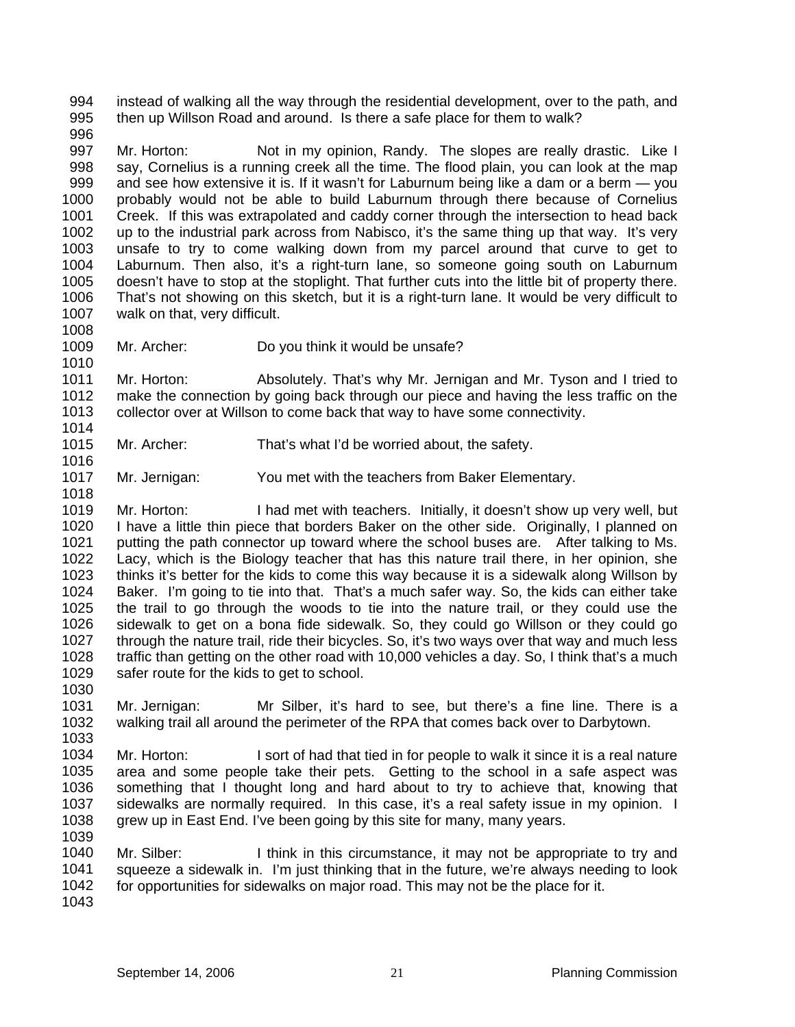994 995 instead of walking all the way through the residential development, over to the path, and then up Willson Road and around. Is there a safe place for them to walk?

996

1008

1010

1016

1018

997 998 999 1000 1001 1002 1003 1004 1005 1006 1007 Mr. Horton: Not in my opinion, Randy. The slopes are really drastic. Like I say, Cornelius is a running creek all the time. The flood plain, you can look at the map and see how extensive it is. If it wasn't for Laburnum being like a dam or a berm — you probably would not be able to build Laburnum through there because of Cornelius Creek. If this was extrapolated and caddy corner through the intersection to head back up to the industrial park across from Nabisco, it's the same thing up that way. It's very unsafe to try to come walking down from my parcel around that curve to get to Laburnum. Then also, it's a right-turn lane, so someone going south on Laburnum doesn't have to stop at the stoplight. That further cuts into the little bit of property there. That's not showing on this sketch, but it is a right-turn lane. It would be very difficult to walk on that, very difficult.

1009 Mr. Archer: Do you think it would be unsafe?

1011 1012 1013 1014 Mr. Horton: Absolutely. That's why Mr. Jernigan and Mr. Tyson and I tried to make the connection by going back through our piece and having the less traffic on the collector over at Willson to come back that way to have some connectivity.

- 1015 Mr. Archer: That's what I'd be worried about, the safety.
- 1017 Mr. Jernigan: You met with the teachers from Baker Elementary.

1019 1020 1021 1022 1023 1024 1025 1026 1027 1028 1029 1030 Mr. Horton: I had met with teachers. Initially, it doesn't show up very well, but I have a little thin piece that borders Baker on the other side. Originally, I planned on putting the path connector up toward where the school buses are. After talking to Ms. Lacy, which is the Biology teacher that has this nature trail there, in her opinion, she thinks it's better for the kids to come this way because it is a sidewalk along Willson by Baker. I'm going to tie into that. That's a much safer way. So, the kids can either take the trail to go through the woods to tie into the nature trail, or they could use the sidewalk to get on a bona fide sidewalk. So, they could go Willson or they could go through the nature trail, ride their bicycles. So, it's two ways over that way and much less traffic than getting on the other road with 10,000 vehicles a day. So, I think that's a much safer route for the kids to get to school.

- 1031 1032 1033 Mr. Jernigan: Mr Silber, it's hard to see, but there's a fine line. There is a walking trail all around the perimeter of the RPA that comes back over to Darbytown.
- 1034 1035 1036 1037 1038 1039 Mr. Horton: I sort of had that tied in for people to walk it since it is a real nature area and some people take their pets. Getting to the school in a safe aspect was something that I thought long and hard about to try to achieve that, knowing that sidewalks are normally required. In this case, it's a real safety issue in my opinion. I grew up in East End. I've been going by this site for many, many years.

1040 1041 1042 Mr. Silber: I think in this circumstance, it may not be appropriate to try and squeeze a sidewalk in. I'm just thinking that in the future, we're always needing to look for opportunities for sidewalks on major road. This may not be the place for it.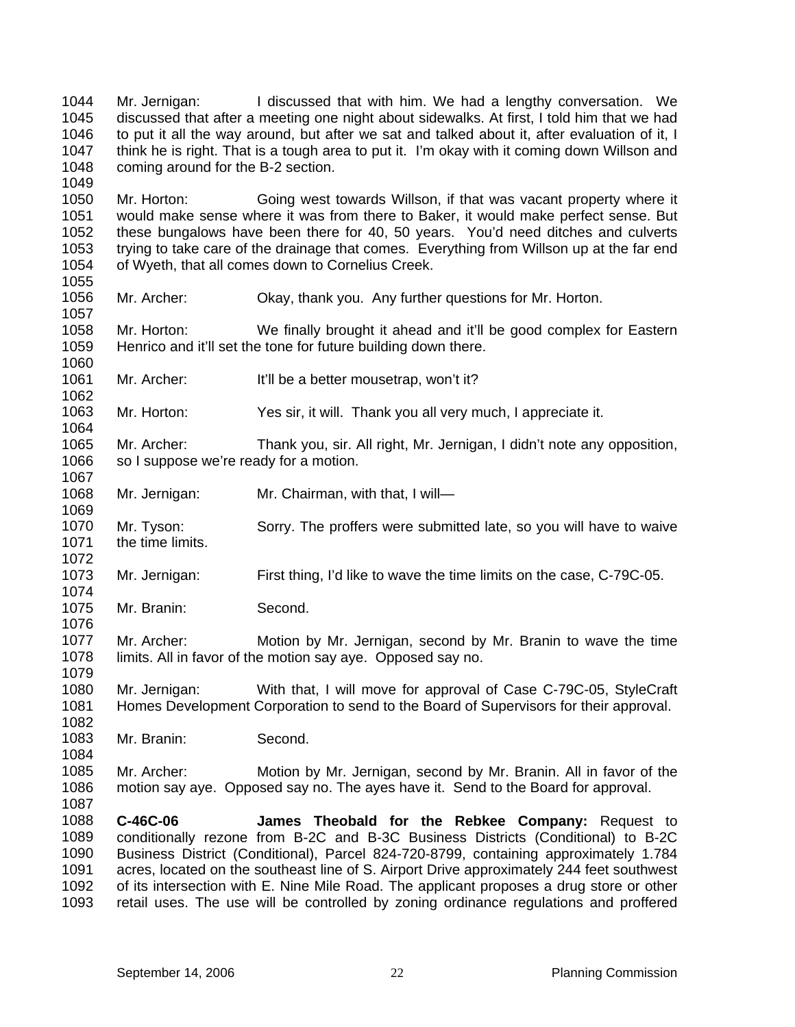1044 1045 1046 1047 1048 Mr. Jernigan: I discussed that with him. We had a lengthy conversation. We discussed that after a meeting one night about sidewalks. At first, I told him that we had to put it all the way around, but after we sat and talked about it, after evaluation of it, I think he is right. That is a tough area to put it. I'm okay with it coming down Willson and coming around for the B-2 section.

1050 1051 1052 1053 1054 Mr. Horton: Going west towards Willson, if that was vacant property where it would make sense where it was from there to Baker, it would make perfect sense. But these bungalows have been there for 40, 50 years. You'd need ditches and culverts trying to take care of the drainage that comes. Everything from Willson up at the far end of Wyeth, that all comes down to Cornelius Creek.

- 1056 1057 Mr. Archer: Okay, thank you. Any further questions for Mr. Horton.
- 1058 1059 1060 Mr. Horton: We finally brought it ahead and it'll be good complex for Eastern Henrico and it'll set the tone for future building down there.
- 1061 Mr. Archer: It'll be a better mousetrap, won't it?
- 1063 1064 Mr. Horton: Yes sir, it will. Thank you all very much, I appreciate it.
- 1065 1066 Mr. Archer: Thank you, sir. All right, Mr. Jernigan, I didn't note any opposition, so I suppose we're ready for a motion.
- 1068 Mr. Jernigan: Mr. Chairman, with that, I will-
- 1070 1071 1072 Mr. Tyson: Sorry. The proffers were submitted late, so you will have to waive the time limits.
- 1073 Mr. Jernigan: First thing, I'd like to wave the time limits on the case, C-79C-05.
- 1075 Mr. Branin: Second.

1049

1055

1062

1067

1069

1074

1076

1082

- 1077 1078 1079 Mr. Archer: Motion by Mr. Jernigan, second by Mr. Branin to wave the time limits. All in favor of the motion say aye. Opposed say no.
- 1080 1081 Mr. Jernigan: With that, I will move for approval of Case C-79C-05, StyleCraft Homes Development Corporation to send to the Board of Supervisors for their approval.
- 1083 Mr. Branin: Second.
- 1085 1086 1087 Mr. Archer: Motion by Mr. Jernigan, second by Mr. Branin. All in favor of the motion say aye. Opposed say no. The ayes have it. Send to the Board for approval.
- 1088 1089 1090 1091 1092 1093 **C-46C-06 James Theobald for the Rebkee Company:** Request to conditionally rezone from B-2C and B-3C Business Districts (Conditional) to B-2C Business District (Conditional), Parcel 824-720-8799, containing approximately 1.784 acres, located on the southeast line of S. Airport Drive approximately 244 feet southwest of its intersection with E. Nine Mile Road. The applicant proposes a drug store or other retail uses. The use will be controlled by zoning ordinance regulations and proffered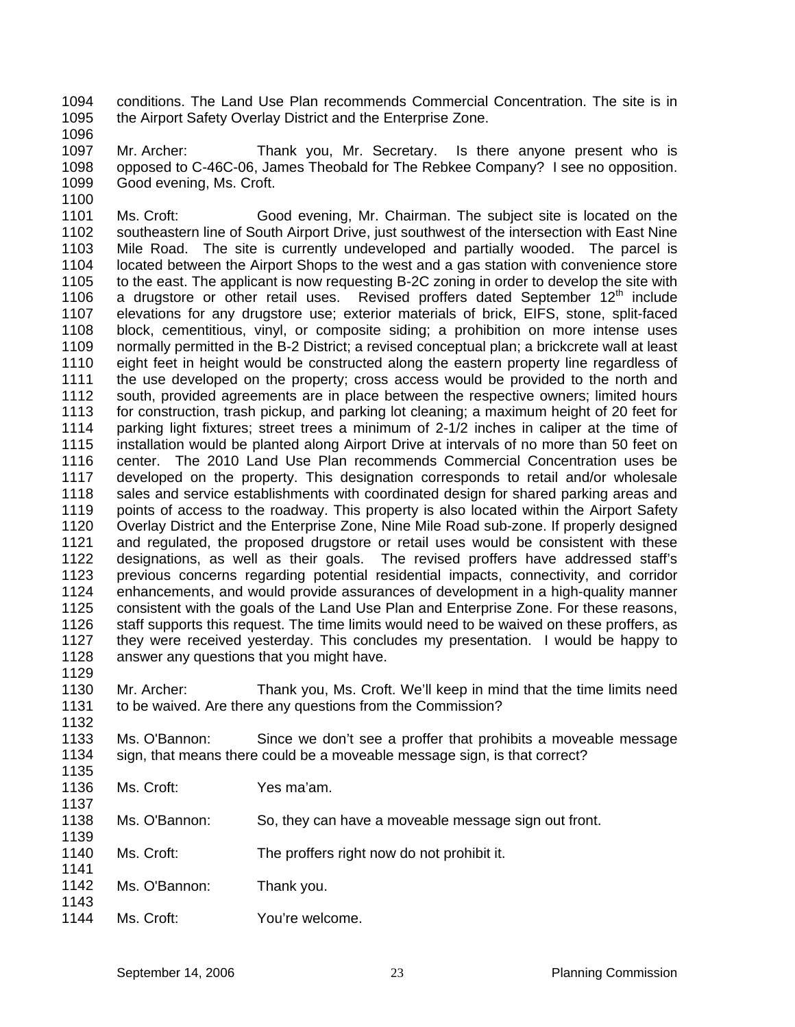1094 1095 conditions. The Land Use Plan recommends Commercial Concentration. The site is in the Airport Safety Overlay District and the Enterprise Zone.

1096

1097 1098 1099 Mr. Archer: Thank you, Mr. Secretary. Is there anyone present who is opposed to C-46C-06, James Theobald for The Rebkee Company? I see no opposition. Good evening, Ms. Croft.

1100

1132

1141

1143

1101 1102 1103 1104 1105 1106 1107 1108 1109 1110 1111 1112 1113 1114 1115 1116 1117 1118 1119 1120 1121 1122 1123 1124 1125 1126 1127 1128 1129 Ms. Croft: Good evening, Mr. Chairman. The subject site is located on the southeastern line of South Airport Drive, just southwest of the intersection with East Nine Mile Road. The site is currently undeveloped and partially wooded. The parcel is located between the Airport Shops to the west and a gas station with convenience store to the east. The applicant is now requesting B-2C zoning in order to develop the site with a drugstore or other retail uses. Revised proffers dated September 12<sup>th</sup> include elevations for any drugstore use; exterior materials of brick, EIFS, stone, split-faced block, cementitious, vinyl, or composite siding; a prohibition on more intense uses normally permitted in the B-2 District; a revised conceptual plan; a brickcrete wall at least eight feet in height would be constructed along the eastern property line regardless of the use developed on the property; cross access would be provided to the north and south, provided agreements are in place between the respective owners; limited hours for construction, trash pickup, and parking lot cleaning; a maximum height of 20 feet for parking light fixtures; street trees a minimum of 2-1/2 inches in caliper at the time of installation would be planted along Airport Drive at intervals of no more than 50 feet on center. The 2010 Land Use Plan recommends Commercial Concentration uses be developed on the property. This designation corresponds to retail and/or wholesale sales and service establishments with coordinated design for shared parking areas and points of access to the roadway. This property is also located within the Airport Safety Overlay District and the Enterprise Zone, Nine Mile Road sub-zone. If properly designed and regulated, the proposed drugstore or retail uses would be consistent with these designations, as well as their goals. The revised proffers have addressed staff's previous concerns regarding potential residential impacts, connectivity, and corridor enhancements, and would provide assurances of development in a high-quality manner consistent with the goals of the Land Use Plan and Enterprise Zone. For these reasons, staff supports this request. The time limits would need to be waived on these proffers, as they were received yesterday. This concludes my presentation. I would be happy to answer any questions that you might have.

1130 1131 Mr. Archer: Thank you, Ms. Croft. We'll keep in mind that the time limits need to be waived. Are there any questions from the Commission?

1133 1134 1135 Ms. O'Bannon: Since we don't see a proffer that prohibits a moveable message sign, that means there could be a moveable message sign, is that correct?

- 1136 1137 Ms. Croft: Yes ma'am.
- 1138 1139 Ms. O'Bannon: So, they can have a moveable message sign out front.
- 1140 Ms. Croft: The proffers right now do not prohibit it.
- 1142 Ms. O'Bannon: Thank you.
- 1144 Ms. Croft: You're welcome.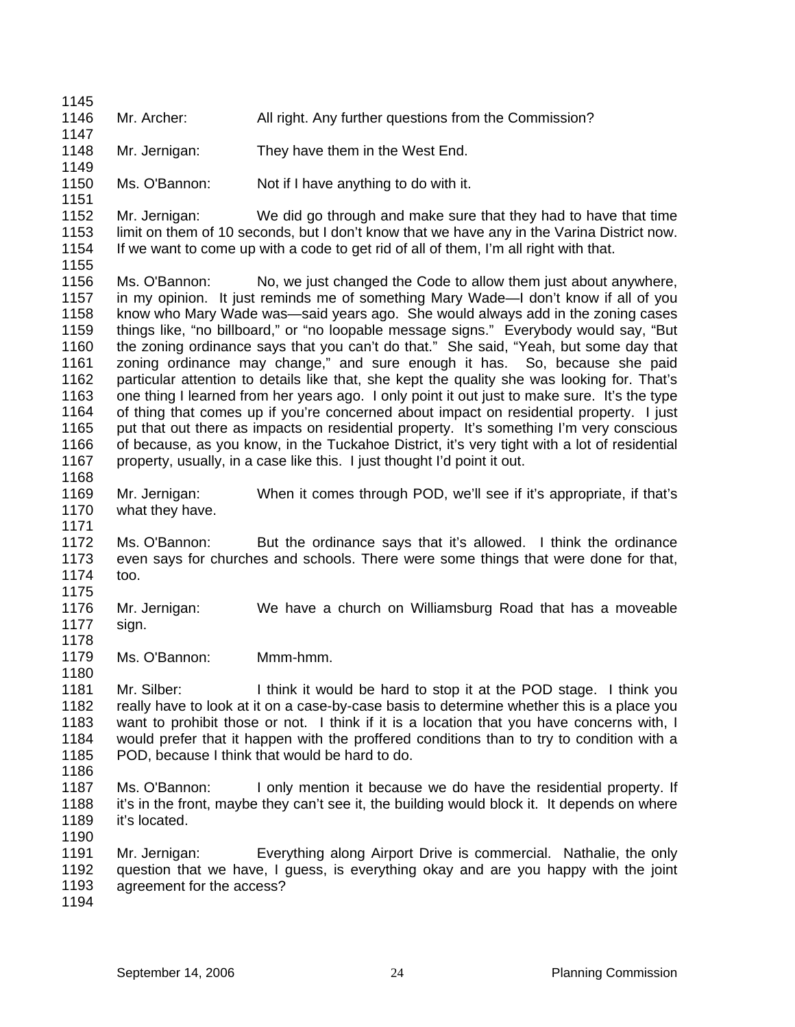1145 1146 1147 1148 1149 1150 1151 1152 1153 1154 1155 1156 1157 1158 1159 1160 1161 1162 1163 1164 1165 1166 1167 1168 1169 1170 1171 1172 1173 1174 1175 1176 1177 1178 1179 1180 1181 1182 1183 1184 1185 1186 1187 1188 1189 1190 1191 1192 1193 1194 Mr. Archer: All right. Any further questions from the Commission? Mr. Jernigan: They have them in the West End. Ms. O'Bannon: Not if I have anything to do with it. Mr. Jernigan: We did go through and make sure that they had to have that time limit on them of 10 seconds, but I don't know that we have any in the Varina District now. If we want to come up with a code to get rid of all of them, I'm all right with that. Ms. O'Bannon: No, we just changed the Code to allow them just about anywhere, in my opinion. It just reminds me of something Mary Wade—I don't know if all of you know who Mary Wade was—said years ago. She would always add in the zoning cases things like, "no billboard," or "no loopable message signs." Everybody would say, "But the zoning ordinance says that you can't do that." She said, "Yeah, but some day that zoning ordinance may change," and sure enough it has. So, because she paid particular attention to details like that, she kept the quality she was looking for. That's one thing I learned from her years ago. I only point it out just to make sure. It's the type of thing that comes up if you're concerned about impact on residential property. I just put that out there as impacts on residential property. It's something I'm very conscious of because, as you know, in the Tuckahoe District, it's very tight with a lot of residential property, usually, in a case like this. I just thought I'd point it out. Mr. Jernigan: When it comes through POD, we'll see if it's appropriate, if that's what they have. Ms. O'Bannon: But the ordinance says that it's allowed. I think the ordinance even says for churches and schools. There were some things that were done for that, too. Mr. Jernigan: We have a church on Williamsburg Road that has a moveable sign. Ms. O'Bannon: Mmm-hmm. Mr. Silber: I think it would be hard to stop it at the POD stage. I think you really have to look at it on a case-by-case basis to determine whether this is a place you want to prohibit those or not. I think if it is a location that you have concerns with, I would prefer that it happen with the proffered conditions than to try to condition with a POD, because I think that would be hard to do. Ms. O'Bannon: I only mention it because we do have the residential property. If it's in the front, maybe they can't see it, the building would block it. It depends on where it's located. Mr. Jernigan: Everything along Airport Drive is commercial. Nathalie, the only question that we have, I guess, is everything okay and are you happy with the joint agreement for the access?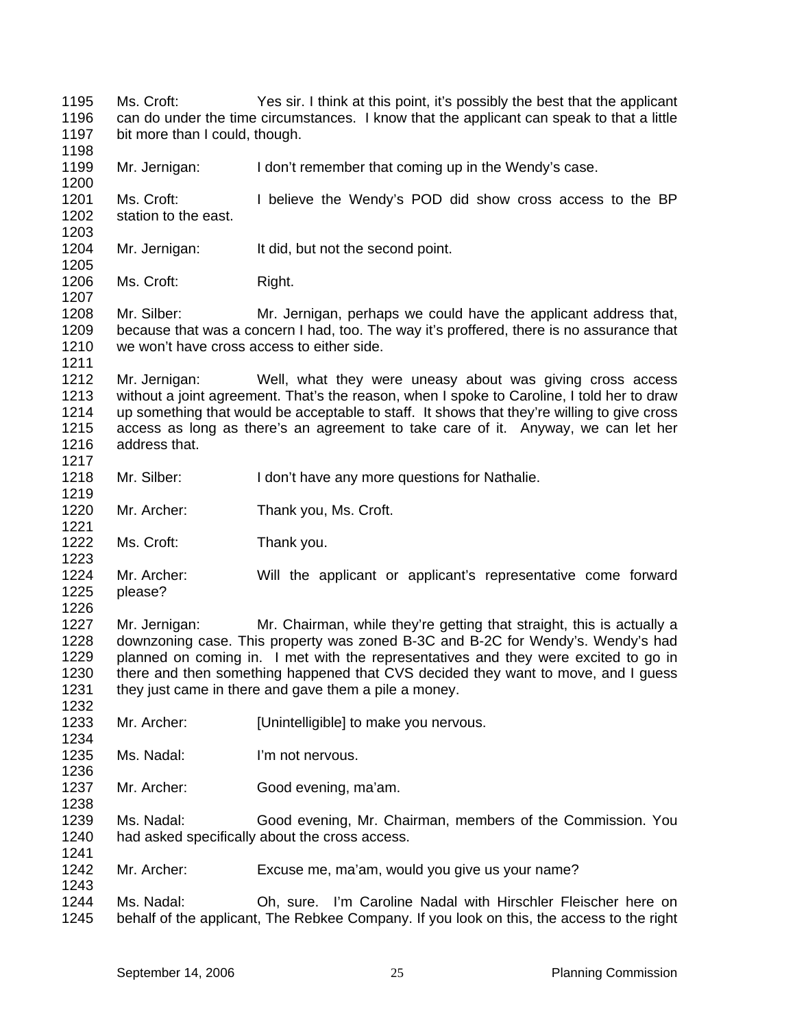1195 1196 1197 1198 Ms. Croft: Yes sir. I think at this point, it's possibly the best that the applicant can do under the time circumstances. I know that the applicant can speak to that a little bit more than I could, though.

1199 Mr. Jernigan: I don't remember that coming up in the Wendy's case.

1201 1202 Ms. Croft: I believe the Wendy's POD did show cross access to the BP station to the east.

- 1204 Mr. Jernigan: It did, but not the second point.
- 1206 Ms. Croft: Right.

1200

1203

1205

1207

1219

1221

1223

1232

1238

1241

1243

1208 1209 1210 1211 Mr. Silber: Mr. Jernigan, perhaps we could have the applicant address that, because that was a concern I had, too. The way it's proffered, there is no assurance that we won't have cross access to either side.

1212 1213 1214 1215 1216 1217 Mr. Jernigan: Well, what they were uneasy about was giving cross access without a joint agreement. That's the reason, when I spoke to Caroline, I told her to draw up something that would be acceptable to staff. It shows that they're willing to give cross access as long as there's an agreement to take care of it. Anyway, we can let her address that.

- 1218 Mr. Silber: I don't have any more questions for Nathalie.
- 1220 Mr. Archer: Thank you, Ms. Croft.
- 1222 Ms. Croft: Thank you.
- 1224 1225 1226 Mr. Archer: Will the applicant or applicant's representative come forward please?

1227 1228 1229 1230 1231 Mr. Jernigan: Mr. Chairman, while they're getting that straight, this is actually a downzoning case. This property was zoned B-3C and B-2C for Wendy's. Wendy's had planned on coming in. I met with the representatives and they were excited to go in there and then something happened that CVS decided they want to move, and I guess they just came in there and gave them a pile a money.

- 1233 1234 Mr. Archer: [Unintelligible] to make you nervous.
- 1235 1236 Ms. Nadal: I'm not nervous.
- 1237 Mr. Archer: Good evening, ma'am.

1239 1240 Ms. Nadal: Good evening, Mr. Chairman, members of the Commission. You had asked specifically about the cross access.

- 1242 Mr. Archer: Excuse me, ma'am, would you give us your name?
- 1244 1245 Ms. Nadal: Oh, sure. I'm Caroline Nadal with Hirschler Fleischer here on behalf of the applicant, The Rebkee Company. If you look on this, the access to the right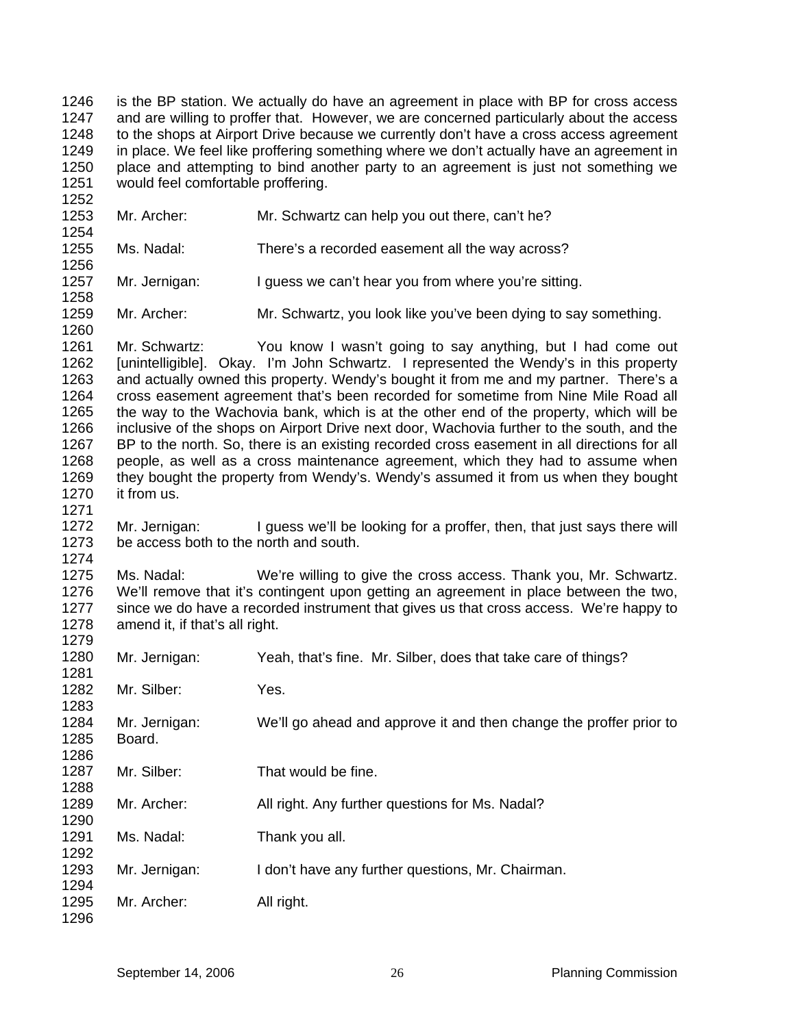1246 1247 1248 1249 1250 1251 is the BP station. We actually do have an agreement in place with BP for cross access and are willing to proffer that. However, we are concerned particularly about the access to the shops at Airport Drive because we currently don't have a cross access agreement in place. We feel like proffering something where we don't actually have an agreement in place and attempting to bind another party to an agreement is just not something we would feel comfortable proffering.

- 1253 1254 Mr. Archer: Mr. Schwartz can help you out there, can't he?
- 1255 1256 Ms. Nadal: There's a recorded easement all the way across?
- 1257 Mr. Jernigan: I guess we can't hear you from where you're sitting.
- 1259 Mr. Archer: Mr. Schwartz, you look like you've been dying to say something.

1261 1262 1263 1264 1265 1266 1267 1268 1269 1270 Mr. Schwartz: You know I wasn't going to say anything, but I had come out [unintelligible]. Okay. I'm John Schwartz. I represented the Wendy's in this property and actually owned this property. Wendy's bought it from me and my partner. There's a cross easement agreement that's been recorded for sometime from Nine Mile Road all the way to the Wachovia bank, which is at the other end of the property, which will be inclusive of the shops on Airport Drive next door, Wachovia further to the south, and the BP to the north. So, there is an existing recorded cross easement in all directions for all people, as well as a cross maintenance agreement, which they had to assume when they bought the property from Wendy's. Wendy's assumed it from us when they bought it from us.

1272 1273 Mr. Jernigan: I guess we'll be looking for a proffer, then, that just says there will be access both to the north and south.

1275 1276 1277 1278 Ms. Nadal: We're willing to give the cross access. Thank you, Mr. Schwartz. We'll remove that it's contingent upon getting an agreement in place between the two, since we do have a recorded instrument that gives us that cross access. We're happy to amend it, if that's all right.

| 1280                 | Mr. Jernigan:           | Yeah, that's fine. Mr. Silber, does that take care of things?      |
|----------------------|-------------------------|--------------------------------------------------------------------|
| 1281<br>1282<br>1283 | Mr. Silber:             | Yes.                                                               |
| 1284<br>1285<br>1286 | Mr. Jernigan:<br>Board. | We'll go ahead and approve it and then change the proffer prior to |
| 1287<br>1288         | Mr. Silber:             | That would be fine.                                                |
| 1289<br>1290         | Mr. Archer:             | All right. Any further questions for Ms. Nadal?                    |
| 1291<br>1292         | Ms. Nadal:              | Thank you all.                                                     |
| 1293<br>1294         | Mr. Jernigan:           | I don't have any further questions, Mr. Chairman.                  |
| 1295<br>1296         | Mr. Archer:             | All right.                                                         |

1252

1258

1260

1271

1274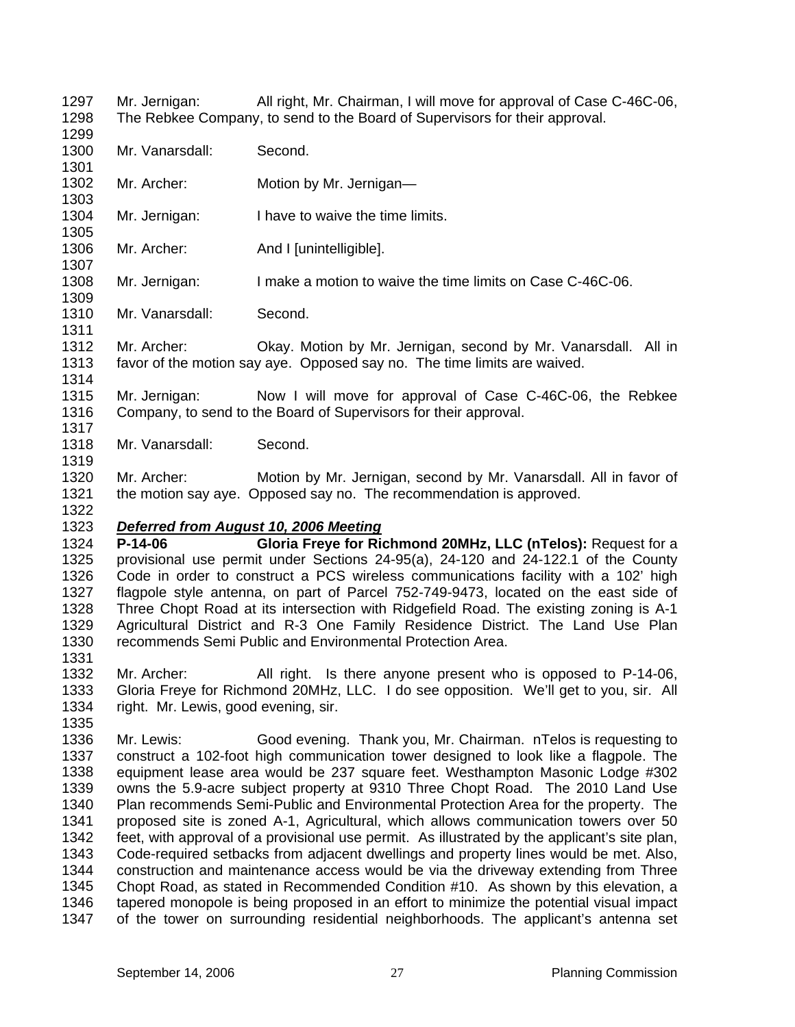1297 1298 Mr. Jernigan: All right, Mr. Chairman, I will move for approval of Case C-46C-06, The Rebkee Company, to send to the Board of Supervisors for their approval.

1300 Mr. Vanarsdall: Second.

1299

1301

1305

1307

1309

1311

1314

1317

1319

1322

1335

- 1302 1303 Mr. Archer: Motion by Mr. Jernigan—
- 1304 Mr. Jernigan: I have to waive the time limits.
- 1306 Mr. Archer: And I [unintelligible].
- 1308 Mr. Jernigan: I make a motion to waive the time limits on Case C-46C-06.
- 1310 Mr. Vanarsdall: Second.
- 1312 1313 Mr. Archer: Okay. Motion by Mr. Jernigan, second by Mr. Vanarsdall. All in favor of the motion say aye. Opposed say no. The time limits are waived.
- 1315 1316 Mr. Jernigan: Now I will move for approval of Case C-46C-06, the Rebkee Company, to send to the Board of Supervisors for their approval.
- 1318 Mr. Vanarsdall: Second.
- 1320 1321 Mr. Archer: Motion by Mr. Jernigan, second by Mr. Vanarsdall. All in favor of the motion say aye. Opposed say no. The recommendation is approved.

#### 1323 *Deferred from August 10, 2006 Meeting*

1324 1325 1326 1327 1328 1329 1330 1331 **P-14-06 Gloria Freye for Richmond 20MHz, LLC (nTelos):** Request for a provisional use permit under Sections 24-95(a), 24-120 and 24-122.1 of the County Code in order to construct a PCS wireless communications facility with a 102' high flagpole style antenna, on part of Parcel 752-749-9473, located on the east side of Three Chopt Road at its intersection with Ridgefield Road. The existing zoning is A-1 Agricultural District and R-3 One Family Residence District. The Land Use Plan recommends Semi Public and Environmental Protection Area.

1332 1333 1334 Mr. Archer: All right. Is there anyone present who is opposed to P-14-06, Gloria Freye for Richmond 20MHz, LLC. I do see opposition. We'll get to you, sir. All right. Mr. Lewis, good evening, sir.

1336 1337 1338 1339 1340 1341 1342 1343 1344 1345 1346 1347 Mr. Lewis: Good evening. Thank you, Mr. Chairman. nTelos is requesting to construct a 102-foot high communication tower designed to look like a flagpole. The equipment lease area would be 237 square feet. Westhampton Masonic Lodge #302 owns the 5.9-acre subject property at 9310 Three Chopt Road. The 2010 Land Use Plan recommends Semi-Public and Environmental Protection Area for the property. The proposed site is zoned A-1, Agricultural, which allows communication towers over 50 feet, with approval of a provisional use permit. As illustrated by the applicant's site plan, Code-required setbacks from adjacent dwellings and property lines would be met. Also, construction and maintenance access would be via the driveway extending from Three Chopt Road, as stated in Recommended Condition #10. As shown by this elevation, a tapered monopole is being proposed in an effort to minimize the potential visual impact of the tower on surrounding residential neighborhoods. The applicant's antenna set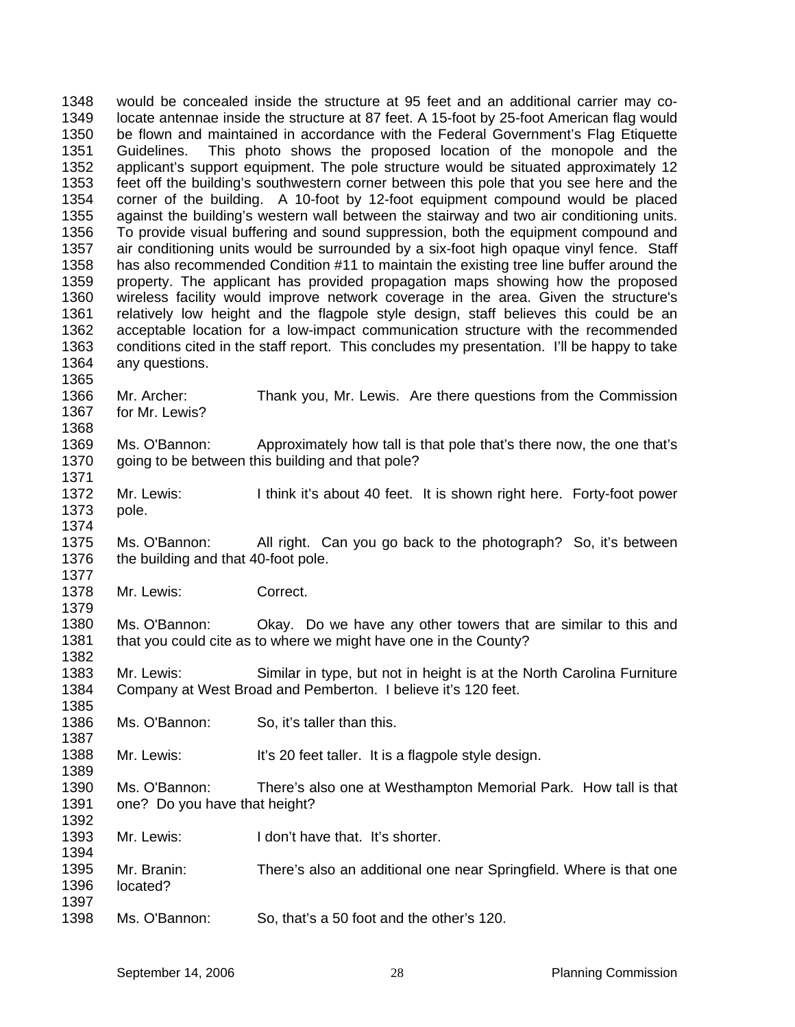1348 1349 1350 1351 1352 1353 1354 1355 1356 1357 1358 1359 1360 1361 1362 1363 1364 1365 1366 1367 1368 1369 1370 1371 1372 1373 1374 1375 1376 1377 1378 1379 1380 1381 1382 1383 1384 1385 1386 1387 1388 1389 1390 1391 1392 1393 1394 1395 1396 1397 would be concealed inside the structure at 95 feet and an additional carrier may colocate antennae inside the structure at 87 feet. A 15-foot by 25-foot American flag would be flown and maintained in accordance with the Federal Government's Flag Etiquette Guidelines. This photo shows the proposed location of the monopole and the applicant's support equipment. The pole structure would be situated approximately 12 feet off the building's southwestern corner between this pole that you see here and the corner of the building. A 10-foot by 12-foot equipment compound would be placed against the building's western wall between the stairway and two air conditioning units. To provide visual buffering and sound suppression, both the equipment compound and air conditioning units would be surrounded by a six-foot high opaque vinyl fence. Staff has also recommended Condition #11 to maintain the existing tree line buffer around the property. The applicant has provided propagation maps showing how the proposed wireless facility would improve network coverage in the area. Given the structure's relatively low height and the flagpole style design, staff believes this could be an acceptable location for a low-impact communication structure with the recommended conditions cited in the staff report. This concludes my presentation. I'll be happy to take any questions. Mr. Archer: Thank you, Mr. Lewis. Are there questions from the Commission for Mr. Lewis? Ms. O'Bannon: Approximately how tall is that pole that's there now, the one that's going to be between this building and that pole? Mr. Lewis: I think it's about 40 feet. It is shown right here. Forty-foot power pole. Ms. O'Bannon: All right. Can you go back to the photograph? So, it's between the building and that 40-foot pole. Mr. Lewis: Correct. Ms. O'Bannon: Okay. Do we have any other towers that are similar to this and that you could cite as to where we might have one in the County? Mr. Lewis: Similar in type, but not in height is at the North Carolina Furniture Company at West Broad and Pemberton. I believe it's 120 feet. Ms. O'Bannon: So, it's taller than this. Mr. Lewis: It's 20 feet taller. It is a flagpole style design. Ms. O'Bannon: There's also one at Westhampton Memorial Park. How tall is that one? Do you have that height? Mr. Lewis: I don't have that. It's shorter. Mr. Branin: There's also an additional one near Springfield. Where is that one located?

1398 Ms. O'Bannon: So, that's a 50 foot and the other's 120.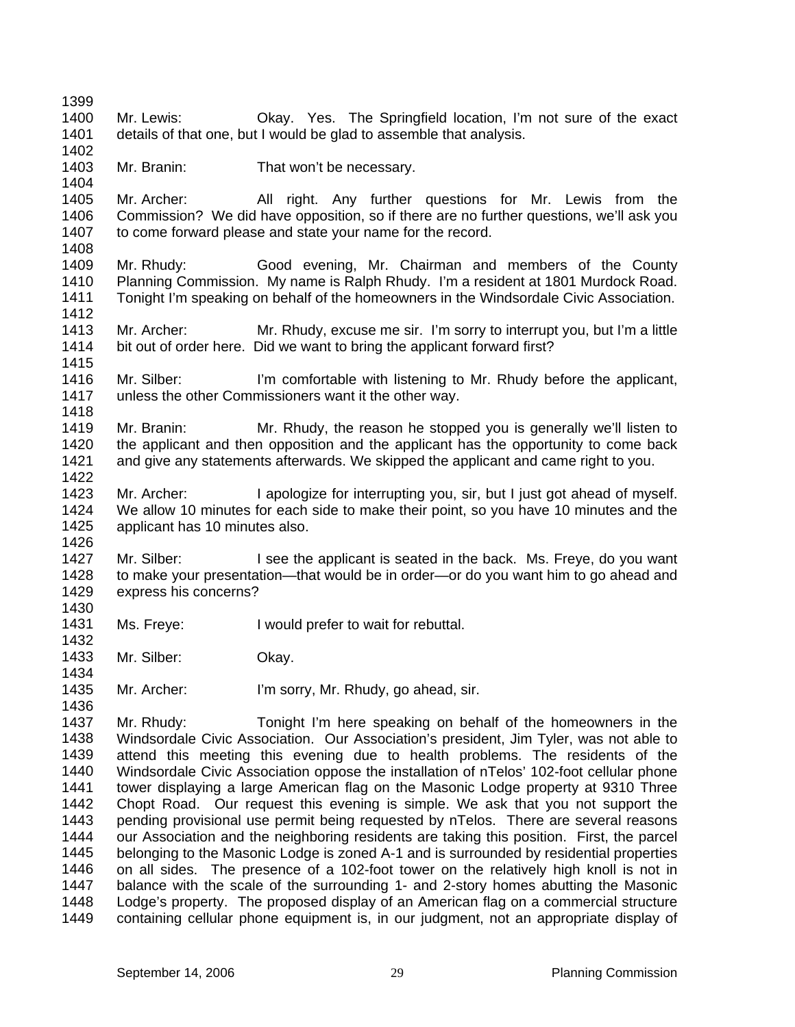1399 1400 1401 1402 1403 1404 1405 1406 1407 1408 1409 1410 1411 1412 1413 1414 1415 1416 1417 1418 1419 1420 1421 1422 1423 1424 1425 1426 1427 1428 1429 1430 1431 1432 1433 1434 1435 1436 1437 1438 1439 1440 1441 1442 1443 1444 1445 1446 1447 1448 1449 Mr. Lewis: Okay. Yes. The Springfield location, I'm not sure of the exact details of that one, but I would be glad to assemble that analysis. Mr. Branin: That won't be necessary. Mr. Archer: All right. Any further questions for Mr. Lewis from the Commission? We did have opposition, so if there are no further questions, we'll ask you to come forward please and state your name for the record. Mr. Rhudy: Good evening, Mr. Chairman and members of the County Planning Commission. My name is Ralph Rhudy. I'm a resident at 1801 Murdock Road. Tonight I'm speaking on behalf of the homeowners in the Windsordale Civic Association. Mr. Archer: Mr. Rhudy, excuse me sir. I'm sorry to interrupt you, but I'm a little bit out of order here. Did we want to bring the applicant forward first? Mr. Silber: I'm comfortable with listening to Mr. Rhudy before the applicant, unless the other Commissioners want it the other way. Mr. Branin: Mr. Rhudy, the reason he stopped you is generally we'll listen to the applicant and then opposition and the applicant has the opportunity to come back and give any statements afterwards. We skipped the applicant and came right to you. Mr. Archer: I apologize for interrupting you, sir, but I just got ahead of myself. We allow 10 minutes for each side to make their point, so you have 10 minutes and the applicant has 10 minutes also. Mr. Silber: I see the applicant is seated in the back. Ms. Freye, do you want to make your presentation—that would be in order—or do you want him to go ahead and express his concerns? Ms. Freye: I would prefer to wait for rebuttal. Mr. Silber: Okay. Mr. Archer: I'm sorry, Mr. Rhudy, go ahead, sir. Mr. Rhudy: Tonight I'm here speaking on behalf of the homeowners in the Windsordale Civic Association. Our Association's president, Jim Tyler, was not able to attend this meeting this evening due to health problems. The residents of the Windsordale Civic Association oppose the installation of nTelos' 102-foot cellular phone tower displaying a large American flag on the Masonic Lodge property at 9310 Three Chopt Road. Our request this evening is simple. We ask that you not support the pending provisional use permit being requested by nTelos. There are several reasons our Association and the neighboring residents are taking this position. First, the parcel belonging to the Masonic Lodge is zoned A-1 and is surrounded by residential properties on all sides. The presence of a 102-foot tower on the relatively high knoll is not in balance with the scale of the surrounding 1- and 2-story homes abutting the Masonic Lodge's property. The proposed display of an American flag on a commercial structure containing cellular phone equipment is, in our judgment, not an appropriate display of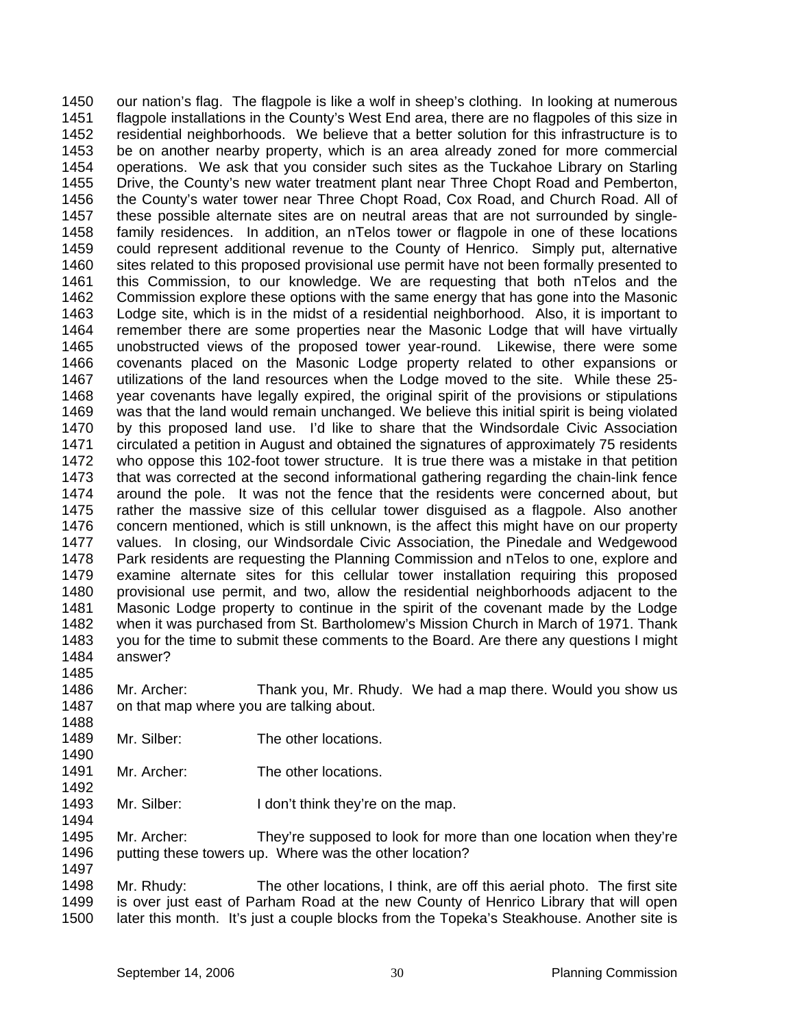1450 1451 1452 1453 1454 1455 1456 1457 1458 1459 1460 1461 1462 1463 1464 1465 1466 1467 1468 1469 1470 1471 1472 1473 1474 1475 1476 1477 1478 1479 1480 1481 1482 1483 1484 our nation's flag. The flagpole is like a wolf in sheep's clothing. In looking at numerous flagpole installations in the County's West End area, there are no flagpoles of this size in residential neighborhoods. We believe that a better solution for this infrastructure is to be on another nearby property, which is an area already zoned for more commercial operations. We ask that you consider such sites as the Tuckahoe Library on Starling Drive, the County's new water treatment plant near Three Chopt Road and Pemberton, the County's water tower near Three Chopt Road, Cox Road, and Church Road. All of these possible alternate sites are on neutral areas that are not surrounded by singlefamily residences. In addition, an nTelos tower or flagpole in one of these locations could represent additional revenue to the County of Henrico. Simply put, alternative sites related to this proposed provisional use permit have not been formally presented to this Commission, to our knowledge. We are requesting that both nTelos and the Commission explore these options with the same energy that has gone into the Masonic Lodge site, which is in the midst of a residential neighborhood. Also, it is important to remember there are some properties near the Masonic Lodge that will have virtually unobstructed views of the proposed tower year-round. Likewise, there were some covenants placed on the Masonic Lodge property related to other expansions or utilizations of the land resources when the Lodge moved to the site. While these 25 year covenants have legally expired, the original spirit of the provisions or stipulations was that the land would remain unchanged. We believe this initial spirit is being violated by this proposed land use. I'd like to share that the Windsordale Civic Association circulated a petition in August and obtained the signatures of approximately 75 residents who oppose this 102-foot tower structure. It is true there was a mistake in that petition that was corrected at the second informational gathering regarding the chain-link fence around the pole. It was not the fence that the residents were concerned about, but rather the massive size of this cellular tower disguised as a flagpole. Also another concern mentioned, which is still unknown, is the affect this might have on our property values. In closing, our Windsordale Civic Association, the Pinedale and Wedgewood Park residents are requesting the Planning Commission and nTelos to one, explore and examine alternate sites for this cellular tower installation requiring this proposed provisional use permit, and two, allow the residential neighborhoods adjacent to the Masonic Lodge property to continue in the spirit of the covenant made by the Lodge when it was purchased from St. Bartholomew's Mission Church in March of 1971. Thank you for the time to submit these comments to the Board. Are there any questions I might answer?

- 1486 1487 Mr. Archer: Thank you, Mr. Rhudy. We had a map there. Would you show us on that map where you are talking about.
- 1489 Mr. Silber: The other locations.

1485

1488

1490

1492

1494

- 1491 Mr. Archer: The other locations.
- 1493 Mr. Silber: I don't think they're on the map.
- 1495 1496 Mr. Archer: They're supposed to look for more than one location when they're putting these towers up. Where was the other location?
- 1498 1499 1500 Mr. Rhudy: The other locations, I think, are off this aerial photo. The first site is over just east of Parham Road at the new County of Henrico Library that will open later this month. It's just a couple blocks from the Topeka's Steakhouse. Another site is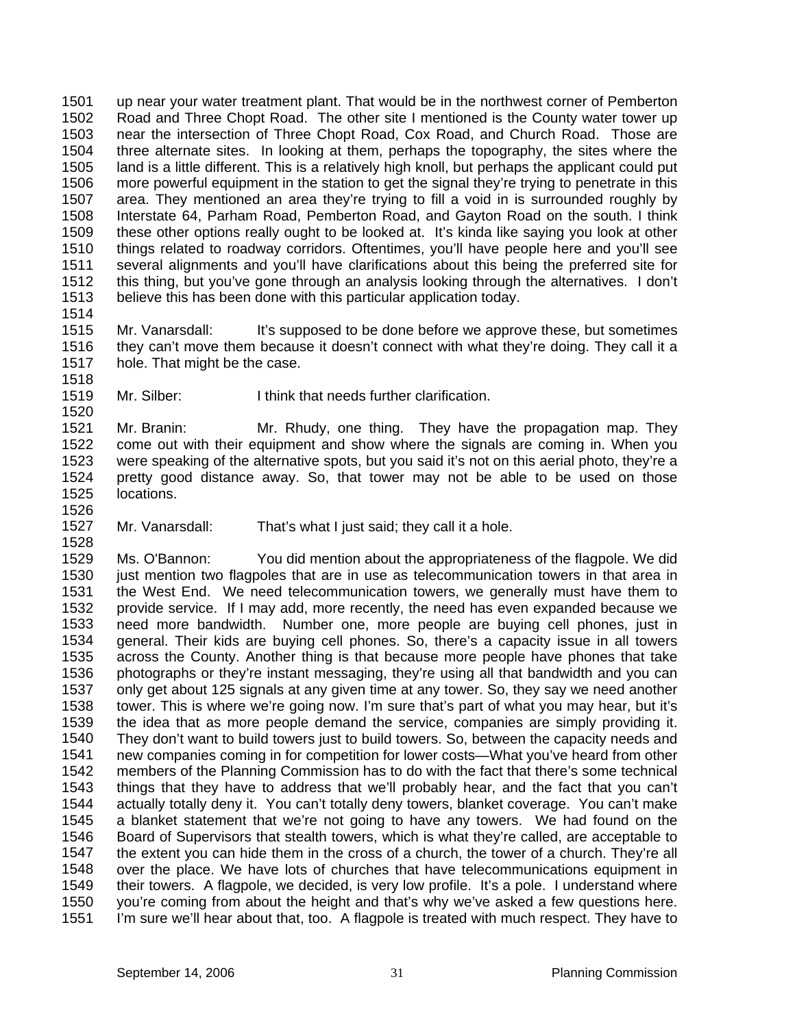1501 1502 1503 1504 1505 1506 1507 1508 1509 1510 1511 1512 1513 up near your water treatment plant. That would be in the northwest corner of Pemberton Road and Three Chopt Road. The other site I mentioned is the County water tower up near the intersection of Three Chopt Road, Cox Road, and Church Road. Those are three alternate sites. In looking at them, perhaps the topography, the sites where the land is a little different. This is a relatively high knoll, but perhaps the applicant could put more powerful equipment in the station to get the signal they're trying to penetrate in this area. They mentioned an area they're trying to fill a void in is surrounded roughly by Interstate 64, Parham Road, Pemberton Road, and Gayton Road on the south. I think these other options really ought to be looked at. It's kinda like saying you look at other things related to roadway corridors. Oftentimes, you'll have people here and you'll see several alignments and you'll have clarifications about this being the preferred site for this thing, but you've gone through an analysis looking through the alternatives. I don't believe this has been done with this particular application today.

1514

1518

1520

1526

1528

1515 1516 1517 Mr. Vanarsdall: It's supposed to be done before we approve these, but sometimes they can't move them because it doesn't connect with what they're doing. They call it a hole. That might be the case.

1519 Mr. Silber: I think that needs further clarification.

1521 1522 1523 1524 1525 Mr. Branin: Mr. Rhudy, one thing. They have the propagation map. They come out with their equipment and show where the signals are coming in. When you were speaking of the alternative spots, but you said it's not on this aerial photo, they're a pretty good distance away. So, that tower may not be able to be used on those locations.

1527 Mr. Vanarsdall: That's what I just said; they call it a hole.

1529 1530 1531 1532 1533 1534 1535 1536 1537 1538 1539 1540 1541 1542 1543 1544 1545 1546 1547 1548 1549 1550 1551 Ms. O'Bannon: You did mention about the appropriateness of the flagpole. We did just mention two flagpoles that are in use as telecommunication towers in that area in the West End. We need telecommunication towers, we generally must have them to provide service. If I may add, more recently, the need has even expanded because we need more bandwidth. Number one, more people are buying cell phones, just in general. Their kids are buying cell phones. So, there's a capacity issue in all towers across the County. Another thing is that because more people have phones that take photographs or they're instant messaging, they're using all that bandwidth and you can only get about 125 signals at any given time at any tower. So, they say we need another tower. This is where we're going now. I'm sure that's part of what you may hear, but it's the idea that as more people demand the service, companies are simply providing it. They don't want to build towers just to build towers. So, between the capacity needs and new companies coming in for competition for lower costs—What you've heard from other members of the Planning Commission has to do with the fact that there's some technical things that they have to address that we'll probably hear, and the fact that you can't actually totally deny it. You can't totally deny towers, blanket coverage. You can't make a blanket statement that we're not going to have any towers. We had found on the Board of Supervisors that stealth towers, which is what they're called, are acceptable to the extent you can hide them in the cross of a church, the tower of a church. They're all over the place. We have lots of churches that have telecommunications equipment in their towers. A flagpole, we decided, is very low profile. It's a pole. I understand where you're coming from about the height and that's why we've asked a few questions here. I'm sure we'll hear about that, too. A flagpole is treated with much respect. They have to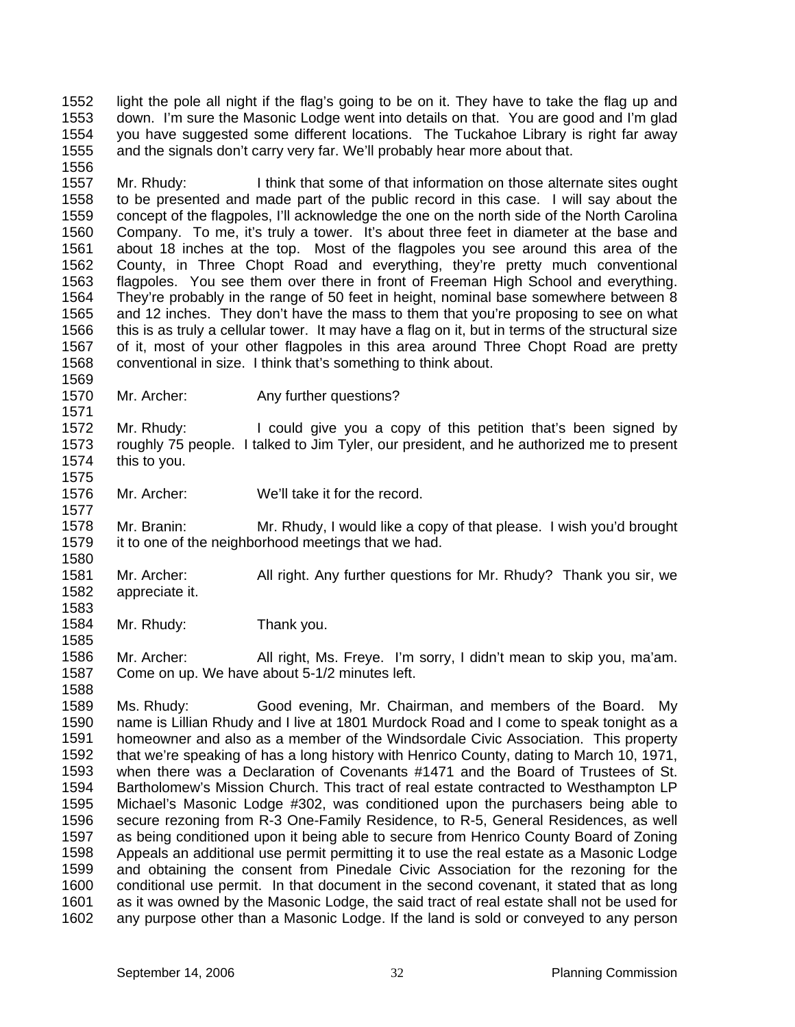1552 1553 1554 1555 light the pole all night if the flag's going to be on it. They have to take the flag up and down. I'm sure the Masonic Lodge went into details on that. You are good and I'm glad you have suggested some different locations. The Tuckahoe Library is right far away and the signals don't carry very far. We'll probably hear more about that.

1557 1558 1559 1560 1561 1562 1563 1564 1565 1566 1567 1568 Mr. Rhudy: I think that some of that information on those alternate sites ought to be presented and made part of the public record in this case. I will say about the concept of the flagpoles, I'll acknowledge the one on the north side of the North Carolina Company. To me, it's truly a tower. It's about three feet in diameter at the base and about 18 inches at the top. Most of the flagpoles you see around this area of the County, in Three Chopt Road and everything, they're pretty much conventional flagpoles. You see them over there in front of Freeman High School and everything. They're probably in the range of 50 feet in height, nominal base somewhere between 8 and 12 inches. They don't have the mass to them that you're proposing to see on what this is as truly a cellular tower. It may have a flag on it, but in terms of the structural size of it, most of your other flagpoles in this area around Three Chopt Road are pretty conventional in size. I think that's something to think about.

1569 1570 1571

1577

1580

1583

1585

1588

1556

Mr. Archer: Any further questions?

1572 1573 1574 1575 Mr. Rhudy: I could give you a copy of this petition that's been signed by roughly 75 people. I talked to Jim Tyler, our president, and he authorized me to present this to you.

1576 Mr. Archer: We'll take it for the record.

1578 1579 Mr. Branin: Mr. Rhudy, I would like a copy of that please. I wish you'd brought it to one of the neighborhood meetings that we had.

- 1581 1582 Mr. Archer: All right. Any further questions for Mr. Rhudy? Thank you sir, we appreciate it.
- 1584 Mr. Rhudy: Thank you.

1586 1587 Mr. Archer: All right, Ms. Freye. I'm sorry, I didn't mean to skip you, ma'am. Come on up. We have about 5-1/2 minutes left.

1589 1590 1591 1592 1593 1594 1595 1596 1597 1598 1599 1600 1601 1602 Ms. Rhudy: Good evening, Mr. Chairman, and members of the Board. My name is Lillian Rhudy and I live at 1801 Murdock Road and I come to speak tonight as a homeowner and also as a member of the Windsordale Civic Association. This property that we're speaking of has a long history with Henrico County, dating to March 10, 1971, when there was a Declaration of Covenants #1471 and the Board of Trustees of St. Bartholomew's Mission Church. This tract of real estate contracted to Westhampton LP Michael's Masonic Lodge #302, was conditioned upon the purchasers being able to secure rezoning from R-3 One-Family Residence, to R-5, General Residences, as well as being conditioned upon it being able to secure from Henrico County Board of Zoning Appeals an additional use permit permitting it to use the real estate as a Masonic Lodge and obtaining the consent from Pinedale Civic Association for the rezoning for the conditional use permit. In that document in the second covenant, it stated that as long as it was owned by the Masonic Lodge, the said tract of real estate shall not be used for any purpose other than a Masonic Lodge. If the land is sold or conveyed to any person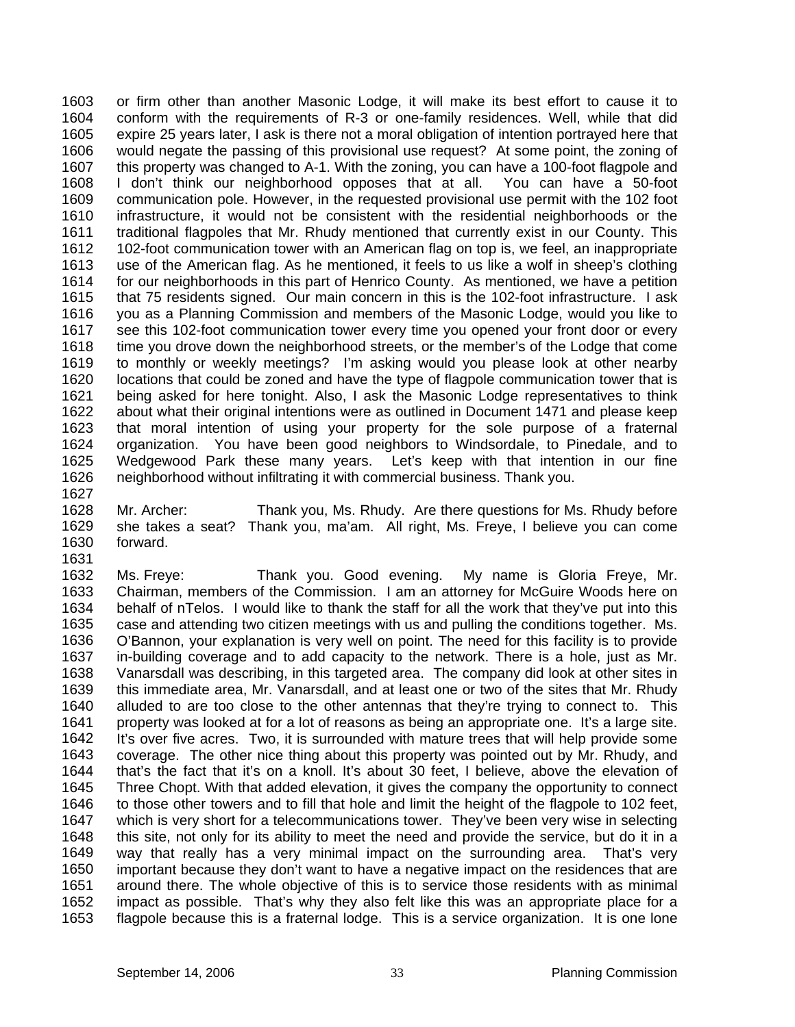1603 1604 1605 1606 1607 1608 1609 1610 1611 1612 1613 1614 1615 1616 1617 1618 1619 1620 1621 1622 1623 1624 1625 1626 1627 or firm other than another Masonic Lodge, it will make its best effort to cause it to conform with the requirements of R-3 or one-family residences. Well, while that did expire 25 years later, I ask is there not a moral obligation of intention portrayed here that would negate the passing of this provisional use request? At some point, the zoning of this property was changed to A-1. With the zoning, you can have a 100-foot flagpole and I don't think our neighborhood opposes that at all. You can have a 50-foot communication pole. However, in the requested provisional use permit with the 102 foot infrastructure, it would not be consistent with the residential neighborhoods or the traditional flagpoles that Mr. Rhudy mentioned that currently exist in our County. This 102-foot communication tower with an American flag on top is, we feel, an inappropriate use of the American flag. As he mentioned, it feels to us like a wolf in sheep's clothing for our neighborhoods in this part of Henrico County. As mentioned, we have a petition that 75 residents signed. Our main concern in this is the 102-foot infrastructure. I ask you as a Planning Commission and members of the Masonic Lodge, would you like to see this 102-foot communication tower every time you opened your front door or every time you drove down the neighborhood streets, or the member's of the Lodge that come to monthly or weekly meetings? I'm asking would you please look at other nearby locations that could be zoned and have the type of flagpole communication tower that is being asked for here tonight. Also, I ask the Masonic Lodge representatives to think about what their original intentions were as outlined in Document 1471 and please keep that moral intention of using your property for the sole purpose of a fraternal organization. You have been good neighbors to Windsordale, to Pinedale, and to Wedgewood Park these many years. Let's keep with that intention in our fine neighborhood without infiltrating it with commercial business. Thank you.

1628 1629 1630 1631 Mr. Archer: Thank you, Ms. Rhudy. Are there questions for Ms. Rhudy before she takes a seat? Thank you, ma'am. All right, Ms. Freye, I believe you can come forward.

1632 1633 1634 1635 1636 1637 1638 1639 1640 1641 1642 1643 1644 1645 1646 1647 1648 1649 1650 1651 1652 1653 Ms. Freye: Thank you. Good evening. My name is Gloria Freye, Mr. Chairman, members of the Commission. I am an attorney for McGuire Woods here on behalf of nTelos. I would like to thank the staff for all the work that they've put into this case and attending two citizen meetings with us and pulling the conditions together. Ms. O'Bannon, your explanation is very well on point. The need for this facility is to provide in-building coverage and to add capacity to the network. There is a hole, just as Mr. Vanarsdall was describing, in this targeted area. The company did look at other sites in this immediate area, Mr. Vanarsdall, and at least one or two of the sites that Mr. Rhudy alluded to are too close to the other antennas that they're trying to connect to. This property was looked at for a lot of reasons as being an appropriate one. It's a large site. It's over five acres. Two, it is surrounded with mature trees that will help provide some coverage. The other nice thing about this property was pointed out by Mr. Rhudy, and that's the fact that it's on a knoll. It's about 30 feet, I believe, above the elevation of Three Chopt. With that added elevation, it gives the company the opportunity to connect to those other towers and to fill that hole and limit the height of the flagpole to 102 feet, which is very short for a telecommunications tower. They've been very wise in selecting this site, not only for its ability to meet the need and provide the service, but do it in a way that really has a very minimal impact on the surrounding area. That's very important because they don't want to have a negative impact on the residences that are around there. The whole objective of this is to service those residents with as minimal impact as possible. That's why they also felt like this was an appropriate place for a flagpole because this is a fraternal lodge. This is a service organization. It is one lone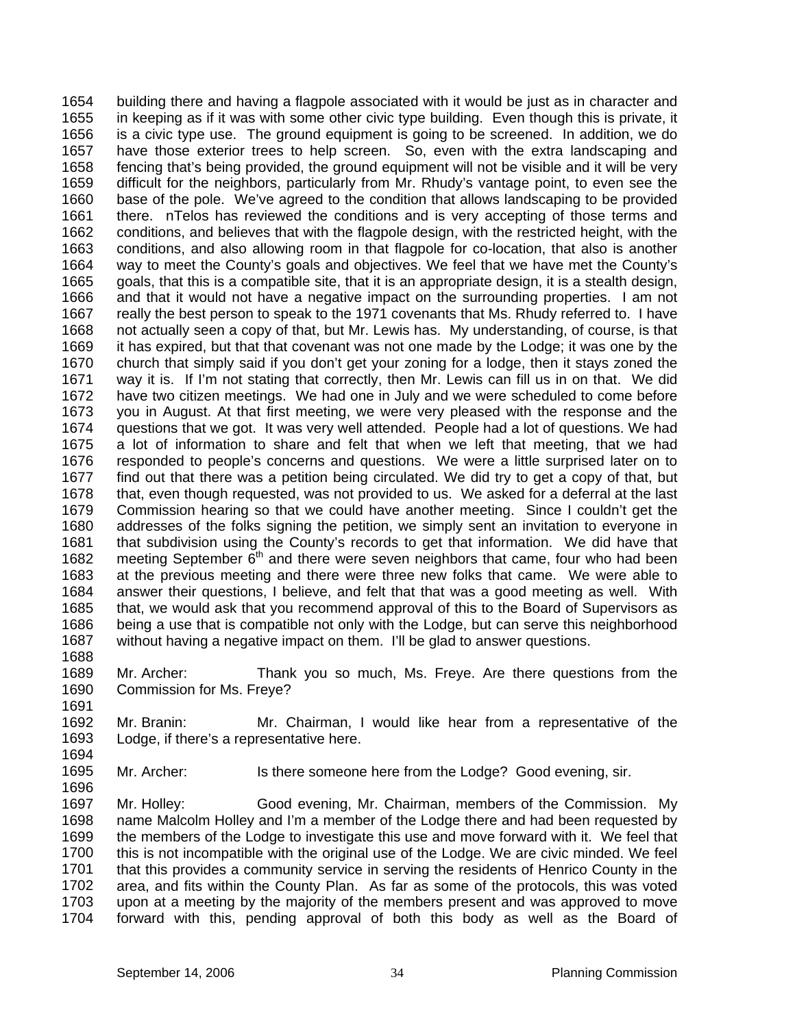building there and having a flagpole associated with it would be just as in character and in keeping as if it was with some other civic type building. Even though this is private, it is a civic type use. The ground equipment is going to be screened. In addition, we do have those exterior trees to help screen. So, even with the extra landscaping and fencing that's being provided, the ground equipment will not be visible and it will be very difficult for the neighbors, particularly from Mr. Rhudy's vantage point, to even see the base of the pole. We've agreed to the condition that allows landscaping to be provided there. nTelos has reviewed the conditions and is very accepting of those terms and conditions, and believes that with the flagpole design, with the restricted height, with the conditions, and also allowing room in that flagpole for co-location, that also is another way to meet the County's goals and objectives. We feel that we have met the County's goals, that this is a compatible site, that it is an appropriate design, it is a stealth design, and that it would not have a negative impact on the surrounding properties. I am not really the best person to speak to the 1971 covenants that Ms. Rhudy referred to. I have not actually seen a copy of that, but Mr. Lewis has. My understanding, of course, is that it has expired, but that that covenant was not one made by the Lodge; it was one by the church that simply said if you don't get your zoning for a lodge, then it stays zoned the way it is. If I'm not stating that correctly, then Mr. Lewis can fill us in on that. We did have two citizen meetings. We had one in July and we were scheduled to come before you in August. At that first meeting, we were very pleased with the response and the questions that we got. It was very well attended. People had a lot of questions. We had a lot of information to share and felt that when we left that meeting, that we had responded to people's concerns and questions. We were a little surprised later on to find out that there was a petition being circulated. We did try to get a copy of that, but that, even though requested, was not provided to us. We asked for a deferral at the last Commission hearing so that we could have another meeting. Since I couldn't get the addresses of the folks signing the petition, we simply sent an invitation to everyone in that subdivision using the County's records to get that information. We did have that meeting September 6<sup>th</sup> and there were seven neighbors that came, four who had been 1654 1655 1656 1657 1658 1659 1660 1661 1662 1663 1664 1665 1666 1667 1668 1669 1670 1671 1672 1673 1674 1675 1676 1677 1678 1679 1680 1681 1682 1683 1684 1685 1686 1687 1688 at the previous meeting and there were three new folks that came. We were able to answer their questions, I believe, and felt that that was a good meeting as well. With that, we would ask that you recommend approval of this to the Board of Supervisors as being a use that is compatible not only with the Lodge, but can serve this neighborhood without having a negative impact on them. I'll be glad to answer questions.

- 1689 1690 1691 Mr. Archer: Thank you so much, Ms. Freye. Are there questions from the Commission for Ms. Freye?
- 1692 1693 Mr. Branin: Mr. Chairman, I would like hear from a representative of the Lodge, if there's a representative here.
- 1695 Mr. Archer: Is there someone here from the Lodge? Good evening, sir.

1697 1698 1699 1700 1701 1702 1703 1704 Mr. Holley: Good evening, Mr. Chairman, members of the Commission. My name Malcolm Holley and I'm a member of the Lodge there and had been requested by the members of the Lodge to investigate this use and move forward with it. We feel that this is not incompatible with the original use of the Lodge. We are civic minded. We feel that this provides a community service in serving the residents of Henrico County in the area, and fits within the County Plan. As far as some of the protocols, this was voted upon at a meeting by the majority of the members present and was approved to move forward with this, pending approval of both this body as well as the Board of

1694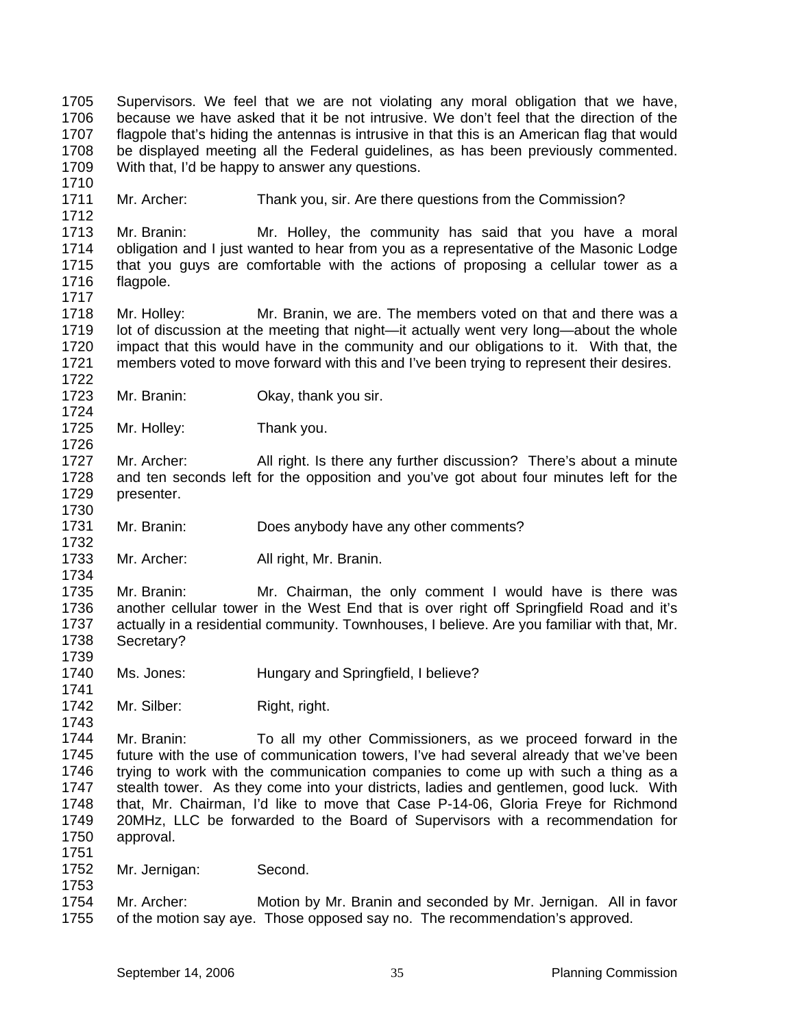1705 1706 1707 1708 1709 Supervisors. We feel that we are not violating any moral obligation that we have, because we have asked that it be not intrusive. We don't feel that the direction of the flagpole that's hiding the antennas is intrusive in that this is an American flag that would be displayed meeting all the Federal guidelines, as has been previously commented. With that, I'd be happy to answer any questions.

1711 Mr. Archer: Thank you, sir. Are there questions from the Commission?

1713 1714 1715 1716 Mr. Branin: Mr. Holley, the community has said that you have a moral obligation and I just wanted to hear from you as a representative of the Masonic Lodge that you guys are comfortable with the actions of proposing a cellular tower as a flagpole.

- 1718 1719 1720 1721 1722 Mr. Holley: Mr. Branin, we are. The members voted on that and there was a lot of discussion at the meeting that night—it actually went very long—about the whole impact that this would have in the community and our obligations to it. With that, the members voted to move forward with this and I've been trying to represent their desires.
- 1723 Mr. Branin: Okay, thank you sir.

1725 Mr. Holley: Thank you.

1727 1728 1729 Mr. Archer: All right. Is there any further discussion? There's about a minute and ten seconds left for the opposition and you've got about four minutes left for the presenter.

1731 Mr. Branin: Does anybody have any other comments?

1733 Mr. Archer: All right, Mr. Branin.

1735 1736 1737 1738 Mr. Branin: Mr. Chairman, the only comment I would have is there was another cellular tower in the West End that is over right off Springfield Road and it's actually in a residential community. Townhouses, I believe. Are you familiar with that, Mr. Secretary?

- 1740 Ms. Jones: Hungary and Springfield, I believe?
- 1742 1743 Mr. Silber: Right, right.

1744 1745 1746 1747 1748 1749 1750 Mr. Branin: To all my other Commissioners, as we proceed forward in the future with the use of communication towers, I've had several already that we've been trying to work with the communication companies to come up with such a thing as a stealth tower. As they come into your districts, ladies and gentlemen, good luck. With that, Mr. Chairman, I'd like to move that Case P-14-06, Gloria Freye for Richmond 20MHz, LLC be forwarded to the Board of Supervisors with a recommendation for approval.

- 1752 Mr. Jernigan: Second.
- 1753

1751

1710

1712

1717

1724

1726

1730

1732

1734

1739

1741

1754 1755 Mr. Archer: Motion by Mr. Branin and seconded by Mr. Jernigan. All in favor of the motion say aye. Those opposed say no. The recommendation's approved.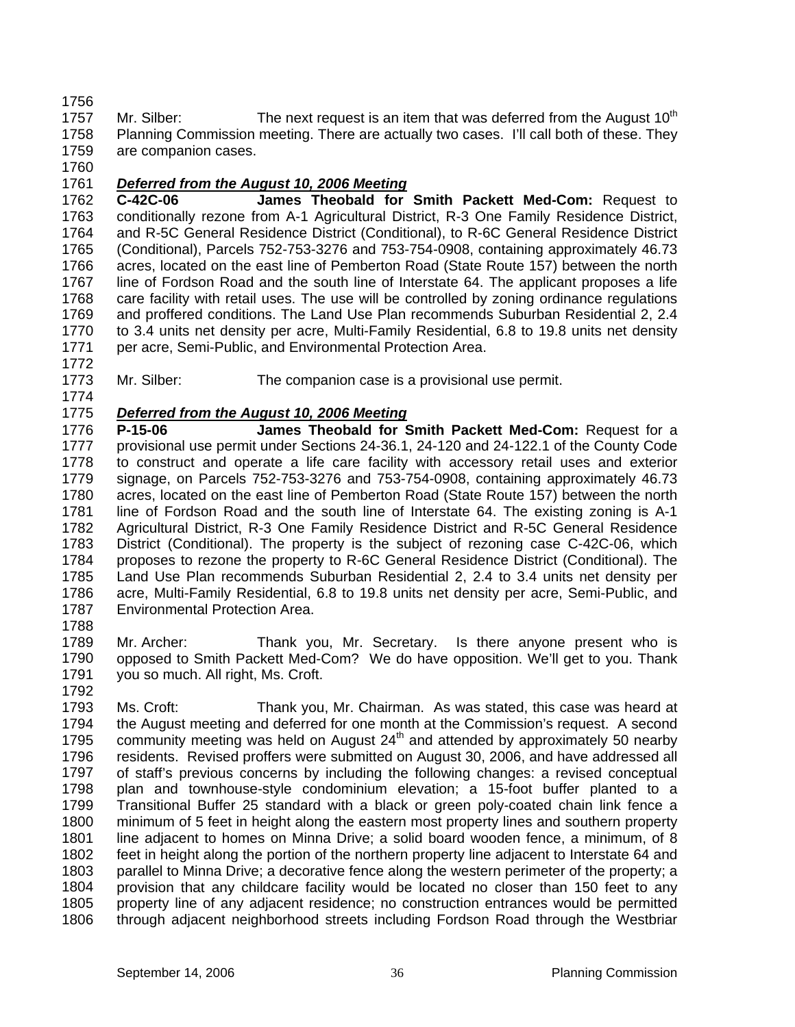1756

1757 1758 1759 Mr. Silber: The next request is an item that was deferred from the August  $10<sup>th</sup>$ Planning Commission meeting. There are actually two cases. I'll call both of these. They are companion cases.

1760

1772

## 1761 *Deferred from the August 10, 2006 Meeting*

1762 1763 1764 1765 1766 1767 1768 1769 1770 1771 **C-42C-06 James Theobald for Smith Packett Med-Com:** Request to conditionally rezone from A-1 Agricultural District, R-3 One Family Residence District, and R-5C General Residence District (Conditional), to R-6C General Residence District (Conditional), Parcels 752-753-3276 and 753-754-0908, containing approximately 46.73 acres, located on the east line of Pemberton Road (State Route 157) between the north line of Fordson Road and the south line of Interstate 64. The applicant proposes a life care facility with retail uses. The use will be controlled by zoning ordinance regulations and proffered conditions. The Land Use Plan recommends Suburban Residential 2, 2.4 to 3.4 units net density per acre, Multi-Family Residential, 6.8 to 19.8 units net density per acre, Semi-Public, and Environmental Protection Area.

1773 1774 Mr. Silber: The companion case is a provisional use permit.

# 1775 *Deferred from the August 10, 2006 Meeting*

1776 1777 1778 1779 1780 1781 1782 1783 1784 1785 1786 1787 **P-15-06 James Theobald for Smith Packett Med-Com:** Request for a provisional use permit under Sections 24-36.1, 24-120 and 24-122.1 of the County Code to construct and operate a life care facility with accessory retail uses and exterior signage, on Parcels 752-753-3276 and 753-754-0908, containing approximately 46.73 acres, located on the east line of Pemberton Road (State Route 157) between the north line of Fordson Road and the south line of Interstate 64. The existing zoning is A-1 Agricultural District, R-3 One Family Residence District and R-5C General Residence District (Conditional). The property is the subject of rezoning case C-42C-06, which proposes to rezone the property to R-6C General Residence District (Conditional). The Land Use Plan recommends Suburban Residential 2, 2.4 to 3.4 units net density per acre, Multi-Family Residential, 6.8 to 19.8 units net density per acre, Semi-Public, and Environmental Protection Area.

1788

1789 1790 1791 Mr. Archer: Thank you, Mr. Secretary. Is there anyone present who is opposed to Smith Packett Med-Com? We do have opposition. We'll get to you. Thank you so much. All right, Ms. Croft.

1792

1793 1794 1795 1796 1797 1798 1799 1800 1801 1802 1803 1804 1805 1806 Ms. Croft: Thank you, Mr. Chairman. As was stated, this case was heard at the August meeting and deferred for one month at the Commission's request. A second community meeting was held on August  $24<sup>th</sup>$  and attended by approximately 50 nearby residents. Revised proffers were submitted on August 30, 2006, and have addressed all of staff's previous concerns by including the following changes: a revised conceptual plan and townhouse-style condominium elevation; a 15-foot buffer planted to a Transitional Buffer 25 standard with a black or green poly-coated chain link fence a minimum of 5 feet in height along the eastern most property lines and southern property line adjacent to homes on Minna Drive; a solid board wooden fence, a minimum, of 8 feet in height along the portion of the northern property line adjacent to Interstate 64 and parallel to Minna Drive; a decorative fence along the western perimeter of the property; a provision that any childcare facility would be located no closer than 150 feet to any property line of any adjacent residence; no construction entrances would be permitted through adjacent neighborhood streets including Fordson Road through the Westbriar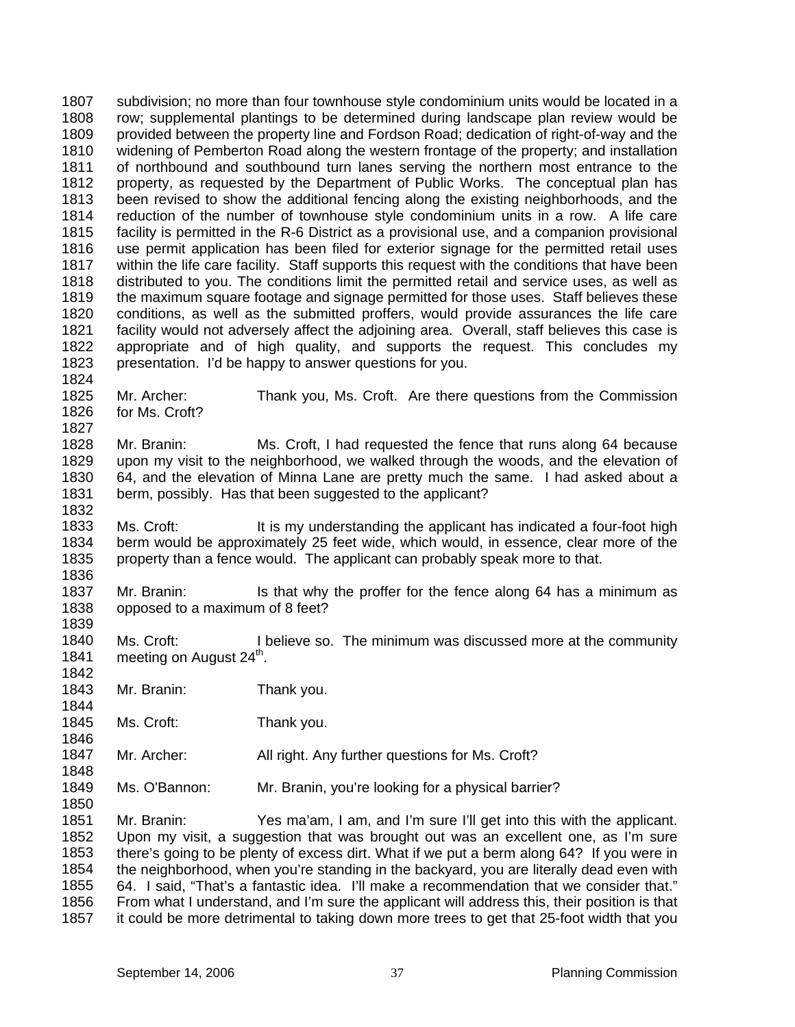1807 1808 1809 1810 1811 1812 1813 1814 1815 1816 1817 1818 1819 1820 1821 1822 1823 1824 subdivision; no more than four townhouse style condominium units would be located in a row; supplemental plantings to be determined during landscape plan review would be provided between the property line and Fordson Road; dedication of right-of-way and the widening of Pemberton Road along the western frontage of the property; and installation of northbound and southbound turn lanes serving the northern most entrance to the property, as requested by the Department of Public Works. The conceptual plan has been revised to show the additional fencing along the existing neighborhoods, and the reduction of the number of townhouse style condominium units in a row. A life care facility is permitted in the R-6 District as a provisional use, and a companion provisional use permit application has been filed for exterior signage for the permitted retail uses within the life care facility. Staff supports this request with the conditions that have been distributed to you. The conditions limit the permitted retail and service uses, as well as the maximum square footage and signage permitted for those uses. Staff believes these conditions, as well as the submitted proffers, would provide assurances the life care facility would not adversely affect the adjoining area. Overall, staff believes this case is appropriate and of high quality, and supports the request. This concludes my presentation. I'd be happy to answer questions for you.

1825 1826 Mr. Archer: Thank you, Ms. Croft. Are there questions from the Commission for Ms. Croft?

1828 1829 1830 1831 1832 Mr. Branin: Ms. Croft, I had requested the fence that runs along 64 because upon my visit to the neighborhood, we walked through the woods, and the elevation of 64, and the elevation of Minna Lane are pretty much the same. I had asked about a berm, possibly. Has that been suggested to the applicant?

1833 1834 1835 Ms. Croft: It is my understanding the applicant has indicated a four-foot high berm would be approximately 25 feet wide, which would, in essence, clear more of the property than a fence would. The applicant can probably speak more to that.

1837 1838 1839 Mr. Branin: Is that why the proffer for the fence along 64 has a minimum as opposed to a maximum of 8 feet?

1840 1841 1842 Ms. Croft: I believe so. The minimum was discussed more at the community meeting on August 24<sup>th</sup>.

1843 Mr. Branin: Thank you.

1827

1836

1844

1846

1848

1850

1845 Ms. Croft: Thank you.

1847 Mr. Archer: All right. Any further questions for Ms. Croft?

1849 Ms. O'Bannon: Mr. Branin, you're looking for a physical barrier?

1851 1852 1853 1854 1855 1856 1857 Mr. Branin: Yes ma'am, I am, and I'm sure I'll get into this with the applicant. Upon my visit, a suggestion that was brought out was an excellent one, as I'm sure there's going to be plenty of excess dirt. What if we put a berm along 64? If you were in the neighborhood, when you're standing in the backyard, you are literally dead even with 64. I said, "That's a fantastic idea. I'll make a recommendation that we consider that." From what I understand, and I'm sure the applicant will address this, their position is that it could be more detrimental to taking down more trees to get that 25-foot width that you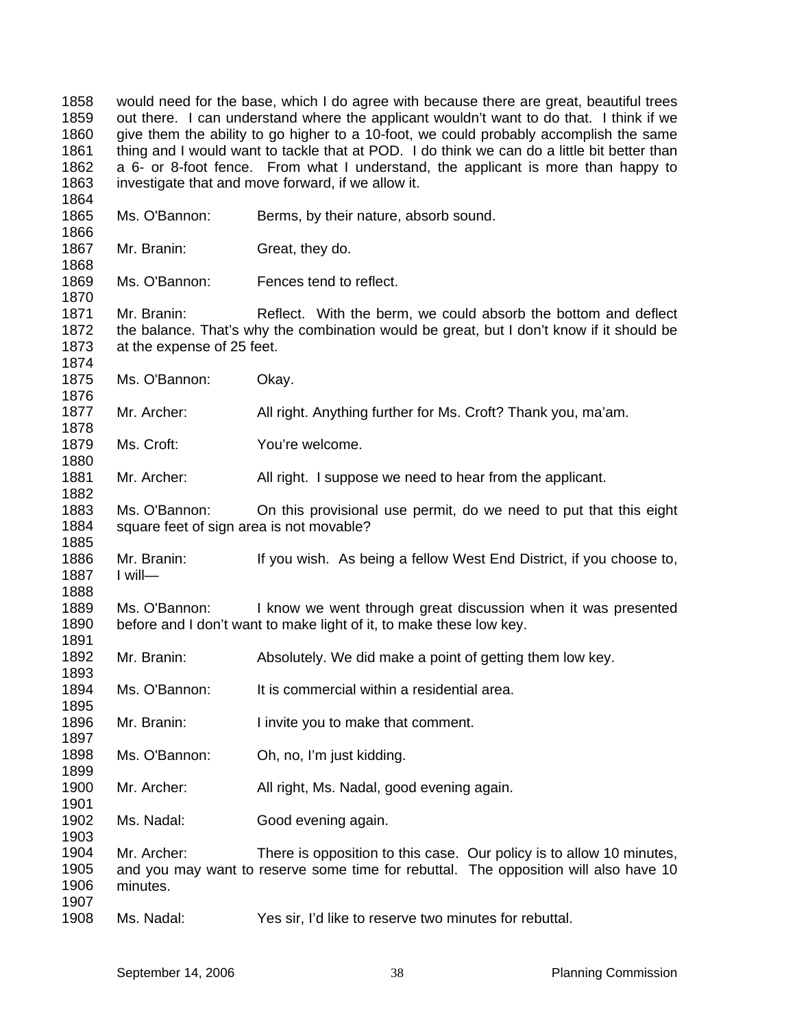would need for the base, which I do agree with because there are great, beautiful trees out there. I can understand where the applicant wouldn't want to do that. I think if we give them the ability to go higher to a 10-foot, we could probably accomplish the same thing and I would want to tackle that at POD. I do think we can do a little bit better than a 6- or 8-foot fence. From what I understand, the applicant is more than happy to investigate that and move forward, if we allow it.

| 1865                 | Ms. O'Bannon:                                             | Berms, by their nature, absorb sound.                                                                                                                      |
|----------------------|-----------------------------------------------------------|------------------------------------------------------------------------------------------------------------------------------------------------------------|
| 1866<br>1867         | Mr. Branin:                                               | Great, they do.                                                                                                                                            |
| 1868                 |                                                           |                                                                                                                                                            |
| 1869<br>1870         | Ms. O'Bannon:                                             | Fences tend to reflect.                                                                                                                                    |
| 1871<br>1872         | Mr. Branin:                                               | Reflect. With the berm, we could absorb the bottom and deflect<br>the balance. That's why the combination would be great, but I don't know if it should be |
| 1873<br>1874         | at the expense of 25 feet.                                |                                                                                                                                                            |
| 1875<br>1876         | Ms. O'Bannon:                                             | Okay.                                                                                                                                                      |
| 1877<br>1878         | Mr. Archer:                                               | All right. Anything further for Ms. Croft? Thank you, ma'am.                                                                                               |
| 1879<br>1880         | Ms. Croft:                                                | You're welcome.                                                                                                                                            |
| 1881<br>1882         | Mr. Archer:                                               | All right. I suppose we need to hear from the applicant.                                                                                                   |
| 1883<br>1884<br>1885 | Ms. O'Bannon:<br>square feet of sign area is not movable? | On this provisional use permit, do we need to put that this eight                                                                                          |
| 1886<br>1887<br>1888 | Mr. Branin:<br>$I$ will-                                  | If you wish. As being a fellow West End District, if you choose to,                                                                                        |
| 1889<br>1890<br>1891 | Ms. O'Bannon:                                             | I know we went through great discussion when it was presented<br>before and I don't want to make light of it, to make these low key.                       |
| 1892<br>1893         | Mr. Branin:                                               | Absolutely. We did make a point of getting them low key.                                                                                                   |
| 1894<br>1895         | Ms. O'Bannon:                                             | It is commercial within a residential area.                                                                                                                |
| 1896<br>1897         | Mr. Branin:                                               | I invite you to make that comment.                                                                                                                         |
| 1898<br>1899         | Ms. O'Bannon:                                             | Oh, no, I'm just kidding.                                                                                                                                  |
| 1900<br>1901         | Mr. Archer:                                               | All right, Ms. Nadal, good evening again.                                                                                                                  |
| 1902<br>1903         | Ms. Nadal:                                                | Good evening again.                                                                                                                                        |
| 1904                 | Mr. Archer:                                               | There is opposition to this case. Our policy is to allow 10 minutes,                                                                                       |
| 1905<br>1906         | minutes.                                                  | and you may want to reserve some time for rebuttal. The opposition will also have 10                                                                       |
| 1907<br>1908         | Ms. Nadal:                                                | Yes sir, I'd like to reserve two minutes for rebuttal.                                                                                                     |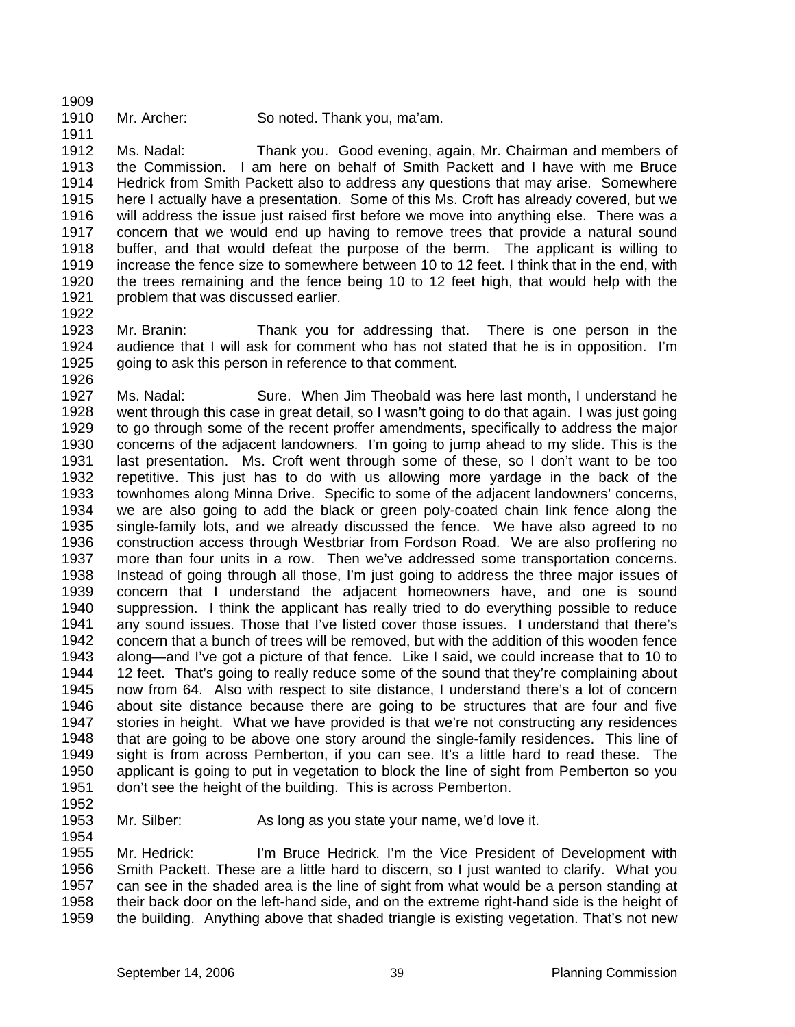1909

1911

1910

Mr. Archer: So noted. Thank you, ma'am.

1912 1913 1914 1915 1916 1917 1918 1919 1920 1921 Ms. Nadal: Thank you. Good evening, again, Mr. Chairman and members of the Commission. I am here on behalf of Smith Packett and I have with me Bruce Hedrick from Smith Packett also to address any questions that may arise. Somewhere here I actually have a presentation. Some of this Ms. Croft has already covered, but we will address the issue just raised first before we move into anything else. There was a concern that we would end up having to remove trees that provide a natural sound buffer, and that would defeat the purpose of the berm. The applicant is willing to increase the fence size to somewhere between 10 to 12 feet. I think that in the end, with the trees remaining and the fence being 10 to 12 feet high, that would help with the problem that was discussed earlier.

- 1922
- 1924

1923 1925 1926 Mr. Branin: Thank you for addressing that. There is one person in the audience that I will ask for comment who has not stated that he is in opposition. I'm going to ask this person in reference to that comment.

1927 1928 1929 1930 1931 1932 1933 1934 1935 1936 1937 1938 1939 1940 1941 1942 1943 1944 1945 1946 1947 1948 1949 1950 1951 Ms. Nadal: Sure. When Jim Theobald was here last month, I understand he went through this case in great detail, so I wasn't going to do that again. I was just going to go through some of the recent proffer amendments, specifically to address the major concerns of the adjacent landowners. I'm going to jump ahead to my slide. This is the last presentation. Ms. Croft went through some of these, so I don't want to be too repetitive. This just has to do with us allowing more yardage in the back of the townhomes along Minna Drive. Specific to some of the adjacent landowners' concerns, we are also going to add the black or green poly-coated chain link fence along the single-family lots, and we already discussed the fence. We have also agreed to no construction access through Westbriar from Fordson Road. We are also proffering no more than four units in a row. Then we've addressed some transportation concerns. Instead of going through all those, I'm just going to address the three major issues of concern that I understand the adjacent homeowners have, and one is sound suppression. I think the applicant has really tried to do everything possible to reduce any sound issues. Those that I've listed cover those issues. I understand that there's concern that a bunch of trees will be removed, but with the addition of this wooden fence along—and I've got a picture of that fence. Like I said, we could increase that to 10 to 12 feet. That's going to really reduce some of the sound that they're complaining about now from 64. Also with respect to site distance, I understand there's a lot of concern about site distance because there are going to be structures that are four and five stories in height. What we have provided is that we're not constructing any residences that are going to be above one story around the single-family residences. This line of sight is from across Pemberton, if you can see. It's a little hard to read these. The applicant is going to put in vegetation to block the line of sight from Pemberton so you don't see the height of the building. This is across Pemberton.

1952 1953

1954

Mr. Silber: As long as you state your name, we'd love it.

1955 1956 1957 1958 1959 Mr. Hedrick: I'm Bruce Hedrick. I'm the Vice President of Development with Smith Packett. These are a little hard to discern, so I just wanted to clarify. What you can see in the shaded area is the line of sight from what would be a person standing at their back door on the left-hand side, and on the extreme right-hand side is the height of the building. Anything above that shaded triangle is existing vegetation. That's not new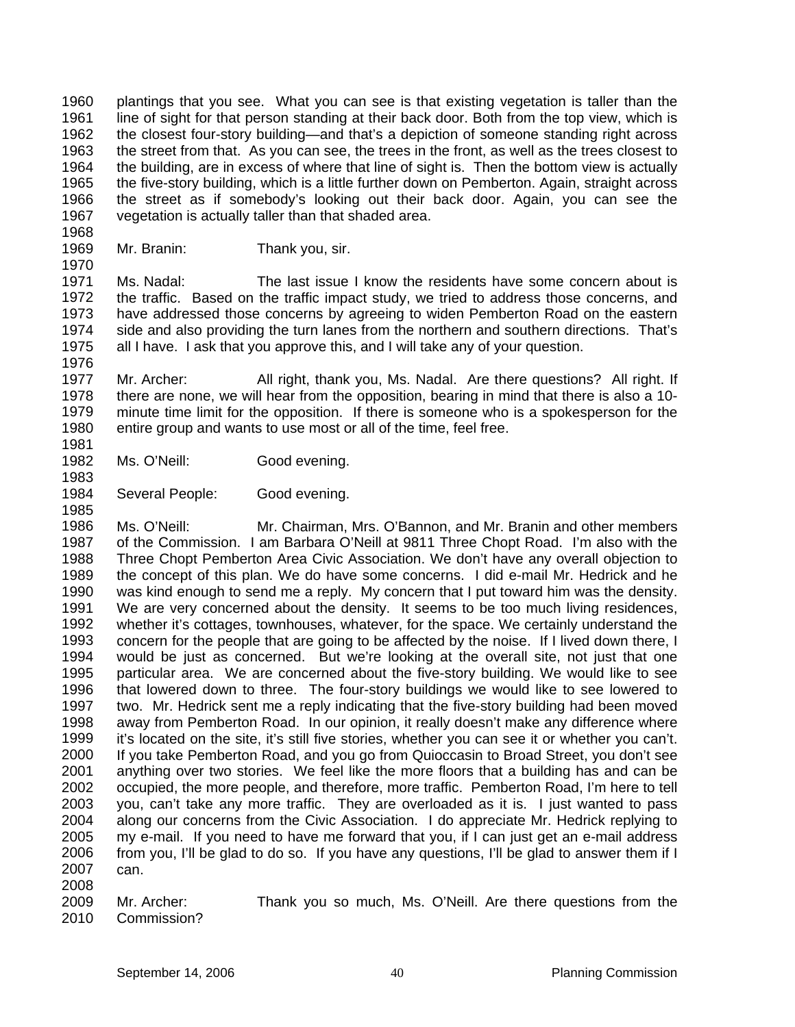1960 1961 1962 1963 1964 1965 1966 1967 plantings that you see. What you can see is that existing vegetation is taller than the line of sight for that person standing at their back door. Both from the top view, which is the closest four-story building—and that's a depiction of someone standing right across the street from that. As you can see, the trees in the front, as well as the trees closest to the building, are in excess of where that line of sight is. Then the bottom view is actually the five-story building, which is a little further down on Pemberton. Again, straight across the street as if somebody's looking out their back door. Again, you can see the vegetation is actually taller than that shaded area.

1969 Mr. Branin: Thank you, sir.

1968

1970

1983

1985

1971 1972 1973 1974 1975 1976 Ms. Nadal: The last issue I know the residents have some concern about is the traffic. Based on the traffic impact study, we tried to address those concerns, and have addressed those concerns by agreeing to widen Pemberton Road on the eastern side and also providing the turn lanes from the northern and southern directions. That's all I have. I ask that you approve this, and I will take any of your question.

1977 1978 1979 1980 1981 Mr. Archer: All right, thank you, Ms. Nadal. Are there questions? All right. If there are none, we will hear from the opposition, bearing in mind that there is also a 10 minute time limit for the opposition. If there is someone who is a spokesperson for the entire group and wants to use most or all of the time, feel free.

- 1982 Ms. O'Neill: Good evening.
- 1984 Several People: Good evening.

1986 1987 1988 1989 1990 1991 1992 1993 1994 1995 1996 1997 1998 1999 2000 2001 2002 2003 2004 2005 2006 2007 2008 Ms. O'Neill: Mr. Chairman, Mrs. O'Bannon, and Mr. Branin and other members of the Commission. I am Barbara O'Neill at 9811 Three Chopt Road. I'm also with the Three Chopt Pemberton Area Civic Association. We don't have any overall objection to the concept of this plan. We do have some concerns. I did e-mail Mr. Hedrick and he was kind enough to send me a reply. My concern that I put toward him was the density. We are very concerned about the density. It seems to be too much living residences, whether it's cottages, townhouses, whatever, for the space. We certainly understand the concern for the people that are going to be affected by the noise. If I lived down there, I would be just as concerned. But we're looking at the overall site, not just that one particular area. We are concerned about the five-story building. We would like to see that lowered down to three. The four-story buildings we would like to see lowered to two. Mr. Hedrick sent me a reply indicating that the five-story building had been moved away from Pemberton Road. In our opinion, it really doesn't make any difference where it's located on the site, it's still five stories, whether you can see it or whether you can't. If you take Pemberton Road, and you go from Quioccasin to Broad Street, you don't see anything over two stories. We feel like the more floors that a building has and can be occupied, the more people, and therefore, more traffic. Pemberton Road, I'm here to tell you, can't take any more traffic. They are overloaded as it is. I just wanted to pass along our concerns from the Civic Association. I do appreciate Mr. Hedrick replying to my e-mail. If you need to have me forward that you, if I can just get an e-mail address from you, I'll be glad to do so. If you have any questions, I'll be glad to answer them if I can.

2009 2010 Mr. Archer: Thank you so much, Ms. O'Neill. Are there questions from the Commission?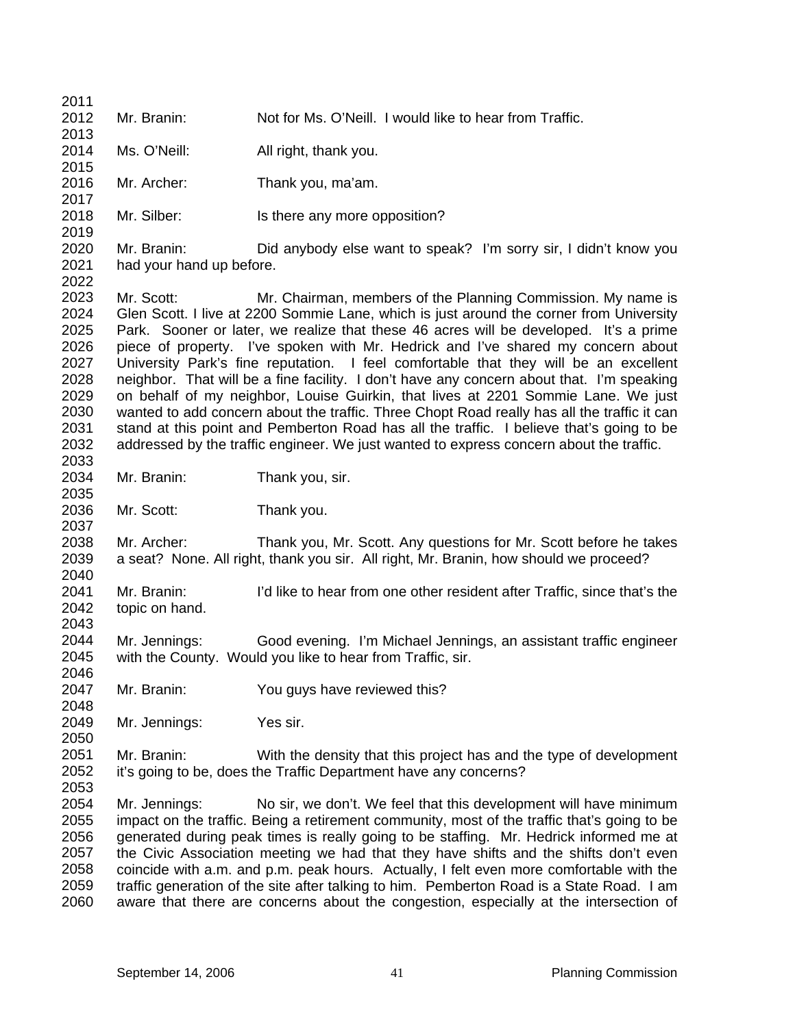2011 2012 2013 2014 2015 2016 2017 2018 2019 2020 2021 2022 2023 2024 2025 2026 2027 2028 2029 2030 2031 2032 2033 2034 2035 2036 2037 2038 2039 2040 2041 2042 2043 2044 2045 2046 2047 2048 2049 2050 2051 2052 2053 2054 2055 2056 2057 2058 2059 2060 Mr. Branin: Not for Ms. O'Neill. I would like to hear from Traffic. Ms. O'Neill: All right, thank you. Mr. Archer: Thank you, ma'am. Mr. Silber: Is there any more opposition? Mr. Branin: Did anybody else want to speak? I'm sorry sir, I didn't know you had your hand up before. Mr. Scott: Mr. Chairman, members of the Planning Commission. My name is Glen Scott. I live at 2200 Sommie Lane, which is just around the corner from University Park. Sooner or later, we realize that these 46 acres will be developed. It's a prime piece of property. I've spoken with Mr. Hedrick and I've shared my concern about University Park's fine reputation. I feel comfortable that they will be an excellent neighbor. That will be a fine facility. I don't have any concern about that. I'm speaking on behalf of my neighbor, Louise Guirkin, that lives at 2201 Sommie Lane. We just wanted to add concern about the traffic. Three Chopt Road really has all the traffic it can stand at this point and Pemberton Road has all the traffic. I believe that's going to be addressed by the traffic engineer. We just wanted to express concern about the traffic. Mr. Branin: Thank you, sir. Mr. Scott: Thank you. Mr. Archer: Thank you, Mr. Scott. Any questions for Mr. Scott before he takes a seat? None. All right, thank you sir. All right, Mr. Branin, how should we proceed? Mr. Branin: I'd like to hear from one other resident after Traffic, since that's the topic on hand. Mr. Jennings: Good evening. I'm Michael Jennings, an assistant traffic engineer with the County. Would you like to hear from Traffic, sir. Mr. Branin: You guys have reviewed this? Mr. Jennings: Yes sir. Mr. Branin: With the density that this project has and the type of development it's going to be, does the Traffic Department have any concerns? Mr. Jennings: No sir, we don't. We feel that this development will have minimum impact on the traffic. Being a retirement community, most of the traffic that's going to be generated during peak times is really going to be staffing. Mr. Hedrick informed me at the Civic Association meeting we had that they have shifts and the shifts don't even coincide with a.m. and p.m. peak hours. Actually, I felt even more comfortable with the traffic generation of the site after talking to him. Pemberton Road is a State Road. I am aware that there are concerns about the congestion, especially at the intersection of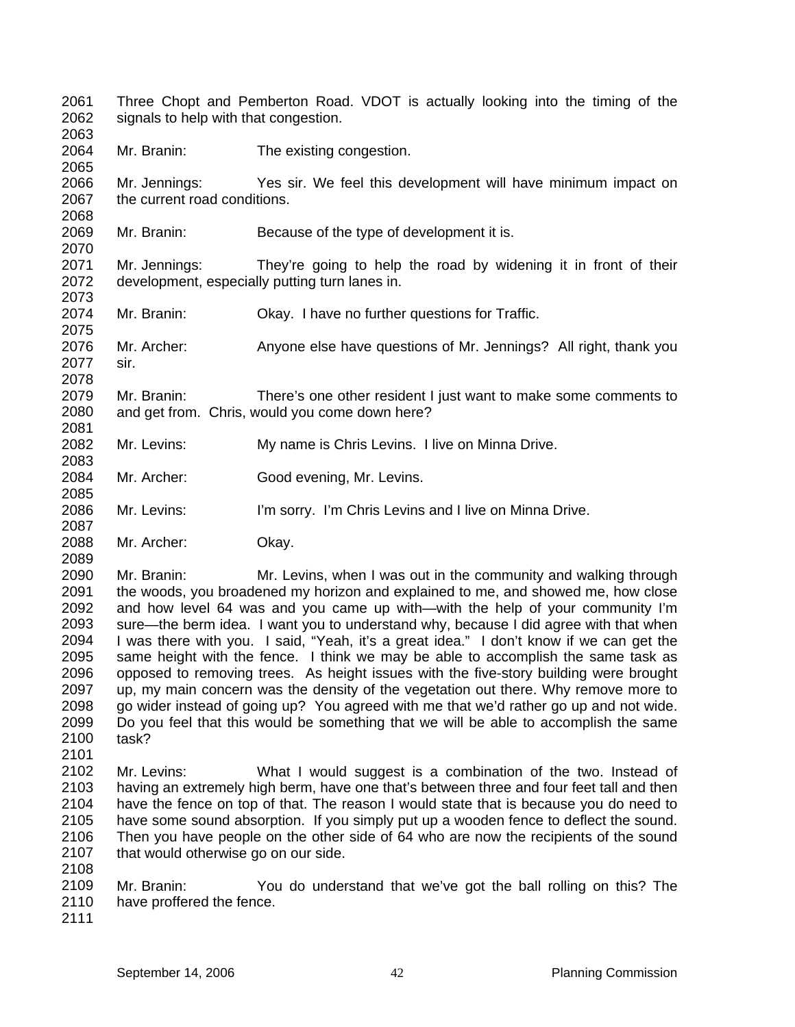2061 2062 2063 Three Chopt and Pemberton Road. VDOT is actually looking into the timing of the signals to help with that congestion.

2064 Mr. Branin: The existing congestion.

2066 2067 Mr. Jennings: Yes sir. We feel this development will have minimum impact on the current road conditions.

2069 Mr. Branin: Because of the type of development it is.

2071 2072 2073 Mr. Jennings: They're going to help the road by widening it in front of their development, especially putting turn lanes in.

2074 Mr. Branin: Okay. I have no further questions for Traffic.

2076 2077 Mr. Archer: Anyone else have questions of Mr. Jennings? All right, thank you sir.

2079 2080 Mr. Branin: There's one other resident I just want to make some comments to and get from. Chris, would you come down here?

- 2082 Mr. Levins: My name is Chris Levins. I live on Minna Drive.
- 2084 Mr. Archer: Good evening, Mr. Levins.

2086 Mr. Levins: I'm sorry. I'm Chris Levins and I live on Minna Drive.

2088 Mr. Archer: Okay.

2090 2091 2092 2093 2094 2095 2096 2097 2098 2099 2100 Mr. Branin: Mr. Levins, when I was out in the community and walking through the woods, you broadened my horizon and explained to me, and showed me, how close and how level 64 was and you came up with—with the help of your community I'm sure—the berm idea. I want you to understand why, because I did agree with that when I was there with you. I said, "Yeah, it's a great idea." I don't know if we can get the same height with the fence. I think we may be able to accomplish the same task as opposed to removing trees. As height issues with the five-story building were brought up, my main concern was the density of the vegetation out there. Why remove more to go wider instead of going up? You agreed with me that we'd rather go up and not wide. Do you feel that this would be something that we will be able to accomplish the same task?

2102 2103 2104 2105 2106 2107 Mr. Levins: What I would suggest is a combination of the two. Instead of having an extremely high berm, have one that's between three and four feet tall and then have the fence on top of that. The reason I would state that is because you do need to have some sound absorption. If you simply put up a wooden fence to deflect the sound. Then you have people on the other side of 64 who are now the recipients of the sound that would otherwise go on our side.

- 2109 2110 Mr. Branin: You do understand that we've got the ball rolling on this? The have proffered the fence.
- 2111

2108

2101

2065

2068

2070

2075

2078

2081

2083

2085

2087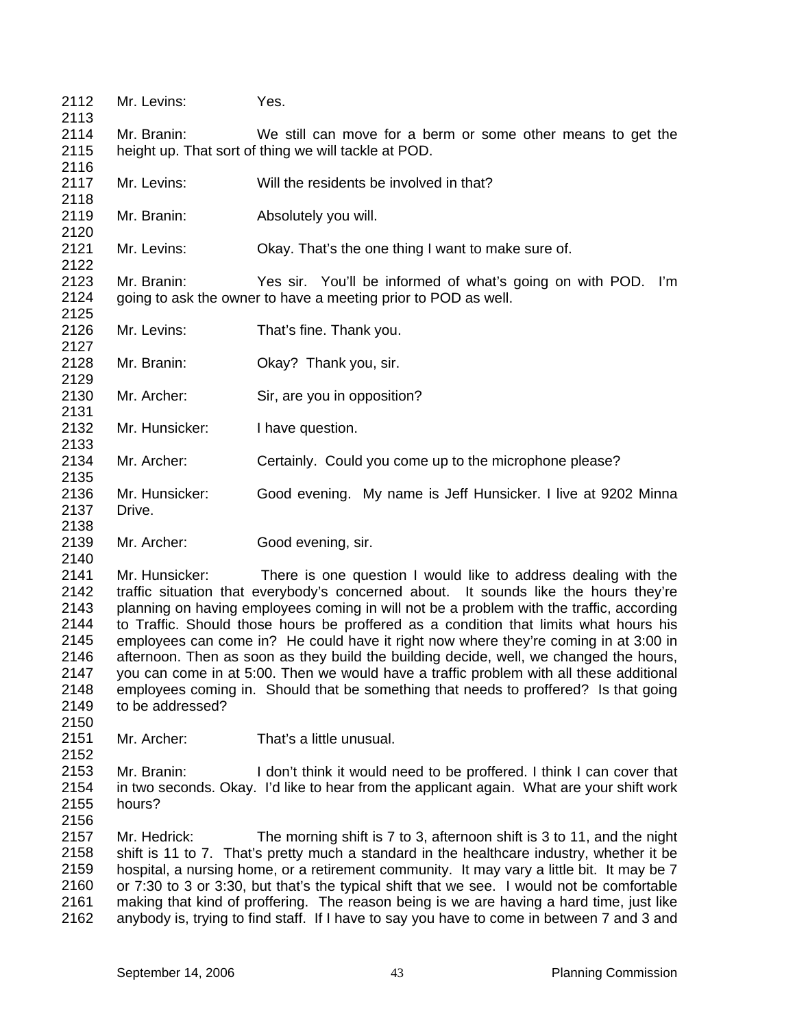| 2112                 | Mr. Levins:      | Yes.                                                                                                                           |
|----------------------|------------------|--------------------------------------------------------------------------------------------------------------------------------|
| 2113<br>2114         |                  |                                                                                                                                |
| 2115                 | Mr. Branin:      | We still can move for a berm or some other means to get the                                                                    |
| 2116                 |                  | height up. That sort of thing we will tackle at POD.                                                                           |
| 2117                 | Mr. Levins:      | Will the residents be involved in that?                                                                                        |
| 2118<br>2119         | Mr. Branin:      | Absolutely you will.                                                                                                           |
| 2120<br>2121         | Mr. Levins:      | Okay. That's the one thing I want to make sure of.                                                                             |
| 2122                 |                  |                                                                                                                                |
| 2123<br>2124<br>2125 | Mr. Branin:      | Yes sir. You'll be informed of what's going on with POD. I'm<br>going to ask the owner to have a meeting prior to POD as well. |
| 2126<br>2127         | Mr. Levins:      | That's fine. Thank you.                                                                                                        |
| 2128                 | Mr. Branin:      | Okay? Thank you, sir.                                                                                                          |
| 2129                 |                  |                                                                                                                                |
| 2130<br>2131         | Mr. Archer:      | Sir, are you in opposition?                                                                                                    |
| 2132<br>2133         | Mr. Hunsicker:   | I have question.                                                                                                               |
| 2134                 | Mr. Archer:      | Certainly. Could you come up to the microphone please?                                                                         |
| 2135<br>2136         | Mr. Hunsicker:   | Good evening. My name is Jeff Hunsicker. I live at 9202 Minna                                                                  |
| 2137                 | Drive.           |                                                                                                                                |
| 2138<br>2139         | Mr. Archer:      | Good evening, sir.                                                                                                             |
| 2140                 |                  |                                                                                                                                |
| 2141                 | Mr. Hunsicker:   | There is one question I would like to address dealing with the                                                                 |
| 2142                 |                  | traffic situation that everybody's concerned about. It sounds like the hours they're                                           |
| 2143                 |                  | planning on having employees coming in will not be a problem with the traffic, according                                       |
| 2144                 |                  | to Traffic. Should those hours be proffered as a condition that limits what hours his                                          |
| 2145                 |                  | employees can come in? He could have it right now where they're coming in at 3:00 in                                           |
| 2146                 |                  | afternoon. Then as soon as they build the building decide, well, we changed the hours,                                         |
| 2147                 |                  | you can come in at 5:00. Then we would have a traffic problem with all these additional                                        |
| 2148                 |                  | employees coming in. Should that be something that needs to proffered? Is that going                                           |
| 2149                 | to be addressed? |                                                                                                                                |
| 2150                 |                  |                                                                                                                                |
| 2151                 | Mr. Archer:      | That's a little unusual.                                                                                                       |
| 2152                 |                  |                                                                                                                                |
| 2153                 | Mr. Branin:      | I don't think it would need to be proffered. I think I can cover that                                                          |
| 2154                 |                  | in two seconds. Okay. I'd like to hear from the applicant again. What are your shift work                                      |
| 2155                 | hours?           |                                                                                                                                |
| 2156                 |                  |                                                                                                                                |
| 2157                 | Mr. Hedrick:     | The morning shift is 7 to 3, afternoon shift is 3 to 11, and the night                                                         |
| 2158                 |                  | shift is 11 to 7. That's pretty much a standard in the healthcare industry, whether it be                                      |
| 2159                 |                  | hospital, a nursing home, or a retirement community. It may vary a little bit. It may be 7                                     |
| 2160                 |                  | or 7:30 to 3 or 3:30, but that's the typical shift that we see. I would not be comfortable                                     |
| 2161                 |                  | making that kind of proffering. The reason being is we are having a hard time, just like                                       |
| 2162                 |                  | anybody is, trying to find staff. If I have to say you have to come in between 7 and 3 and                                     |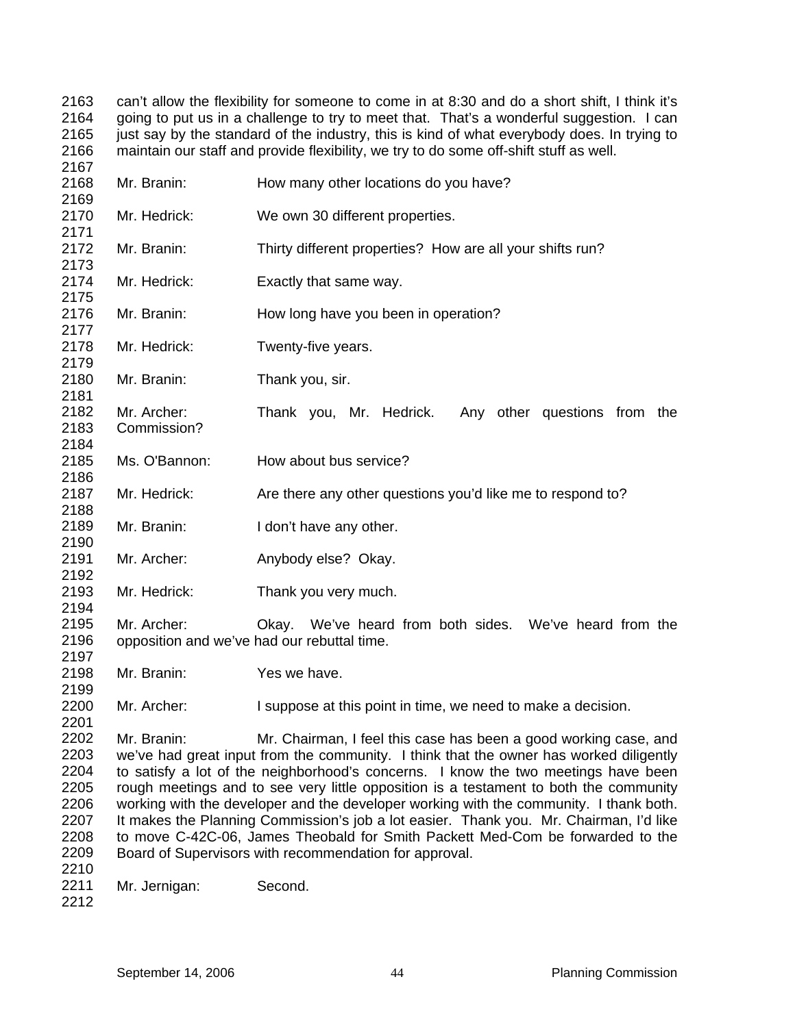can't allow the flexibility for someone to come in at 8:30 and do a short shift, I think it's going to put us in a challenge to try to meet that. That's a wonderful suggestion. I can just say by the standard of the industry, this is kind of what everybody does. In trying to maintain our staff and provide flexibility, we try to do some off-shift stuff as well.

| 2168<br>2169                                                         | Mr. Branin:                | How many other locations do you have?                                                                                                                                                                                                                                                                                                                                                                                                                                                                                                                                                                                                                                     |
|----------------------------------------------------------------------|----------------------------|---------------------------------------------------------------------------------------------------------------------------------------------------------------------------------------------------------------------------------------------------------------------------------------------------------------------------------------------------------------------------------------------------------------------------------------------------------------------------------------------------------------------------------------------------------------------------------------------------------------------------------------------------------------------------|
| 2170                                                                 | Mr. Hedrick:               | We own 30 different properties.                                                                                                                                                                                                                                                                                                                                                                                                                                                                                                                                                                                                                                           |
| 2171<br>2172<br>2173                                                 | Mr. Branin:                | Thirty different properties? How are all your shifts run?                                                                                                                                                                                                                                                                                                                                                                                                                                                                                                                                                                                                                 |
| 2174<br>2175                                                         | Mr. Hedrick:               | Exactly that same way.                                                                                                                                                                                                                                                                                                                                                                                                                                                                                                                                                                                                                                                    |
| 2176<br>2177                                                         | Mr. Branin:                | How long have you been in operation?                                                                                                                                                                                                                                                                                                                                                                                                                                                                                                                                                                                                                                      |
| 2178<br>2179                                                         | Mr. Hedrick:               | Twenty-five years.                                                                                                                                                                                                                                                                                                                                                                                                                                                                                                                                                                                                                                                        |
| 2180<br>2181                                                         | Mr. Branin:                | Thank you, sir.                                                                                                                                                                                                                                                                                                                                                                                                                                                                                                                                                                                                                                                           |
| 2182<br>2183<br>2184                                                 | Mr. Archer:<br>Commission? | Thank you, Mr. Hedrick.<br>Any other questions from the                                                                                                                                                                                                                                                                                                                                                                                                                                                                                                                                                                                                                   |
| 2185<br>2186                                                         | Ms. O'Bannon:              | How about bus service?                                                                                                                                                                                                                                                                                                                                                                                                                                                                                                                                                                                                                                                    |
| 2187<br>2188                                                         | Mr. Hedrick:               | Are there any other questions you'd like me to respond to?                                                                                                                                                                                                                                                                                                                                                                                                                                                                                                                                                                                                                |
| 2189<br>2190                                                         | Mr. Branin:                | I don't have any other.                                                                                                                                                                                                                                                                                                                                                                                                                                                                                                                                                                                                                                                   |
| 2191<br>2192                                                         | Mr. Archer:                | Anybody else? Okay.                                                                                                                                                                                                                                                                                                                                                                                                                                                                                                                                                                                                                                                       |
| 2193<br>2194                                                         | Mr. Hedrick:               | Thank you very much.                                                                                                                                                                                                                                                                                                                                                                                                                                                                                                                                                                                                                                                      |
| 2195<br>2196                                                         | Mr. Archer:                | Okay. We've heard from both sides. We've heard from the<br>opposition and we've had our rebuttal time.                                                                                                                                                                                                                                                                                                                                                                                                                                                                                                                                                                    |
| 2197<br>2198<br>2199                                                 | Mr. Branin:                | Yes we have.                                                                                                                                                                                                                                                                                                                                                                                                                                                                                                                                                                                                                                                              |
| 2200<br>2201                                                         | Mr. Archer:                | I suppose at this point in time, we need to make a decision.                                                                                                                                                                                                                                                                                                                                                                                                                                                                                                                                                                                                              |
| 2202<br>2203<br>2204<br>2205<br>2206<br>2207<br>2208<br>2209<br>2210 | Mr. Branin:                | Mr. Chairman, I feel this case has been a good working case, and<br>we've had great input from the community. I think that the owner has worked diligently<br>to satisfy a lot of the neighborhood's concerns. I know the two meetings have been<br>rough meetings and to see very little opposition is a testament to both the community<br>working with the developer and the developer working with the community. I thank both.<br>It makes the Planning Commission's job a lot easier. Thank you. Mr. Chairman, I'd like<br>to move C-42C-06, James Theobald for Smith Packett Med-Com be forwarded to the<br>Board of Supervisors with recommendation for approval. |
| 2211<br>2212                                                         | Mr. Jernigan:              | Second.                                                                                                                                                                                                                                                                                                                                                                                                                                                                                                                                                                                                                                                                   |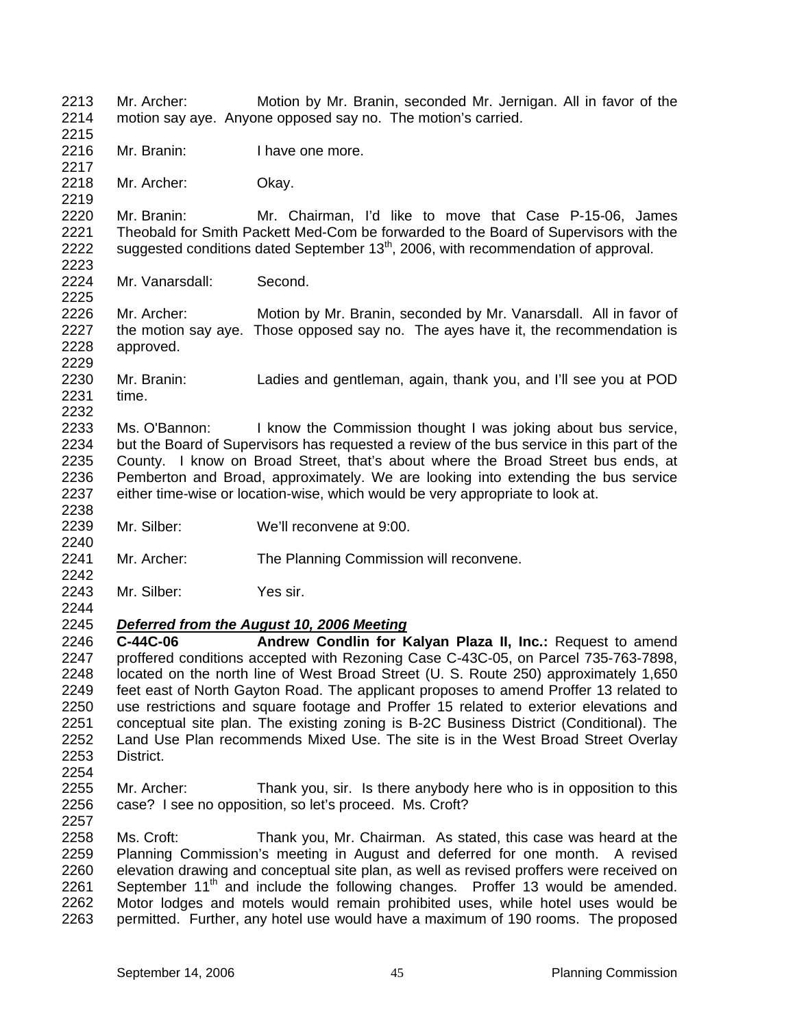2213 2214 2215 2216 2217 2218 2219 2220 2221 2222 2223 2224 2225 2226 2227 2228 2229 2230 2231 2232 2233 2234 2235 2236 2237 2238 2239 2240 2241 2242 2243 2244 Mr. Archer: Motion by Mr. Branin, seconded Mr. Jernigan. All in favor of the motion say aye. Anyone opposed say no. The motion's carried. Mr. Branin: I have one more. Mr. Archer: Okay. Mr. Branin: Mr. Chairman, I'd like to move that Case P-15-06, James Theobald for Smith Packett Med-Com be forwarded to the Board of Supervisors with the suggested conditions dated September  $13<sup>th</sup>$ , 2006, with recommendation of approval. Mr. Vanarsdall: Second. Mr. Archer: Motion by Mr. Branin, seconded by Mr. Vanarsdall. All in favor of the motion say aye. Those opposed say no. The ayes have it, the recommendation is approved. Mr. Branin: Ladies and gentleman, again, thank you, and I'll see you at POD time. Ms. O'Bannon: I know the Commission thought I was joking about bus service, but the Board of Supervisors has requested a review of the bus service in this part of the County. I know on Broad Street, that's about where the Broad Street bus ends, at Pemberton and Broad, approximately. We are looking into extending the bus service either time-wise or location-wise, which would be very appropriate to look at. Mr. Silber: We'll reconvene at 9:00. Mr. Archer: The Planning Commission will reconvene. Mr. Silber: Yes sir. 2245 2246 2247 2248 2249 2250 2251 2252 2253 2254 2255 2256 2257 2258 2259 2260 2261 2262 2263 *Deferred from the August 10, 2006 Meeting* **C-44C-06 Andrew Condlin for Kalyan Plaza II, Inc.:** Request to amend proffered conditions accepted with Rezoning Case C-43C-05, on Parcel 735-763-7898, located on the north line of West Broad Street (U. S. Route 250) approximately 1,650 feet east of North Gayton Road. The applicant proposes to amend Proffer 13 related to use restrictions and square footage and Proffer 15 related to exterior elevations and conceptual site plan. The existing zoning is B-2C Business District (Conditional). The Land Use Plan recommends Mixed Use. The site is in the West Broad Street Overlay District. Mr. Archer: Thank you, sir. Is there anybody here who is in opposition to this case? I see no opposition, so let's proceed. Ms. Croft? Ms. Croft: Thank you, Mr. Chairman. As stated, this case was heard at the Planning Commission's meeting in August and deferred for one month. A revised elevation drawing and conceptual site plan, as well as revised proffers were received on September  $11<sup>th</sup>$  and include the following changes. Proffer 13 would be amended. Motor lodges and motels would remain prohibited uses, while hotel uses would be permitted. Further, any hotel use would have a maximum of 190 rooms. The proposed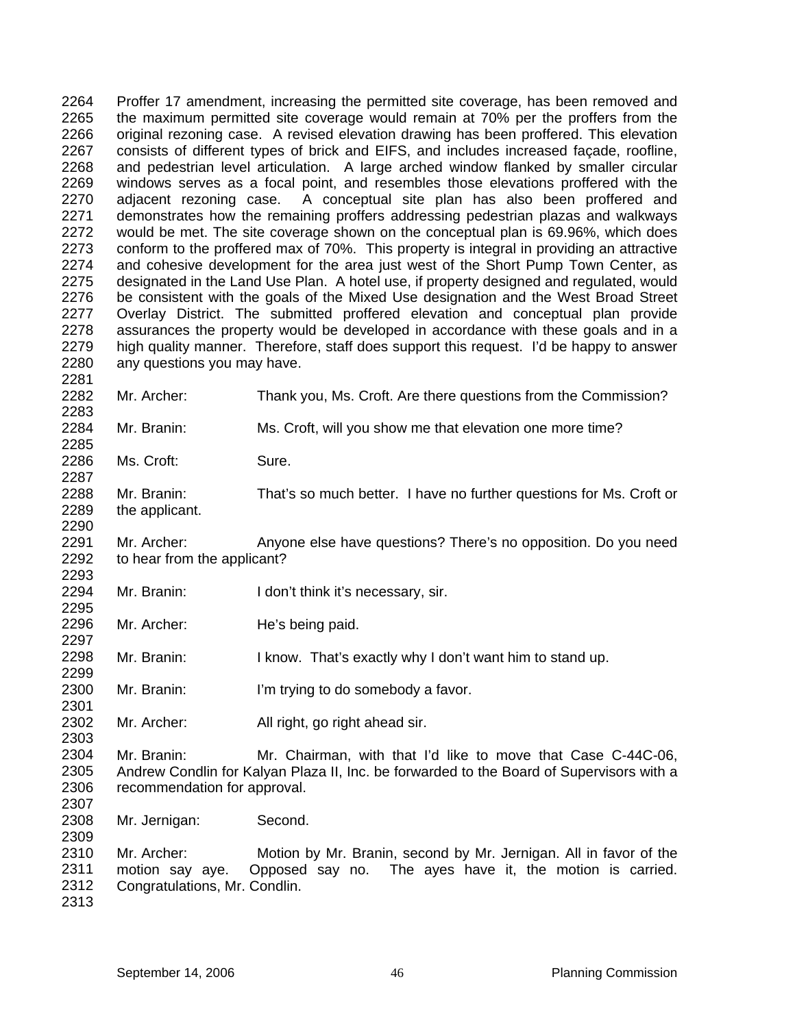2264 2265 2266 2267 2268 2269 2270 2271 2272 2273 2274 2275 2276 2277 2278 2279 2280 2281 Proffer 17 amendment, increasing the permitted site coverage, has been removed and the maximum permitted site coverage would remain at 70% per the proffers from the original rezoning case. A revised elevation drawing has been proffered. This elevation consists of different types of brick and EIFS, and includes increased façade, roofline, and pedestrian level articulation. A large arched window flanked by smaller circular windows serves as a focal point, and resembles those elevations proffered with the adjacent rezoning case. A conceptual site plan has also been proffered and demonstrates how the remaining proffers addressing pedestrian plazas and walkways would be met. The site coverage shown on the conceptual plan is 69.96%, which does conform to the proffered max of 70%. This property is integral in providing an attractive and cohesive development for the area just west of the Short Pump Town Center, as designated in the Land Use Plan. A hotel use, if property designed and regulated, would be consistent with the goals of the Mixed Use designation and the West Broad Street Overlay District. The submitted proffered elevation and conceptual plan provide assurances the property would be developed in accordance with these goals and in a high quality manner. Therefore, staff does support this request. I'd be happy to answer any questions you may have.

- 2282 2283 Mr. Archer: Thank you, Ms. Croft. Are there questions from the Commission?
- 2284 2285 Mr. Branin: Ms. Croft, will you show me that elevation one more time?

2286 2287 Ms. Croft: Sure.

2288 2289 2290 Mr. Branin: That's so much better. I have no further questions for Ms. Croft or the applicant.

2291 2292 Mr. Archer: Anyone else have questions? There's no opposition. Do you need to hear from the applicant?

- 2294 2295 Mr. Branin: I don't think it's necessary, sir.
- 2296 2297 Mr. Archer: He's being paid.
- 2298 2299 Mr. Branin: I know. That's exactly why I don't want him to stand up.
- 2300 2301 Mr. Branin: I'm trying to do somebody a favor.
- 2302 2303 Mr. Archer: All right, go right ahead sir.
- 2304 2305 2306 2307 Mr. Branin: Mr. Chairman, with that I'd like to move that Case C-44C-06, Andrew Condlin for Kalyan Plaza II, Inc. be forwarded to the Board of Supervisors with a recommendation for approval.
- 2308 2309 Mr. Jernigan: Second.

2310 2311 2312 Mr. Archer: Motion by Mr. Branin, second by Mr. Jernigan. All in favor of the motion say aye. Opposed say no. The ayes have it, the motion is carried. Congratulations, Mr. Condlin.

2313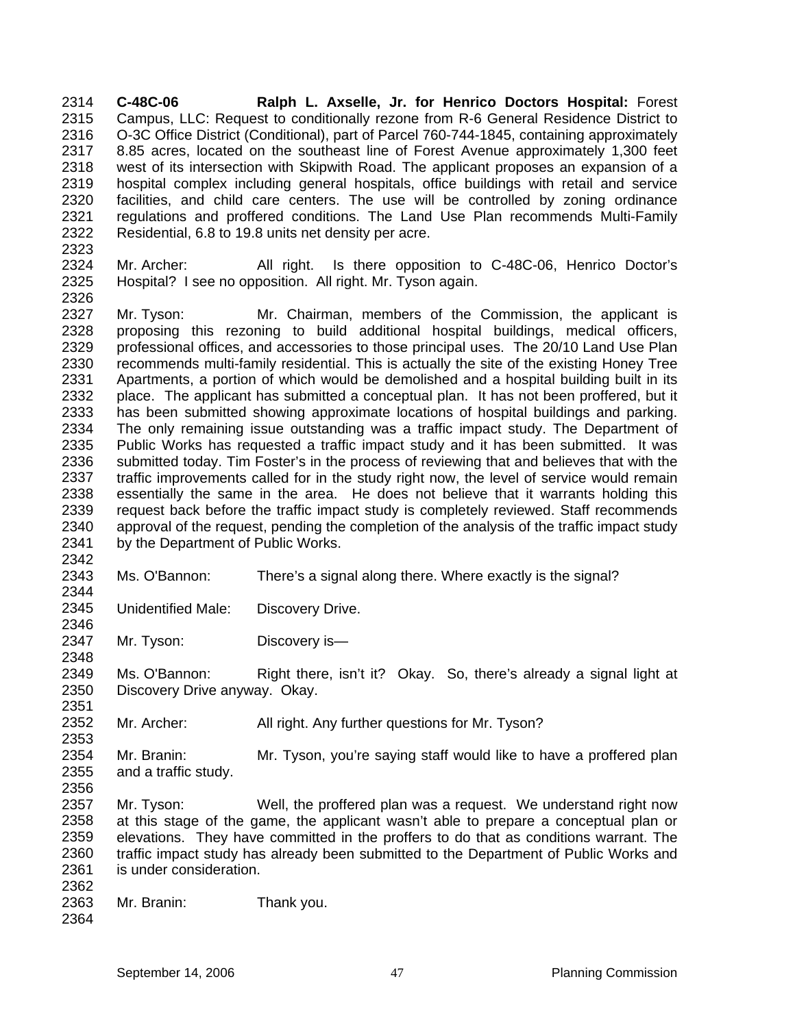**C-48C-06 Ralph L. Axselle, Jr. for Henrico Doctors Hospital:** Forest Campus, LLC: Request to conditionally rezone from R-6 General Residence District to O-3C Office District (Conditional), part of Parcel 760-744-1845, containing approximately 8.85 acres, located on the southeast line of Forest Avenue approximately 1,300 feet west of its intersection with Skipwith Road. The applicant proposes an expansion of a hospital complex including general hospitals, office buildings with retail and service facilities, and child care centers. The use will be controlled by zoning ordinance regulations and proffered conditions. The Land Use Plan recommends Multi-Family Residential, 6.8 to 19.8 units net density per acre. 2314 2315 2316 2317 2318 2319 2320 2321 2322 2323

2324 2325 2326 Mr. Archer: All right. Is there opposition to C-48C-06, Henrico Doctor's Hospital? I see no opposition. All right. Mr. Tyson again.

2327 2328 2329 2330 2331 2332 2333 2334 2335 2336 2337 2338 2339 2340 2341 2342 Mr. Tyson: Mr. Chairman, members of the Commission, the applicant is proposing this rezoning to build additional hospital buildings, medical officers, professional offices, and accessories to those principal uses. The 20/10 Land Use Plan recommends multi-family residential. This is actually the site of the existing Honey Tree Apartments, a portion of which would be demolished and a hospital building built in its place. The applicant has submitted a conceptual plan. It has not been proffered, but it has been submitted showing approximate locations of hospital buildings and parking. The only remaining issue outstanding was a traffic impact study. The Department of Public Works has requested a traffic impact study and it has been submitted. It was submitted today. Tim Foster's in the process of reviewing that and believes that with the traffic improvements called for in the study right now, the level of service would remain essentially the same in the area. He does not believe that it warrants holding this request back before the traffic impact study is completely reviewed. Staff recommends approval of the request, pending the completion of the analysis of the traffic impact study by the Department of Public Works.

2343 2344 Ms. O'Bannon: There's a signal along there. Where exactly is the signal?

2345 2346 Unidentified Male: Discovery Drive.

2347 Mr. Tyson: Discovery is-

2349 2350 2351 Ms. O'Bannon: Right there, isn't it? Okay. So, there's already a signal light at Discovery Drive anyway. Okay.

2352 Mr. Archer: All right. Any further questions for Mr. Tyson?

2354 2355 2356 Mr. Branin: Mr. Tyson, you're saying staff would like to have a proffered plan and a traffic study.

2357 2358 2359 2360 2361 2362 Mr. Tyson: Well, the proffered plan was a request. We understand right now at this stage of the game, the applicant wasn't able to prepare a conceptual plan or elevations. They have committed in the proffers to do that as conditions warrant. The traffic impact study has already been submitted to the Department of Public Works and is under consideration.

- 2363 Mr. Branin: Thank you.
- 2364

2348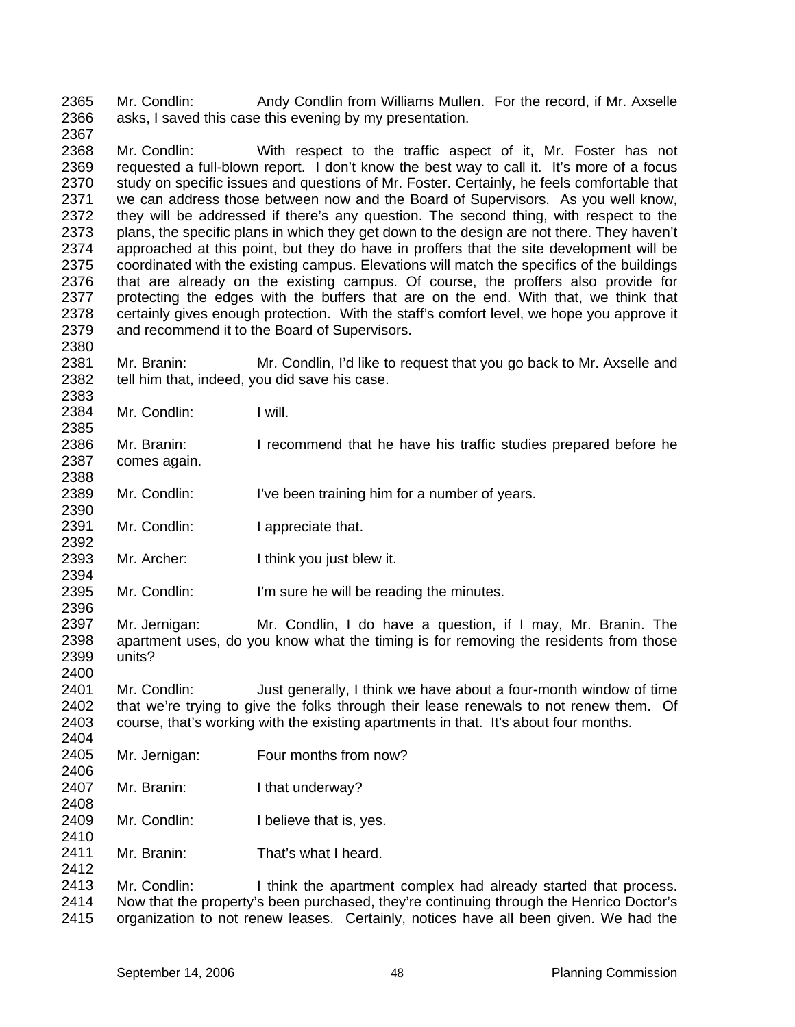2365 2366 Mr. Condlin: Andy Condlin from Williams Mullen. For the record, if Mr. Axselle asks, I saved this case this evening by my presentation.

2368 2369 2370 2371 2372 2373 2374 2375 2376 2377 2378 2379 Mr. Condlin: With respect to the traffic aspect of it, Mr. Foster has not requested a full-blown report. I don't know the best way to call it. It's more of a focus study on specific issues and questions of Mr. Foster. Certainly, he feels comfortable that we can address those between now and the Board of Supervisors. As you well know, they will be addressed if there's any question. The second thing, with respect to the plans, the specific plans in which they get down to the design are not there. They haven't approached at this point, but they do have in proffers that the site development will be coordinated with the existing campus. Elevations will match the specifics of the buildings that are already on the existing campus. Of course, the proffers also provide for protecting the edges with the buffers that are on the end. With that, we think that certainly gives enough protection. With the staff's comfort level, we hope you approve it and recommend it to the Board of Supervisors.

2381 2382 Mr. Branin: Mr. Condlin, I'd like to request that you go back to Mr. Axselle and tell him that, indeed, you did save his case.

2384 Mr. Condlin: I will.

2367

2380

2383

2385

2388

2392

2394

2396

2404

2406

2408

2410

2412

2386 2387 Mr. Branin: I recommend that he have his traffic studies prepared before he comes again.

2389 2390 Mr. Condlin: I've been training him for a number of years.

2391 Mr. Condlin: I appreciate that.

2393 Mr. Archer: I think you just blew it.

2395 Mr. Condlin: I'm sure he will be reading the minutes.

2397 2398 2399 2400 Mr. Jernigan: Mr. Condlin, I do have a question, if I may, Mr. Branin. The apartment uses, do you know what the timing is for removing the residents from those units?

2401 2402 2403 Mr. Condlin: Just generally, I think we have about a four-month window of time that we're trying to give the folks through their lease renewals to not renew them. Of course, that's working with the existing apartments in that. It's about four months.

- 2405 Mr. Jernigan: Four months from now?
- 2407 Mr. Branin: I that underway?
- 2409 Mr. Condlin: I believe that is, yes.
- 2411 Mr. Branin: That's what I heard.

2413 2414 2415 Mr. Condlin: I think the apartment complex had already started that process. Now that the property's been purchased, they're continuing through the Henrico Doctor's organization to not renew leases. Certainly, notices have all been given. We had the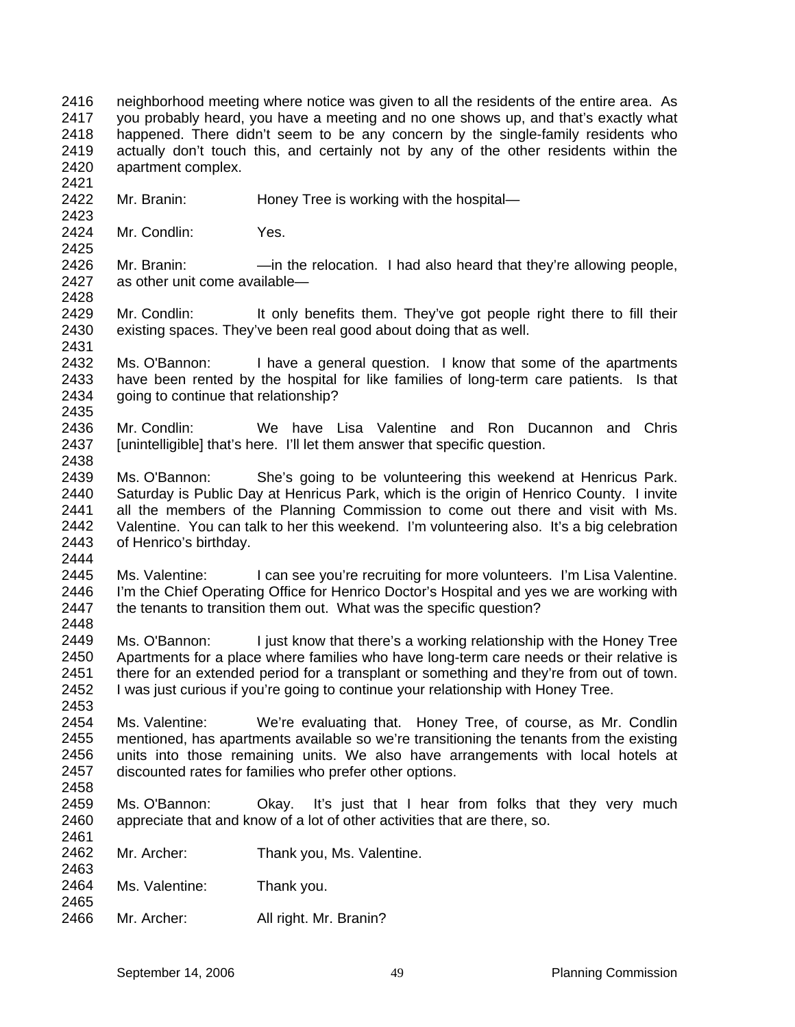2416 2417 2418 2419 2420 neighborhood meeting where notice was given to all the residents of the entire area. As you probably heard, you have a meeting and no one shows up, and that's exactly what happened. There didn't seem to be any concern by the single-family residents who actually don't touch this, and certainly not by any of the other residents within the apartment complex.

- 2422 Mr. Branin: Honey Tree is working with the hospital-
- 2424 Mr. Condlin: Yes.

2426 2427 Mr. Branin: — —in the relocation. I had also heard that they're allowing people, as other unit come available—

2429 2430 2431 Mr. Condlin: It only benefits them. They've got people right there to fill their existing spaces. They've been real good about doing that as well.

2432 2433 2434 2435 Ms. O'Bannon: I have a general question. I know that some of the apartments have been rented by the hospital for like families of long-term care patients. Is that going to continue that relationship?

- 2436 2437 2438 Mr. Condlin: We have Lisa Valentine and Ron Ducannon and Chris [unintelligible] that's here. I'll let them answer that specific question.
- 2439 2440 2441 2442 2443 Ms. O'Bannon: She's going to be volunteering this weekend at Henricus Park. Saturday is Public Day at Henricus Park, which is the origin of Henrico County. I invite all the members of the Planning Commission to come out there and visit with Ms. Valentine. You can talk to her this weekend. I'm volunteering also. It's a big celebration of Henrico's birthday.
- 2444

2453

2463

2421

2423

2425

2428

2445 2446 2447 2448 Ms. Valentine: I can see you're recruiting for more volunteers. I'm Lisa Valentine. I'm the Chief Operating Office for Henrico Doctor's Hospital and yes we are working with the tenants to transition them out. What was the specific question?

2449 2450 2451 2452 Ms. O'Bannon: I just know that there's a working relationship with the Honey Tree Apartments for a place where families who have long-term care needs or their relative is there for an extended period for a transplant or something and they're from out of town. I was just curious if you're going to continue your relationship with Honey Tree.

2454 2455 2456 2457 2458 Ms. Valentine: We're evaluating that. Honey Tree, of course, as Mr. Condlin mentioned, has apartments available so we're transitioning the tenants from the existing units into those remaining units. We also have arrangements with local hotels at discounted rates for families who prefer other options.

2459 2460 2461 Ms. O'Bannon: Okay. It's just that I hear from folks that they very much appreciate that and know of a lot of other activities that are there, so.

- 2462 Mr. Archer: Thank you, Ms. Valentine.
- 2464 2465 Ms. Valentine: Thank you.
- 2466 Mr. Archer: All right. Mr. Branin?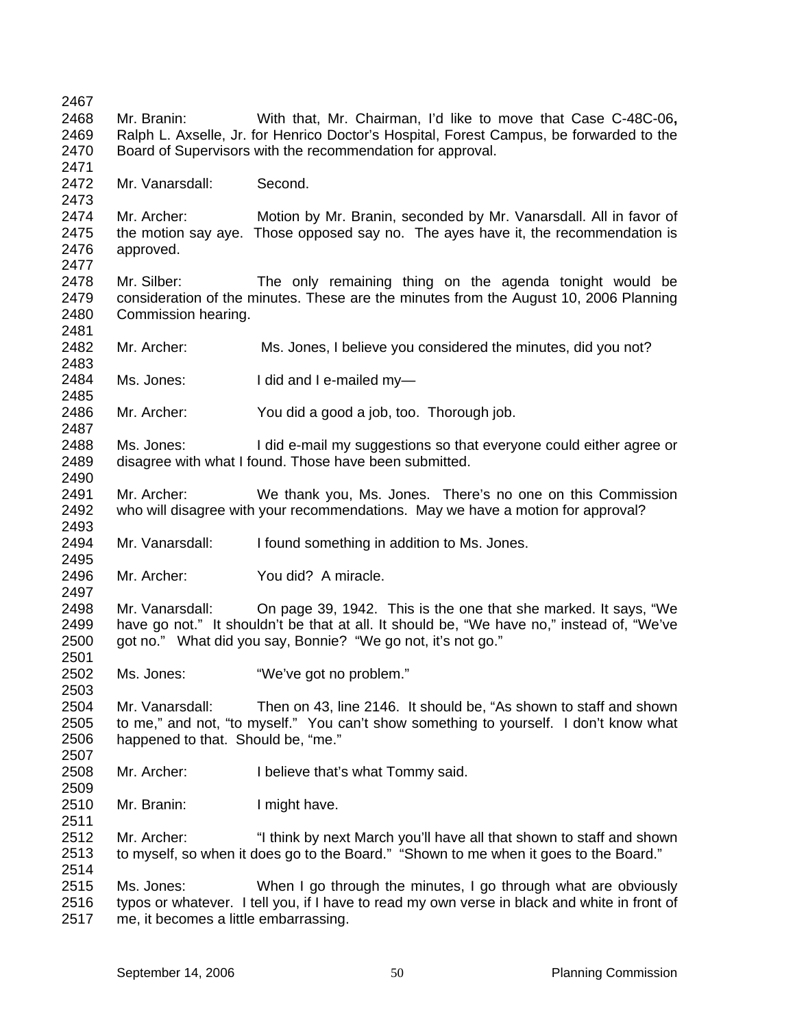2467 2468 2469 2470 2471 2472 2473 2474 2475 2476 2477 2478 2479 2480 2481 2482 2483 2484 2485 2486 2487 2488 2489 2490 2491 2492 2493 2494 2495 2496 2497 2498 2499 2500 2501 2502 2503 2504 2505 2506 2507 2508 2509 2510 2511 2512 2513 2514 2515 2516 2517 Mr. Branin: With that, Mr. Chairman, I'd like to move that Case C-48C-06**,**  Ralph L. Axselle, Jr. for Henrico Doctor's Hospital, Forest Campus, be forwarded to the Board of Supervisors with the recommendation for approval. Mr. Vanarsdall: Second. Mr. Archer: Motion by Mr. Branin, seconded by Mr. Vanarsdall. All in favor of the motion say aye. Those opposed say no. The ayes have it, the recommendation is approved. Mr. Silber: The only remaining thing on the agenda tonight would be consideration of the minutes. These are the minutes from the August 10, 2006 Planning Commission hearing. Mr. Archer: Ms. Jones, I believe you considered the minutes, did you not? Ms. Jones: I did and I e-mailed my-Mr. Archer: You did a good a job, too. Thorough job. Ms. Jones: I did e-mail my suggestions so that everyone could either agree or disagree with what I found. Those have been submitted. Mr. Archer: We thank you, Ms. Jones. There's no one on this Commission who will disagree with your recommendations. May we have a motion for approval? Mr. Vanarsdall: I found something in addition to Ms. Jones. Mr. Archer: You did? A miracle. Mr. Vanarsdall: On page 39, 1942. This is the one that she marked. It says, "We have go not." It shouldn't be that at all. It should be, "We have no," instead of, "We've got no." What did you say, Bonnie? "We go not, it's not go." Ms. Jones: "We've got no problem." Mr. Vanarsdall: Then on 43, line 2146. It should be, "As shown to staff and shown to me," and not, "to myself." You can't show something to yourself. I don't know what happened to that. Should be, "me." Mr. Archer: I believe that's what Tommy said. Mr. Branin: I might have. Mr. Archer: "I think by next March you'll have all that shown to staff and shown to myself, so when it does go to the Board." "Shown to me when it goes to the Board." Ms. Jones: When I go through the minutes, I go through what are obviously typos or whatever. I tell you, if I have to read my own verse in black and white in front of me, it becomes a little embarrassing.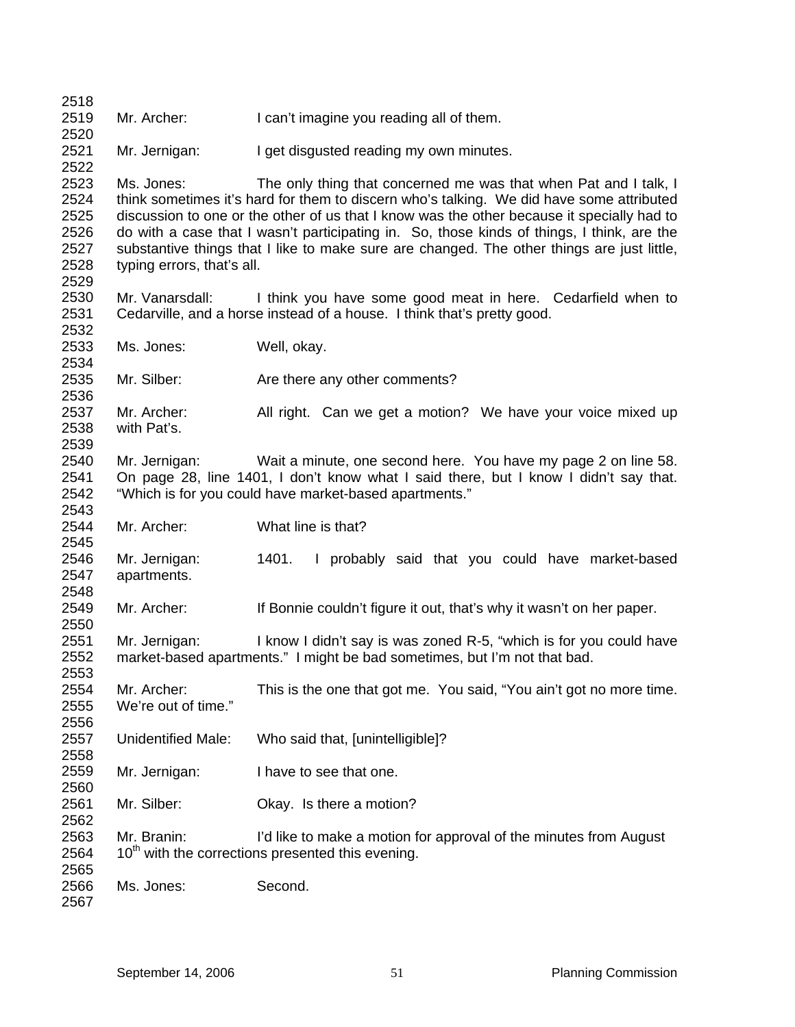| 2518                                                 |                                          |                                                                                                                                                                                                                                                                                                                                                                                                                                                        |
|------------------------------------------------------|------------------------------------------|--------------------------------------------------------------------------------------------------------------------------------------------------------------------------------------------------------------------------------------------------------------------------------------------------------------------------------------------------------------------------------------------------------------------------------------------------------|
| 2519<br>2520                                         | Mr. Archer:                              | I can't imagine you reading all of them.                                                                                                                                                                                                                                                                                                                                                                                                               |
| 2521<br>2522                                         | Mr. Jernigan:                            | I get disgusted reading my own minutes.                                                                                                                                                                                                                                                                                                                                                                                                                |
| 2523<br>2524<br>2525<br>2526<br>2527<br>2528<br>2529 | Ms. Jones:<br>typing errors, that's all. | The only thing that concerned me was that when Pat and I talk, I<br>think sometimes it's hard for them to discern who's talking. We did have some attributed<br>discussion to one or the other of us that I know was the other because it specially had to<br>do with a case that I wasn't participating in. So, those kinds of things, I think, are the<br>substantive things that I like to make sure are changed. The other things are just little, |
| 2530<br>2531<br>2532                                 |                                          | Mr. Vanarsdall: I think you have some good meat in here. Cedarfield when to<br>Cedarville, and a horse instead of a house. I think that's pretty good.                                                                                                                                                                                                                                                                                                 |
| 2533<br>2534                                         | Ms. Jones:                               | Well, okay.                                                                                                                                                                                                                                                                                                                                                                                                                                            |
| 2535<br>2536                                         | Mr. Silber:                              | Are there any other comments?                                                                                                                                                                                                                                                                                                                                                                                                                          |
| 2537<br>2538<br>2539                                 | Mr. Archer:<br>with Pat's.               | All right. Can we get a motion? We have your voice mixed up                                                                                                                                                                                                                                                                                                                                                                                            |
| 2540<br>2541<br>2542<br>2543                         | Mr. Jernigan:                            | Wait a minute, one second here. You have my page 2 on line 58.<br>On page 28, line 1401, I don't know what I said there, but I know I didn't say that.<br>"Which is for you could have market-based apartments."                                                                                                                                                                                                                                       |
| 2544<br>2545                                         | Mr. Archer:                              | What line is that?                                                                                                                                                                                                                                                                                                                                                                                                                                     |
| 2546<br>2547<br>2548                                 | Mr. Jernigan:<br>apartments.             | 1401.<br>I probably said that you could have market-based                                                                                                                                                                                                                                                                                                                                                                                              |
| 2549<br>2550                                         | Mr. Archer:                              | If Bonnie couldn't figure it out, that's why it wasn't on her paper.                                                                                                                                                                                                                                                                                                                                                                                   |
| 2551<br>2552<br>2553                                 | Mr. Jernigan:                            | I know I didn't say is was zoned R-5, "which is for you could have<br>market-based apartments." I might be bad sometimes, but I'm not that bad.                                                                                                                                                                                                                                                                                                        |
| 2554<br>2555<br>2556                                 | Mr. Archer:<br>We're out of time."       | This is the one that got me. You said, "You ain't got no more time.                                                                                                                                                                                                                                                                                                                                                                                    |
| 2557<br>2558                                         | <b>Unidentified Male:</b>                | Who said that, [unintelligible]?                                                                                                                                                                                                                                                                                                                                                                                                                       |
| 2559<br>2560                                         | Mr. Jernigan:                            | I have to see that one.                                                                                                                                                                                                                                                                                                                                                                                                                                |
| 2561<br>2562                                         | Mr. Silber:                              | Okay. Is there a motion?                                                                                                                                                                                                                                                                                                                                                                                                                               |
| 2563<br>2564                                         | Mr. Branin:                              | I'd like to make a motion for approval of the minutes from August<br>10 <sup>th</sup> with the corrections presented this evening.                                                                                                                                                                                                                                                                                                                     |
| 2565<br>2566<br>2567                                 | Ms. Jones:                               | Second.                                                                                                                                                                                                                                                                                                                                                                                                                                                |